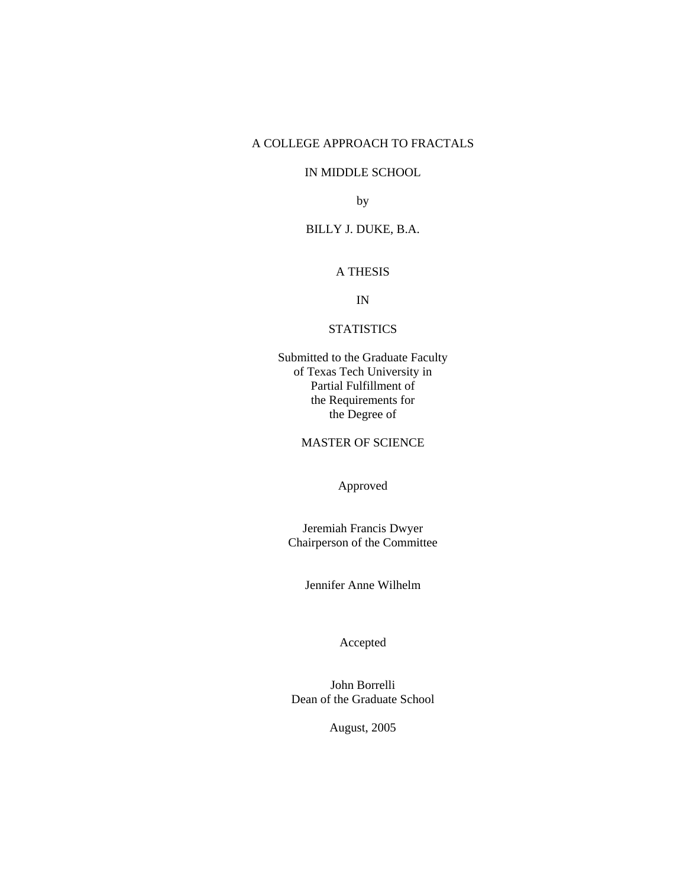# A COLLEGE APPROACH TO FRACTALS

# IN MIDDLE SCHOOL

by

# BILLY J. DUKE, B.A.

# A THESIS

IN

# **STATISTICS**

Submitted to the Graduate Faculty of Texas Tech University in Partial Fulfillment of the Requirements for the Degree of

MASTER OF SCIENCE

Approved

Jeremiah Francis Dwyer Chairperson of the Committee

Jennifer Anne Wilhelm

Accepted

John Borrelli Dean of the Graduate School

August, 2005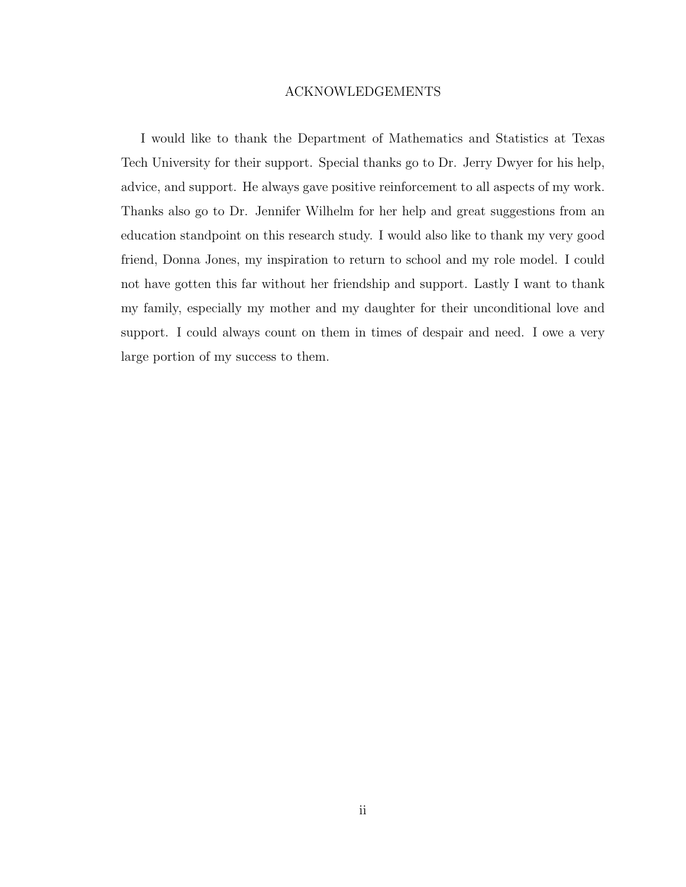## ACKNOWLEDGEMENTS

I would like to thank the Department of Mathematics and Statistics at Texas Tech University for their support. Special thanks go to Dr. Jerry Dwyer for his help, advice, and support. He always gave positive reinforcement to all aspects of my work. Thanks also go to Dr. Jennifer Wilhelm for her help and great suggestions from an education standpoint on this research study. I would also like to thank my very good friend, Donna Jones, my inspiration to return to school and my role model. I could not have gotten this far without her friendship and support. Lastly I want to thank my family, especially my mother and my daughter for their unconditional love and support. I could always count on them in times of despair and need. I owe a very large portion of my success to them.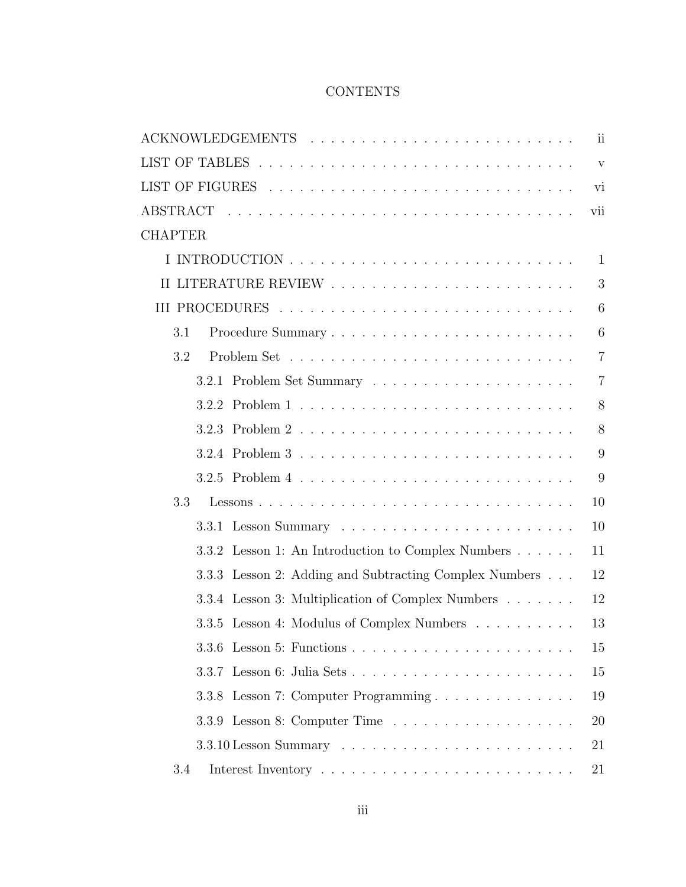# **CONTENTS**

|                                                                                 | 11             |
|---------------------------------------------------------------------------------|----------------|
|                                                                                 | $\mathbf{V}$   |
|                                                                                 | vi             |
|                                                                                 | vii            |
| <b>CHAPTER</b>                                                                  |                |
|                                                                                 | $\mathbf{1}$   |
|                                                                                 | 3              |
|                                                                                 | 6              |
| 3.1                                                                             | 6              |
| 3.2                                                                             | $\overline{7}$ |
|                                                                                 | $\overline{7}$ |
| 3.2.2                                                                           | 8              |
|                                                                                 | 8              |
|                                                                                 | 9              |
|                                                                                 | 9              |
| 3.3                                                                             | 10             |
|                                                                                 | 10             |
| 3.3.2 Lesson 1: An Introduction to Complex Numbers                              | 11             |
| 3.3.3 Lesson 2: Adding and Subtracting Complex Numbers                          | 12             |
| 3.3.4 Lesson 3: Multiplication of Complex Numbers                               | 12             |
| 3.3.5 Lesson 4: Modulus of Complex Numbers                                      | 13             |
|                                                                                 | 15             |
|                                                                                 | 15             |
| Lesson 7: Computer Programming<br>3.3.8                                         | 19             |
|                                                                                 | 20             |
| $3.3.10$ Lesson Summary $\dots \dots \dots \dots \dots \dots \dots \dots \dots$ | 21             |
| 3.4                                                                             | 21             |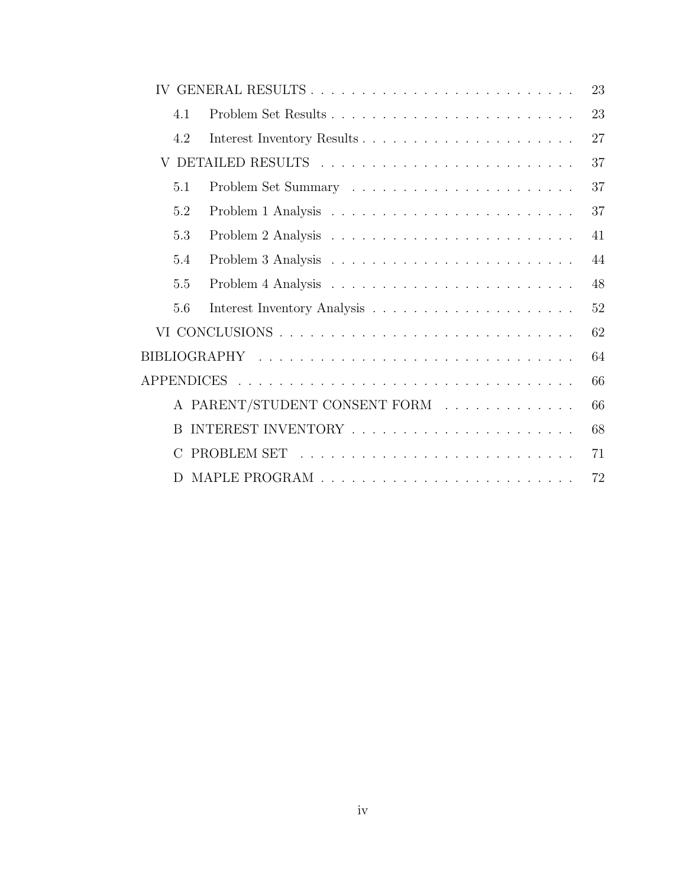|              | IV GENERAL RESULTS            | 23 |
|--------------|-------------------------------|----|
| 4.1          |                               | 23 |
| 4.2          |                               | 27 |
|              |                               | 37 |
| 5.1          |                               | 37 |
| 5.2          |                               | 37 |
| 5.3          |                               | 41 |
| 5.4          |                               | 44 |
| 5.5          |                               | 48 |
| 5.6          |                               | 52 |
|              |                               | 62 |
|              |                               | 64 |
|              |                               | 66 |
|              | A PARENT/STUDENT CONSENT FORM | 66 |
| <sub>R</sub> |                               | 68 |
|              |                               | 71 |
| D.           |                               | 72 |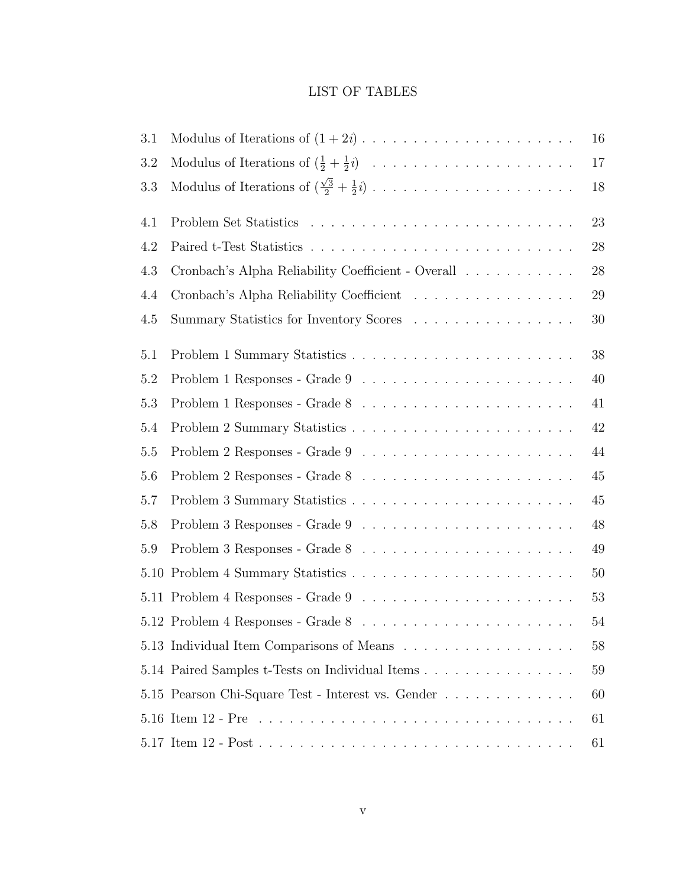# LIST OF TABLES

| 3.1 |                                                                                         | $16\,$ |
|-----|-----------------------------------------------------------------------------------------|--------|
| 3.2 | Modulus of Iterations of $(\frac{1}{2} + \frac{1}{2}i)$                                 | 17     |
| 3.3 |                                                                                         | 18     |
| 4.1 |                                                                                         | 23     |
| 4.2 |                                                                                         | 28     |
| 4.3 | Cronbach's Alpha Reliability Coefficient - Overall                                      | $28\,$ |
| 4.4 | Cronbach's Alpha Reliability Coefficient                                                | $29\,$ |
| 4.5 | Summary Statistics for Inventory Scores                                                 | 30     |
| 5.1 |                                                                                         | $38\,$ |
| 5.2 | Problem 1 Responses - Grade 9 $\ldots \ldots \ldots \ldots \ldots \ldots \ldots \ldots$ | 40     |
| 5.3 |                                                                                         | 41     |
| 5.4 |                                                                                         | 42     |
| 5.5 |                                                                                         | 44     |
| 5.6 |                                                                                         | 45     |
| 5.7 |                                                                                         | 45     |
| 5.8 |                                                                                         | 48     |
| 5.9 |                                                                                         | 49     |
|     |                                                                                         | $50\,$ |
|     |                                                                                         | 53     |
|     |                                                                                         | $54\,$ |
|     | 5.13 Individual Item Comparisons of Means                                               | 58     |
|     | 5.14 Paired Samples t-Tests on Individual Items                                         | 59     |
|     | 5.15 Pearson Chi-Square Test - Interest vs. Gender                                      | 60     |
|     |                                                                                         | 61     |
|     |                                                                                         | 61     |
|     |                                                                                         |        |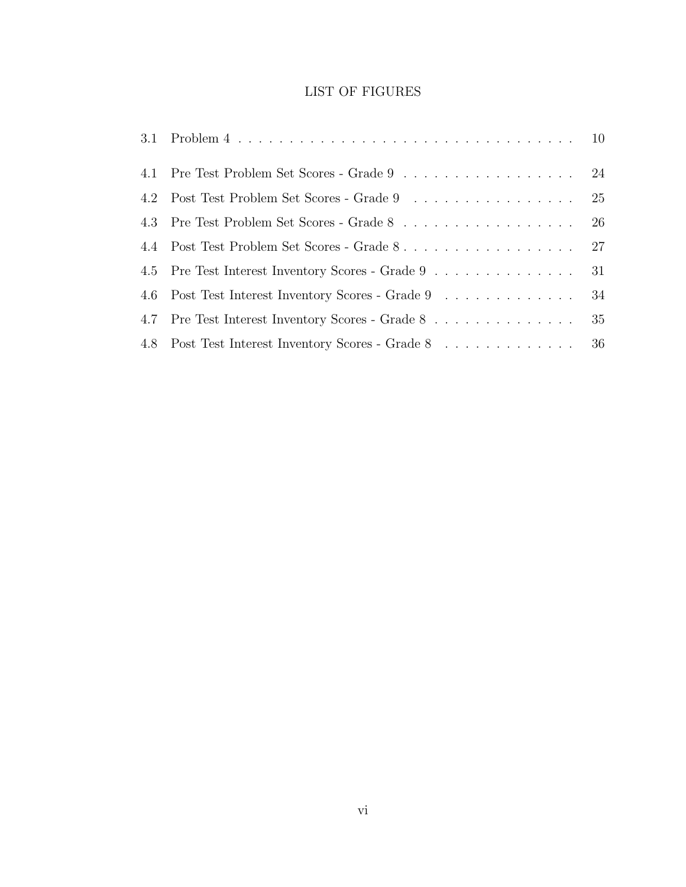# LIST OF FIGURES

| 4.1 Pre Test Problem Set Scores - Grade 9 24         |  |
|------------------------------------------------------|--|
| 4.2 Post Test Problem Set Scores - Grade 9 25        |  |
| 4.3 Pre Test Problem Set Scores - Grade 8 26         |  |
|                                                      |  |
| 4.5 Pre Test Interest Inventory Scores - Grade 9 31  |  |
| 4.6 Post Test Interest Inventory Scores - Grade 9 34 |  |
| 4.7 Pre Test Interest Inventory Scores - Grade 8 35  |  |
| 4.8 Post Test Interest Inventory Scores - Grade 8 36 |  |
|                                                      |  |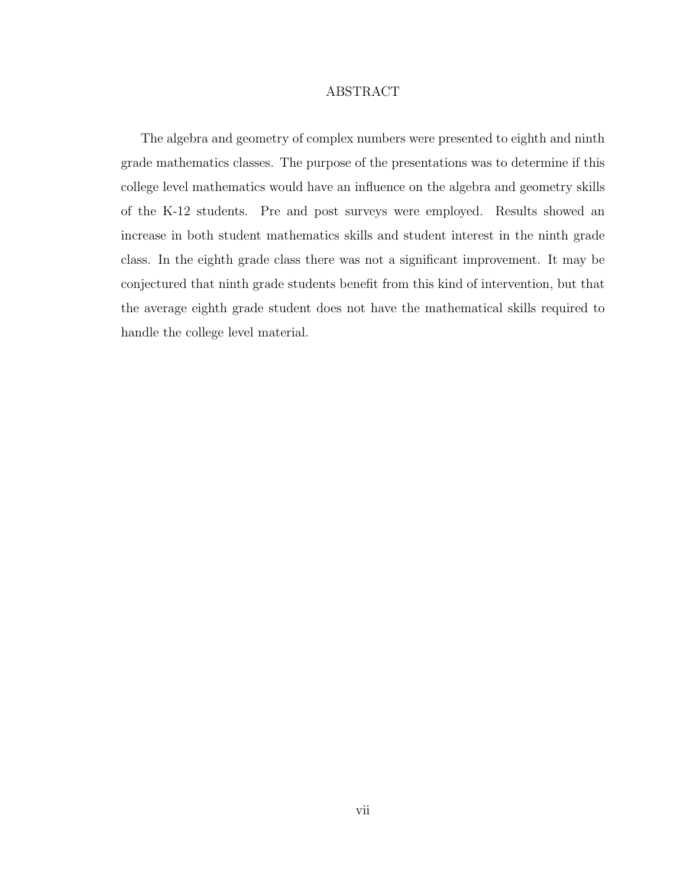## ABSTRACT

The algebra and geometry of complex numbers were presented to eighth and ninth grade mathematics classes. The purpose of the presentations was to determine if this college level mathematics would have an influence on the algebra and geometry skills of the K-12 students. Pre and post surveys were employed. Results showed an increase in both student mathematics skills and student interest in the ninth grade class. In the eighth grade class there was not a significant improvement. It may be conjectured that ninth grade students benefit from this kind of intervention, but that the average eighth grade student does not have the mathematical skills required to handle the college level material.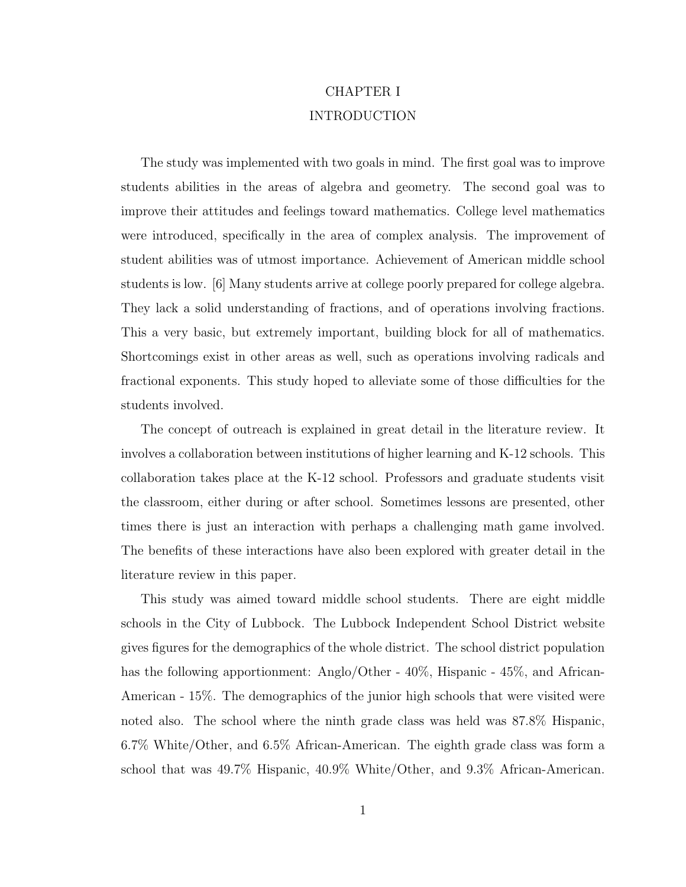# CHAPTER I INTRODUCTION

The study was implemented with two goals in mind. The first goal was to improve students abilities in the areas of algebra and geometry. The second goal was to improve their attitudes and feelings toward mathematics. College level mathematics were introduced, specifically in the area of complex analysis. The improvement of student abilities was of utmost importance. Achievement of American middle school students is low. [6] Many students arrive at college poorly prepared for college algebra. They lack a solid understanding of fractions, and of operations involving fractions. This a very basic, but extremely important, building block for all of mathematics. Shortcomings exist in other areas as well, such as operations involving radicals and fractional exponents. This study hoped to alleviate some of those difficulties for the students involved.

The concept of outreach is explained in great detail in the literature review. It involves a collaboration between institutions of higher learning and K-12 schools. This collaboration takes place at the K-12 school. Professors and graduate students visit the classroom, either during or after school. Sometimes lessons are presented, other times there is just an interaction with perhaps a challenging math game involved. The benefits of these interactions have also been explored with greater detail in the literature review in this paper.

This study was aimed toward middle school students. There are eight middle schools in the City of Lubbock. The Lubbock Independent School District website gives figures for the demographics of the whole district. The school district population has the following apportionment: Anglo/Other -  $40\%$ , Hispanic -  $45\%$ , and African-American - 15%. The demographics of the junior high schools that were visited were noted also. The school where the ninth grade class was held was 87.8% Hispanic, 6.7% White/Other, and 6.5% African-American. The eighth grade class was form a school that was 49.7% Hispanic, 40.9% White/Other, and 9.3% African-American.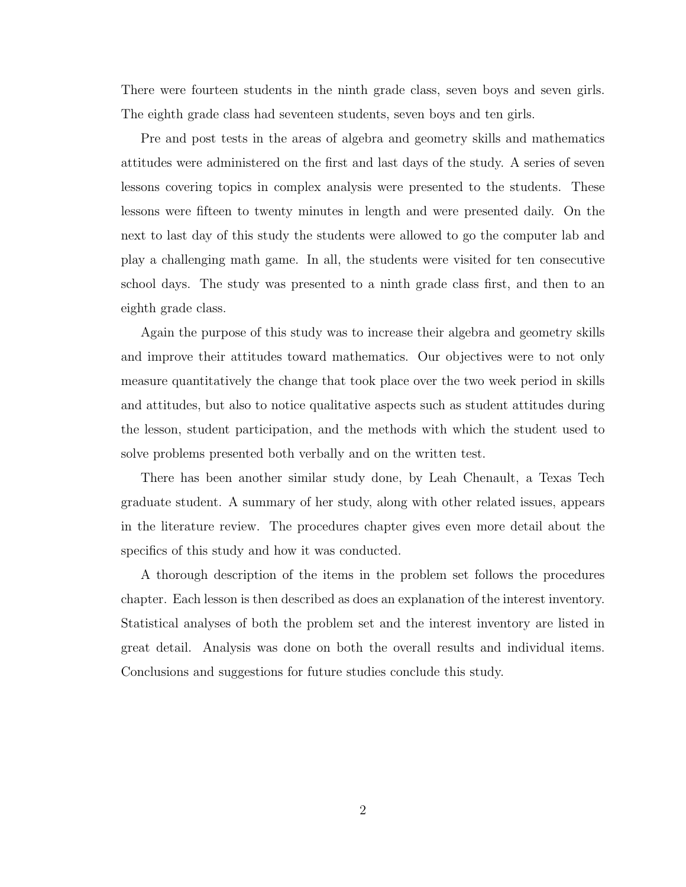There were fourteen students in the ninth grade class, seven boys and seven girls. The eighth grade class had seventeen students, seven boys and ten girls.

Pre and post tests in the areas of algebra and geometry skills and mathematics attitudes were administered on the first and last days of the study. A series of seven lessons covering topics in complex analysis were presented to the students. These lessons were fifteen to twenty minutes in length and were presented daily. On the next to last day of this study the students were allowed to go the computer lab and play a challenging math game. In all, the students were visited for ten consecutive school days. The study was presented to a ninth grade class first, and then to an eighth grade class.

Again the purpose of this study was to increase their algebra and geometry skills and improve their attitudes toward mathematics. Our objectives were to not only measure quantitatively the change that took place over the two week period in skills and attitudes, but also to notice qualitative aspects such as student attitudes during the lesson, student participation, and the methods with which the student used to solve problems presented both verbally and on the written test.

There has been another similar study done, by Leah Chenault, a Texas Tech graduate student. A summary of her study, along with other related issues, appears in the literature review. The procedures chapter gives even more detail about the specifics of this study and how it was conducted.

A thorough description of the items in the problem set follows the procedures chapter. Each lesson is then described as does an explanation of the interest inventory. Statistical analyses of both the problem set and the interest inventory are listed in great detail. Analysis was done on both the overall results and individual items. Conclusions and suggestions for future studies conclude this study.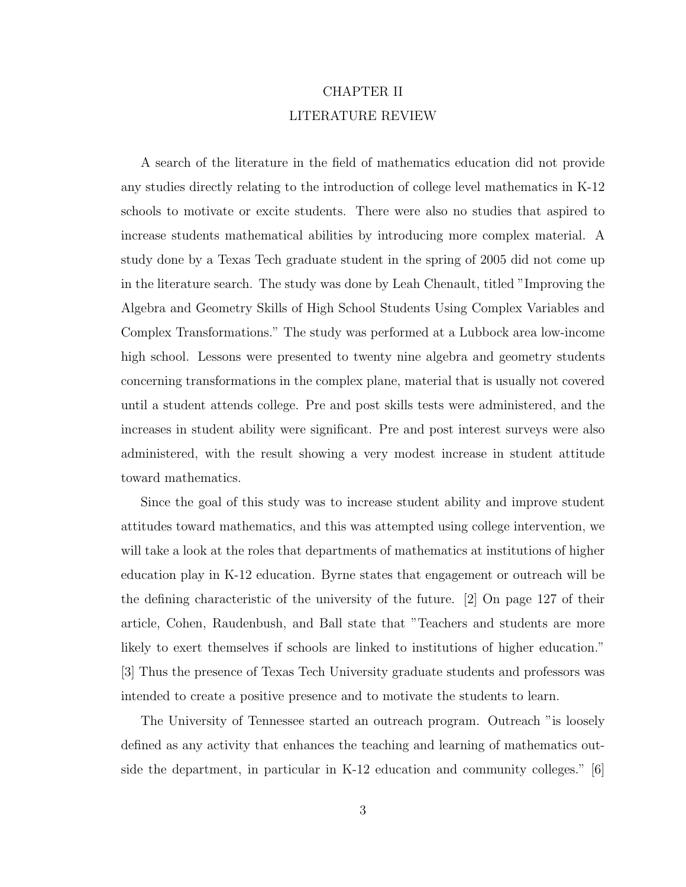# CHAPTER II LITERATURE REVIEW

A search of the literature in the field of mathematics education did not provide any studies directly relating to the introduction of college level mathematics in K-12 schools to motivate or excite students. There were also no studies that aspired to increase students mathematical abilities by introducing more complex material. A study done by a Texas Tech graduate student in the spring of 2005 did not come up in the literature search. The study was done by Leah Chenault, titled "Improving the Algebra and Geometry Skills of High School Students Using Complex Variables and Complex Transformations." The study was performed at a Lubbock area low-income high school. Lessons were presented to twenty nine algebra and geometry students concerning transformations in the complex plane, material that is usually not covered until a student attends college. Pre and post skills tests were administered, and the increases in student ability were significant. Pre and post interest surveys were also administered, with the result showing a very modest increase in student attitude toward mathematics.

Since the goal of this study was to increase student ability and improve student attitudes toward mathematics, and this was attempted using college intervention, we will take a look at the roles that departments of mathematics at institutions of higher education play in K-12 education. Byrne states that engagement or outreach will be the defining characteristic of the university of the future. [2] On page 127 of their article, Cohen, Raudenbush, and Ball state that "Teachers and students are more likely to exert themselves if schools are linked to institutions of higher education." [3] Thus the presence of Texas Tech University graduate students and professors was intended to create a positive presence and to motivate the students to learn.

The University of Tennessee started an outreach program. Outreach "is loosely defined as any activity that enhances the teaching and learning of mathematics outside the department, in particular in K-12 education and community colleges." [6]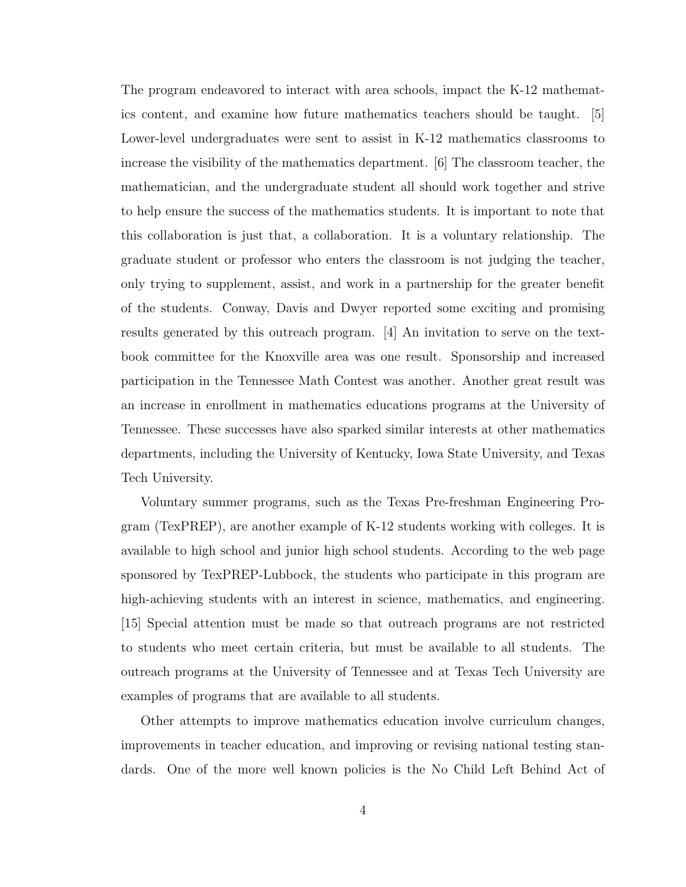The program endeavored to interact with area schools, impact the K-12 mathematics content, and examine how future mathematics teachers should be taught. [5] Lower-level undergraduates were sent to assist in K-12 mathematics classrooms to increase the visibility of the mathematics department. [6] The classroom teacher, the mathematician, and the undergraduate student all should work together and strive to help ensure the success of the mathematics students. It is important to note that this collaboration is just that, a collaboration. It is a voluntary relationship. The graduate student or professor who enters the classroom is not judging the teacher, only trying to supplement, assist, and work in a partnership for the greater benefit of the students. Conway, Davis and Dwyer reported some exciting and promising results generated by this outreach program. [4] An invitation to serve on the textbook committee for the Knoxville area was one result. Sponsorship and increased participation in the Tennessee Math Contest was another. Another great result was an increase in enrollment in mathematics educations programs at the University of Tennessee. These successes have also sparked similar interests at other mathematics departments, including the University of Kentucky, Iowa State University, and Texas Tech University.

Voluntary summer programs, such as the Texas Pre-freshman Engineering Program (TexPREP), are another example of K-12 students working with colleges. It is available to high school and junior high school students. According to the web page sponsored by TexPREP-Lubbock, the students who participate in this program are high-achieving students with an interest in science, mathematics, and engineering. [15] Special attention must be made so that outreach programs are not restricted to students who meet certain criteria, but must be available to all students. The outreach programs at the University of Tennessee and at Texas Tech University are examples of programs that are available to all students.

Other attempts to improve mathematics education involve curriculum changes, improvements in teacher education, and improving or revising national testing standards. One of the more well known policies is the No Child Left Behind Act of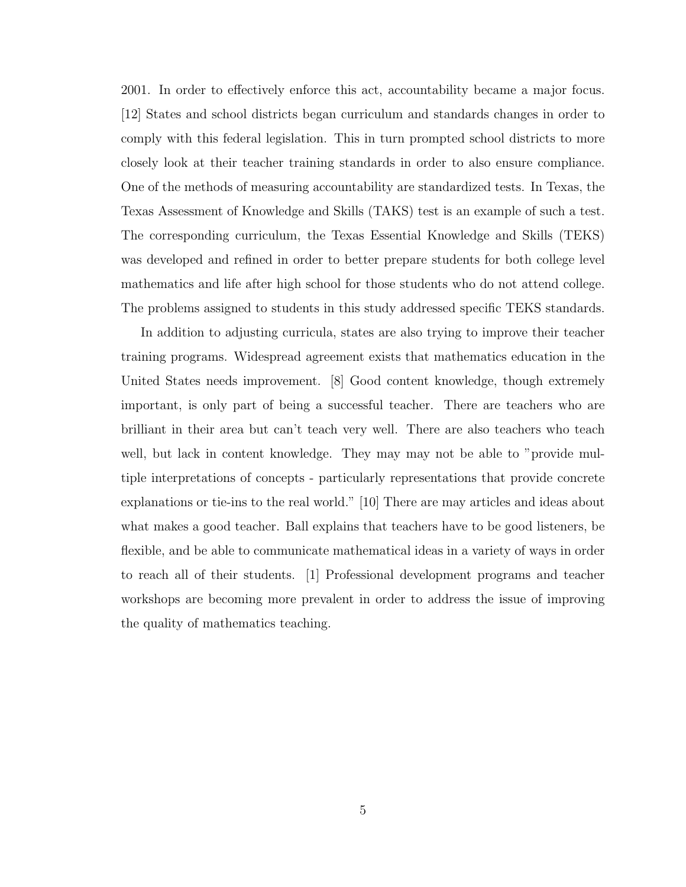2001. In order to effectively enforce this act, accountability became a major focus. [12] States and school districts began curriculum and standards changes in order to comply with this federal legislation. This in turn prompted school districts to more closely look at their teacher training standards in order to also ensure compliance. One of the methods of measuring accountability are standardized tests. In Texas, the Texas Assessment of Knowledge and Skills (TAKS) test is an example of such a test. The corresponding curriculum, the Texas Essential Knowledge and Skills (TEKS) was developed and refined in order to better prepare students for both college level mathematics and life after high school for those students who do not attend college. The problems assigned to students in this study addressed specific TEKS standards.

In addition to adjusting curricula, states are also trying to improve their teacher training programs. Widespread agreement exists that mathematics education in the United States needs improvement. [8] Good content knowledge, though extremely important, is only part of being a successful teacher. There are teachers who are brilliant in their area but can't teach very well. There are also teachers who teach well, but lack in content knowledge. They may may not be able to "provide multiple interpretations of concepts - particularly representations that provide concrete explanations or tie-ins to the real world." [10] There are may articles and ideas about what makes a good teacher. Ball explains that teachers have to be good listeners, be flexible, and be able to communicate mathematical ideas in a variety of ways in order to reach all of their students. [1] Professional development programs and teacher workshops are becoming more prevalent in order to address the issue of improving the quality of mathematics teaching.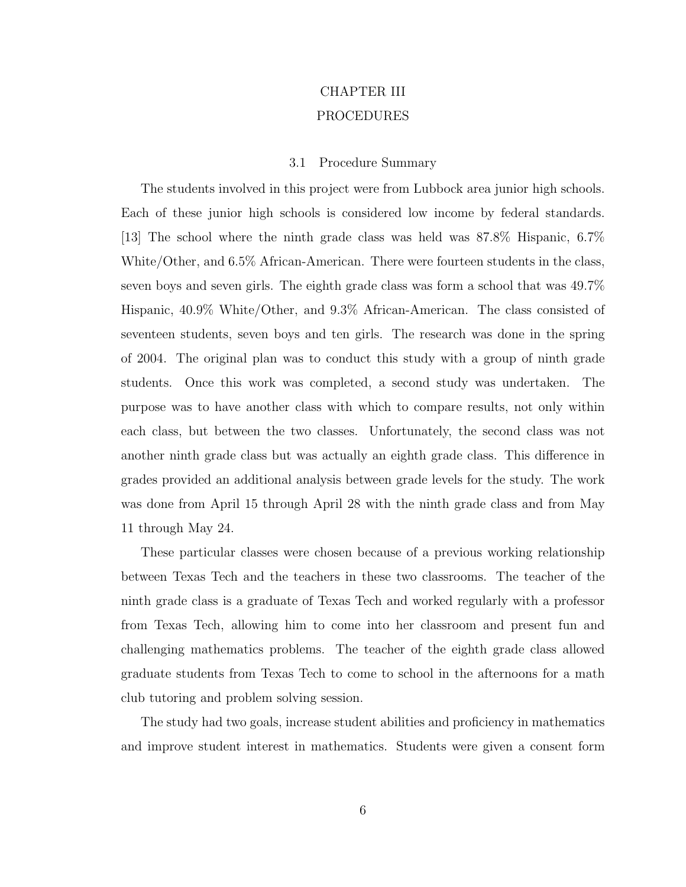# CHAPTER III PROCEDURES

## 3.1 Procedure Summary

The students involved in this project were from Lubbock area junior high schools. Each of these junior high schools is considered low income by federal standards. [13] The school where the ninth grade class was held was 87.8% Hispanic, 6.7% White/Other, and 6.5% African-American. There were fourteen students in the class, seven boys and seven girls. The eighth grade class was form a school that was 49.7% Hispanic, 40.9% White/Other, and 9.3% African-American. The class consisted of seventeen students, seven boys and ten girls. The research was done in the spring of 2004. The original plan was to conduct this study with a group of ninth grade students. Once this work was completed, a second study was undertaken. The purpose was to have another class with which to compare results, not only within each class, but between the two classes. Unfortunately, the second class was not another ninth grade class but was actually an eighth grade class. This difference in grades provided an additional analysis between grade levels for the study. The work was done from April 15 through April 28 with the ninth grade class and from May 11 through May 24.

These particular classes were chosen because of a previous working relationship between Texas Tech and the teachers in these two classrooms. The teacher of the ninth grade class is a graduate of Texas Tech and worked regularly with a professor from Texas Tech, allowing him to come into her classroom and present fun and challenging mathematics problems. The teacher of the eighth grade class allowed graduate students from Texas Tech to come to school in the afternoons for a math club tutoring and problem solving session.

The study had two goals, increase student abilities and proficiency in mathematics and improve student interest in mathematics. Students were given a consent form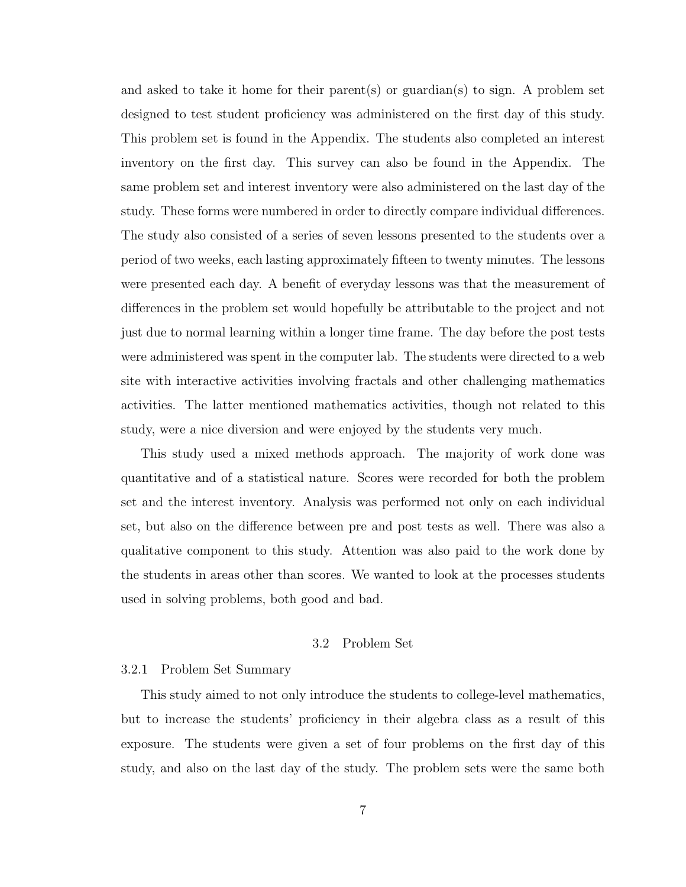and asked to take it home for their parent(s) or guardian(s) to sign. A problem set designed to test student proficiency was administered on the first day of this study. This problem set is found in the Appendix. The students also completed an interest inventory on the first day. This survey can also be found in the Appendix. The same problem set and interest inventory were also administered on the last day of the study. These forms were numbered in order to directly compare individual differences. The study also consisted of a series of seven lessons presented to the students over a period of two weeks, each lasting approximately fifteen to twenty minutes. The lessons were presented each day. A benefit of everyday lessons was that the measurement of differences in the problem set would hopefully be attributable to the project and not just due to normal learning within a longer time frame. The day before the post tests were administered was spent in the computer lab. The students were directed to a web site with interactive activities involving fractals and other challenging mathematics activities. The latter mentioned mathematics activities, though not related to this study, were a nice diversion and were enjoyed by the students very much.

This study used a mixed methods approach. The majority of work done was quantitative and of a statistical nature. Scores were recorded for both the problem set and the interest inventory. Analysis was performed not only on each individual set, but also on the difference between pre and post tests as well. There was also a qualitative component to this study. Attention was also paid to the work done by the students in areas other than scores. We wanted to look at the processes students used in solving problems, both good and bad.

#### 3.2 Problem Set

## 3.2.1 Problem Set Summary

This study aimed to not only introduce the students to college-level mathematics, but to increase the students' proficiency in their algebra class as a result of this exposure. The students were given a set of four problems on the first day of this study, and also on the last day of the study. The problem sets were the same both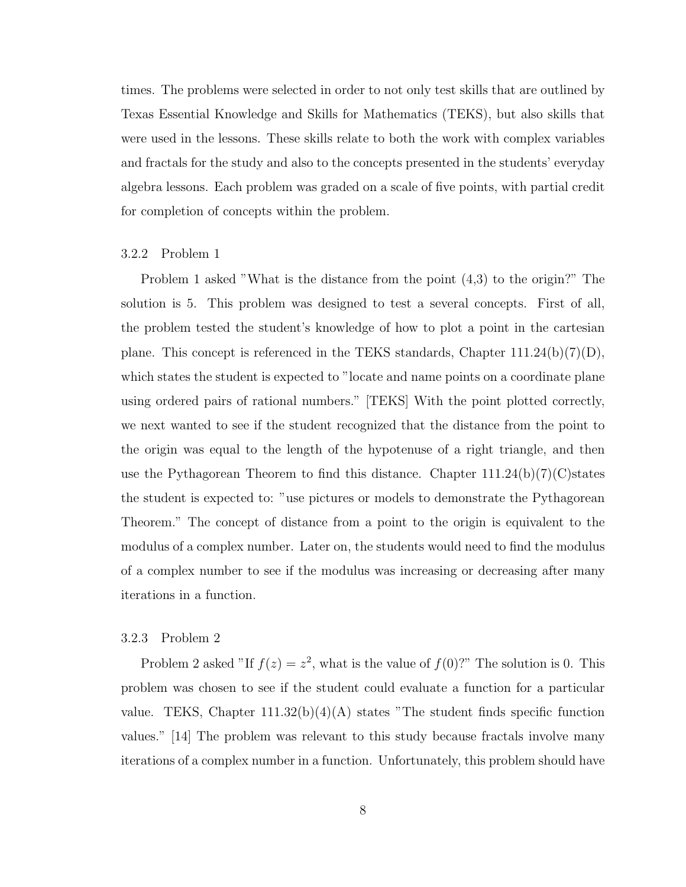times. The problems were selected in order to not only test skills that are outlined by Texas Essential Knowledge and Skills for Mathematics (TEKS), but also skills that were used in the lessons. These skills relate to both the work with complex variables and fractals for the study and also to the concepts presented in the students' everyday algebra lessons. Each problem was graded on a scale of five points, with partial credit for completion of concepts within the problem.

### 3.2.2 Problem 1

Problem 1 asked "What is the distance from the point (4,3) to the origin?" The solution is 5. This problem was designed to test a several concepts. First of all, the problem tested the student's knowledge of how to plot a point in the cartesian plane. This concept is referenced in the TEKS standards, Chapter  $111.24(b)(7)(D)$ , which states the student is expected to "locate and name points on a coordinate plane using ordered pairs of rational numbers." [TEKS] With the point plotted correctly, we next wanted to see if the student recognized that the distance from the point to the origin was equal to the length of the hypotenuse of a right triangle, and then use the Pythagorean Theorem to find this distance. Chapter  $111.24(b)(7)(C)$  states the student is expected to: "use pictures or models to demonstrate the Pythagorean Theorem." The concept of distance from a point to the origin is equivalent to the modulus of a complex number. Later on, the students would need to find the modulus of a complex number to see if the modulus was increasing or decreasing after many iterations in a function.

#### 3.2.3 Problem 2

Problem 2 asked "If  $f(z) = z^2$ , what is the value of  $f(0)$ ?" The solution is 0. This problem was chosen to see if the student could evaluate a function for a particular value. TEKS, Chapter  $111.32(b)(4)(A)$  states "The student finds specific function values." [14] The problem was relevant to this study because fractals involve many iterations of a complex number in a function. Unfortunately, this problem should have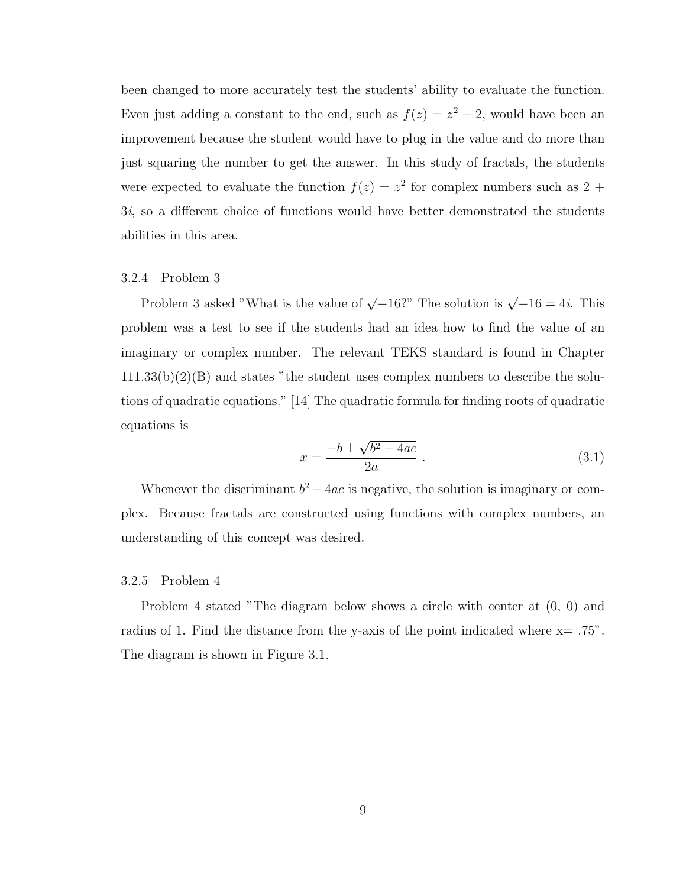been changed to more accurately test the students' ability to evaluate the function. Even just adding a constant to the end, such as  $f(z) = z^2 - 2$ , would have been an improvement because the student would have to plug in the value and do more than just squaring the number to get the answer. In this study of fractals, the students were expected to evaluate the function  $f(z) = z^2$  for complex numbers such as 2 + 3i, so a different choice of functions would have better demonstrated the students abilities in this area.

## 3.2.4 Problem 3

Problem 3 asked "What is the value of  $\sqrt{-16}$ ?" The solution is  $\sqrt{-16} = 4i$ . This problem was a test to see if the students had an idea how to find the value of an imaginary or complex number. The relevant TEKS standard is found in Chapter  $111.33(b)(2)(B)$  and states "the student uses complex numbers to describe the solutions of quadratic equations." [14] The quadratic formula for finding roots of quadratic equations is

$$
x = \frac{-b \pm \sqrt{b^2 - 4ac}}{2a} \,. \tag{3.1}
$$

Whenever the discriminant  $b^2 - 4ac$  is negative, the solution is imaginary or complex. Because fractals are constructed using functions with complex numbers, an understanding of this concept was desired.

#### 3.2.5 Problem 4

Problem 4 stated "The diagram below shows a circle with center at (0, 0) and radius of 1. Find the distance from the y-axis of the point indicated where  $x = .75$ ". The diagram is shown in Figure 3.1.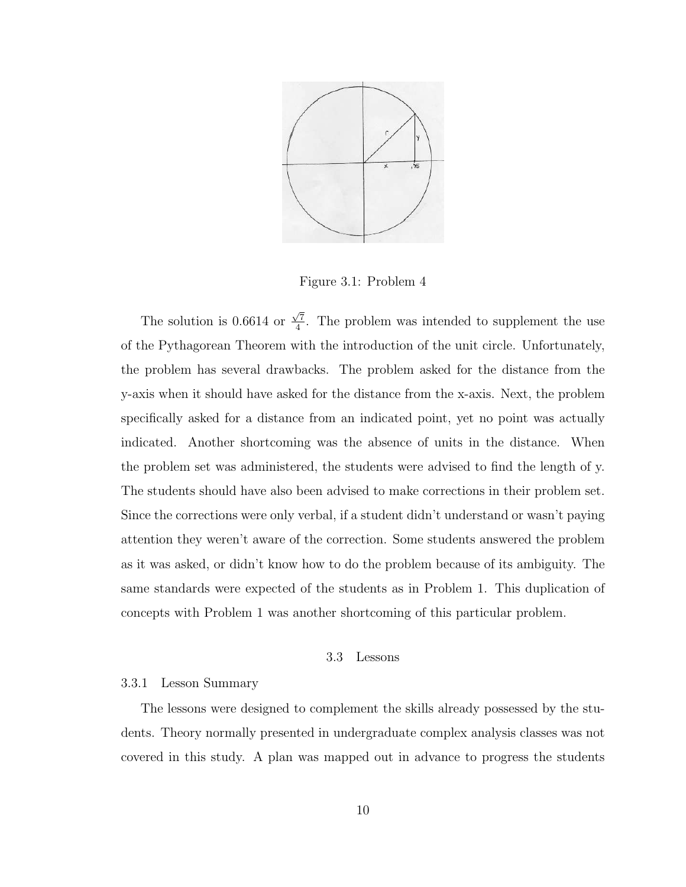

Figure 3.1: Problem 4

The solution is 0.6614 or  $\frac{\sqrt{7}}{4}$  $\frac{\sqrt{7}}{4}$ . The problem was intended to supplement the use of the Pythagorean Theorem with the introduction of the unit circle. Unfortunately, the problem has several drawbacks. The problem asked for the distance from the y-axis when it should have asked for the distance from the x-axis. Next, the problem specifically asked for a distance from an indicated point, yet no point was actually indicated. Another shortcoming was the absence of units in the distance. When the problem set was administered, the students were advised to find the length of y. The students should have also been advised to make corrections in their problem set. Since the corrections were only verbal, if a student didn't understand or wasn't paying attention they weren't aware of the correction. Some students answered the problem as it was asked, or didn't know how to do the problem because of its ambiguity. The same standards were expected of the students as in Problem 1. This duplication of concepts with Problem 1 was another shortcoming of this particular problem.

#### 3.3 Lessons

## 3.3.1 Lesson Summary

The lessons were designed to complement the skills already possessed by the students. Theory normally presented in undergraduate complex analysis classes was not covered in this study. A plan was mapped out in advance to progress the students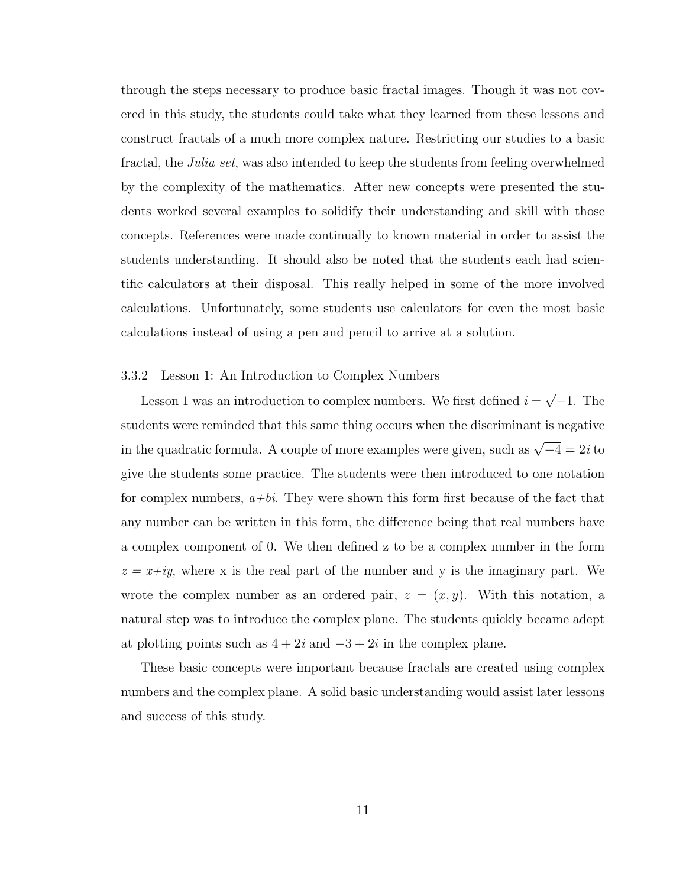through the steps necessary to produce basic fractal images. Though it was not covered in this study, the students could take what they learned from these lessons and construct fractals of a much more complex nature. Restricting our studies to a basic fractal, the *Julia set*, was also intended to keep the students from feeling overwhelmed by the complexity of the mathematics. After new concepts were presented the students worked several examples to solidify their understanding and skill with those concepts. References were made continually to known material in order to assist the students understanding. It should also be noted that the students each had scientific calculators at their disposal. This really helped in some of the more involved calculations. Unfortunately, some students use calculators for even the most basic calculations instead of using a pen and pencil to arrive at a solution.

## 3.3.2 Lesson 1: An Introduction to Complex Numbers

Lesson 1 was an introduction to complex numbers. We first defined  $i = \sqrt{-1}$ . The students were reminded that this same thing occurs when the discriminant is negative in the quadratic formula. A couple of more examples were given, such as  $\sqrt{-4} = 2i$  to give the students some practice. The students were then introduced to one notation for complex numbers,  $a+bi$ . They were shown this form first because of the fact that any number can be written in this form, the difference being that real numbers have a complex component of 0. We then defined z to be a complex number in the form  $z = x + iy$ , where x is the real part of the number and y is the imaginary part. We wrote the complex number as an ordered pair,  $z = (x, y)$ . With this notation, a natural step was to introduce the complex plane. The students quickly became adept at plotting points such as  $4 + 2i$  and  $-3 + 2i$  in the complex plane.

These basic concepts were important because fractals are created using complex numbers and the complex plane. A solid basic understanding would assist later lessons and success of this study.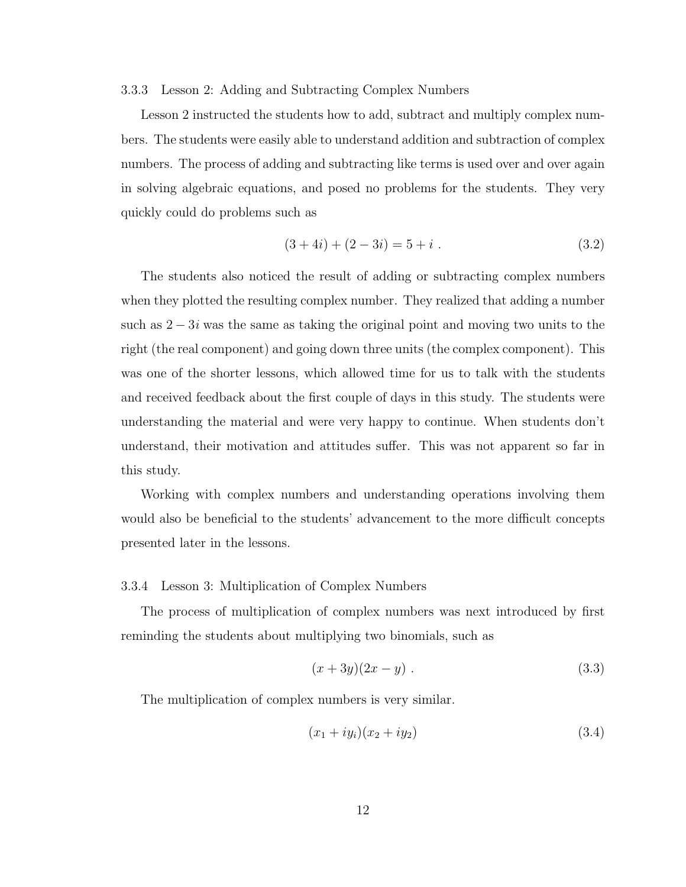#### 3.3.3 Lesson 2: Adding and Subtracting Complex Numbers

Lesson 2 instructed the students how to add, subtract and multiply complex numbers. The students were easily able to understand addition and subtraction of complex numbers. The process of adding and subtracting like terms is used over and over again in solving algebraic equations, and posed no problems for the students. They very quickly could do problems such as

$$
(3+4i) + (2-3i) = 5 + i . \tag{3.2}
$$

The students also noticed the result of adding or subtracting complex numbers when they plotted the resulting complex number. They realized that adding a number such as  $2 - 3i$  was the same as taking the original point and moving two units to the right (the real component) and going down three units (the complex component). This was one of the shorter lessons, which allowed time for us to talk with the students and received feedback about the first couple of days in this study. The students were understanding the material and were very happy to continue. When students don't understand, their motivation and attitudes suffer. This was not apparent so far in this study.

Working with complex numbers and understanding operations involving them would also be beneficial to the students' advancement to the more difficult concepts presented later in the lessons.

## 3.3.4 Lesson 3: Multiplication of Complex Numbers

The process of multiplication of complex numbers was next introduced by first reminding the students about multiplying two binomials, such as

$$
(x+3y)(2x-y) \ . \t\t(3.3)
$$

The multiplication of complex numbers is very similar.

$$
(x_1 + iy_i)(x_2 + iy_2) \t\t(3.4)
$$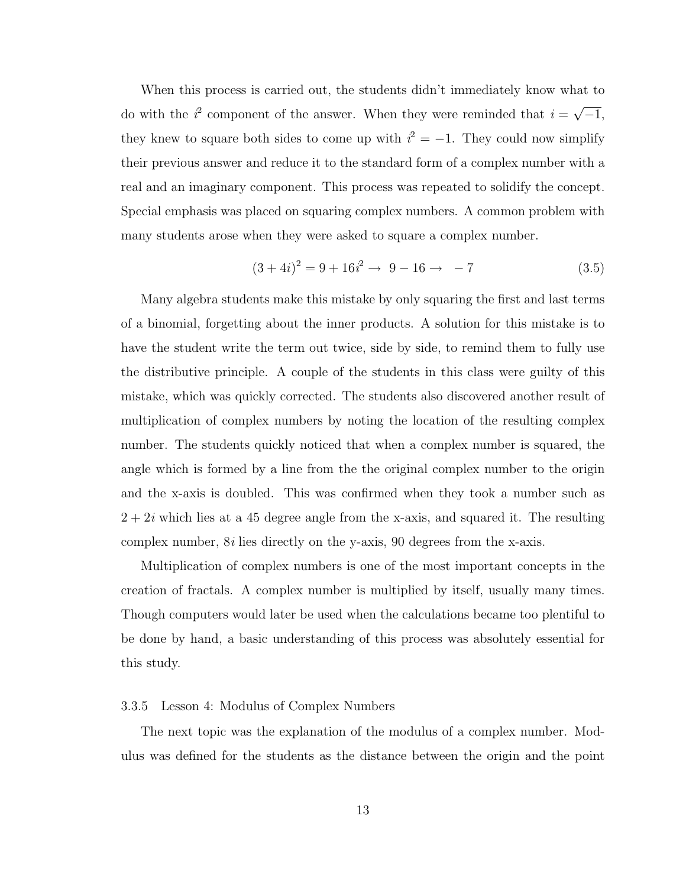When this process is carried out, the students didn't immediately know what to do with the  $i^2$  component of the answer. When they were reminded that  $i = \sqrt{-1}$ , they knew to square both sides to come up with  $i^2 = -1$ . They could now simplify their previous answer and reduce it to the standard form of a complex number with a real and an imaginary component. This process was repeated to solidify the concept. Special emphasis was placed on squaring complex numbers. A common problem with many students arose when they were asked to square a complex number.

$$
(3+4i)^2 = 9 + 16i^2 \rightarrow 9 - 16 \rightarrow -7
$$
 (3.5)

Many algebra students make this mistake by only squaring the first and last terms of a binomial, forgetting about the inner products. A solution for this mistake is to have the student write the term out twice, side by side, to remind them to fully use the distributive principle. A couple of the students in this class were guilty of this mistake, which was quickly corrected. The students also discovered another result of multiplication of complex numbers by noting the location of the resulting complex number. The students quickly noticed that when a complex number is squared, the angle which is formed by a line from the the original complex number to the origin and the x-axis is doubled. This was confirmed when they took a number such as  $2 + 2i$  which lies at a 45 degree angle from the x-axis, and squared it. The resulting complex number,  $8i$  lies directly on the y-axis,  $90$  degrees from the x-axis.

Multiplication of complex numbers is one of the most important concepts in the creation of fractals. A complex number is multiplied by itself, usually many times. Though computers would later be used when the calculations became too plentiful to be done by hand, a basic understanding of this process was absolutely essential for this study.

#### 3.3.5 Lesson 4: Modulus of Complex Numbers

The next topic was the explanation of the modulus of a complex number. Modulus was defined for the students as the distance between the origin and the point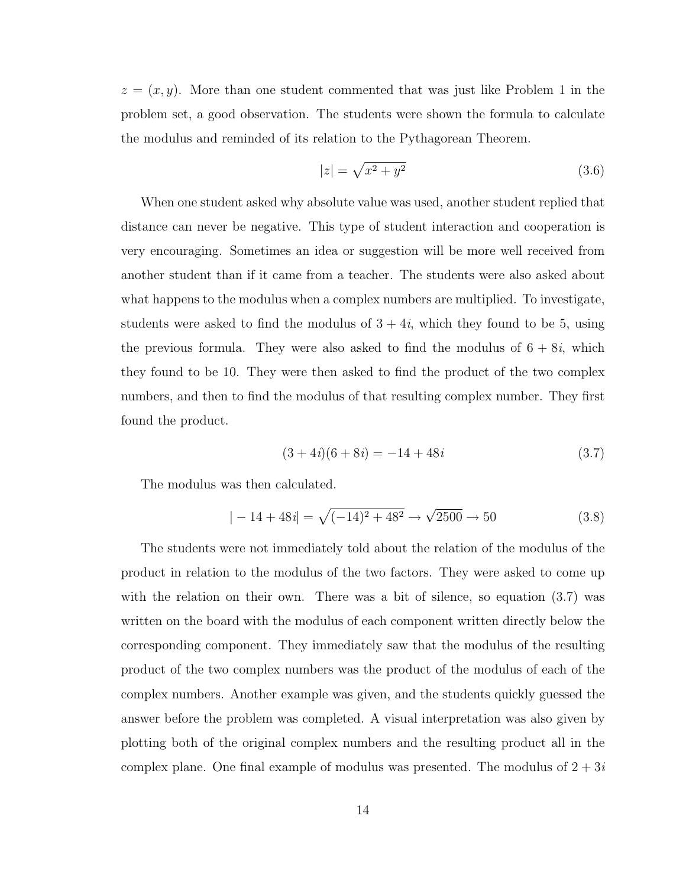$z = (x, y)$ . More than one student commented that was just like Problem 1 in the problem set, a good observation. The students were shown the formula to calculate the modulus and reminded of its relation to the Pythagorean Theorem.

$$
|z| = \sqrt{x^2 + y^2} \tag{3.6}
$$

When one student asked why absolute value was used, another student replied that distance can never be negative. This type of student interaction and cooperation is very encouraging. Sometimes an idea or suggestion will be more well received from another student than if it came from a teacher. The students were also asked about what happens to the modulus when a complex numbers are multiplied. To investigate, students were asked to find the modulus of  $3 + 4i$ , which they found to be 5, using the previous formula. They were also asked to find the modulus of  $6 + 8i$ , which they found to be 10. They were then asked to find the product of the two complex numbers, and then to find the modulus of that resulting complex number. They first found the product.

$$
(3+4i)(6+8i) = -14+48i
$$
\n(3.7)

The modulus was then calculated.

$$
|-14 + 48i| = \sqrt{(-14)^2 + 48^2} \rightarrow \sqrt{2500} \rightarrow 50
$$
 (3.8)

The students were not immediately told about the relation of the modulus of the product in relation to the modulus of the two factors. They were asked to come up with the relation on their own. There was a bit of silence, so equation  $(3.7)$  was written on the board with the modulus of each component written directly below the corresponding component. They immediately saw that the modulus of the resulting product of the two complex numbers was the product of the modulus of each of the complex numbers. Another example was given, and the students quickly guessed the answer before the problem was completed. A visual interpretation was also given by plotting both of the original complex numbers and the resulting product all in the complex plane. One final example of modulus was presented. The modulus of  $2 + 3i$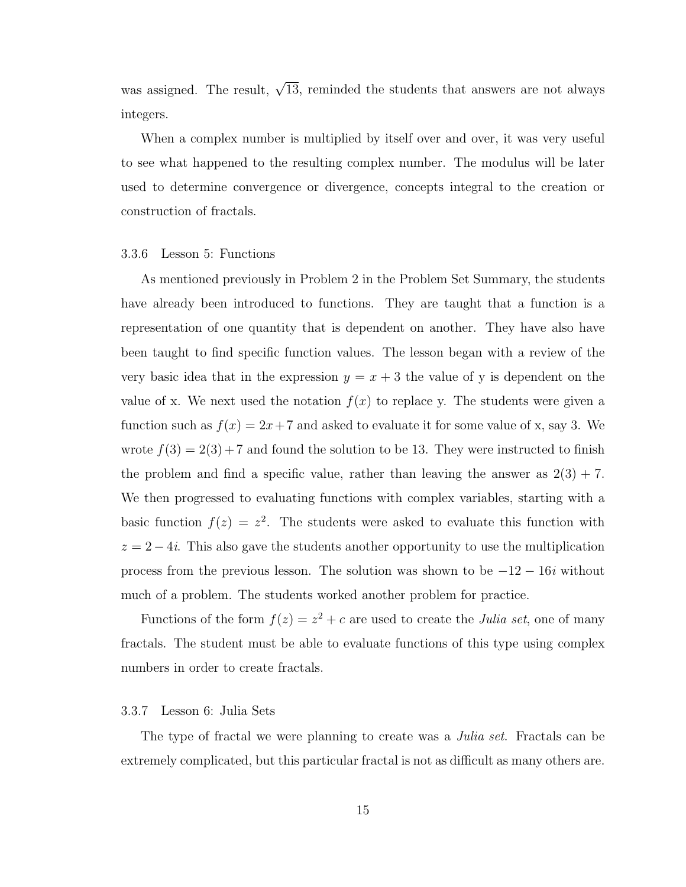was assigned. The result,  $\sqrt{13}$ , reminded the students that answers are not always integers.

When a complex number is multiplied by itself over and over, it was very useful to see what happened to the resulting complex number. The modulus will be later used to determine convergence or divergence, concepts integral to the creation or construction of fractals.

# 3.3.6 Lesson 5: Functions

As mentioned previously in Problem 2 in the Problem Set Summary, the students have already been introduced to functions. They are taught that a function is a representation of one quantity that is dependent on another. They have also have been taught to find specific function values. The lesson began with a review of the very basic idea that in the expression  $y = x + 3$  the value of y is dependent on the value of x. We next used the notation  $f(x)$  to replace y. The students were given a function such as  $f(x) = 2x + 7$  and asked to evaluate it for some value of x, say 3. We wrote  $f(3) = 2(3) + 7$  and found the solution to be 13. They were instructed to finish the problem and find a specific value, rather than leaving the answer as  $2(3) + 7$ . We then progressed to evaluating functions with complex variables, starting with a basic function  $f(z) = z^2$ . The students were asked to evaluate this function with  $z = 2 - 4i$ . This also gave the students another opportunity to use the multiplication process from the previous lesson. The solution was shown to be  $-12 - 16i$  without much of a problem. The students worked another problem for practice.

Functions of the form  $f(z) = z^2 + c$  are used to create the *Julia set*, one of many fractals. The student must be able to evaluate functions of this type using complex numbers in order to create fractals.

#### 3.3.7 Lesson 6: Julia Sets

The type of fractal we were planning to create was a *Julia set*. Fractals can be extremely complicated, but this particular fractal is not as difficult as many others are.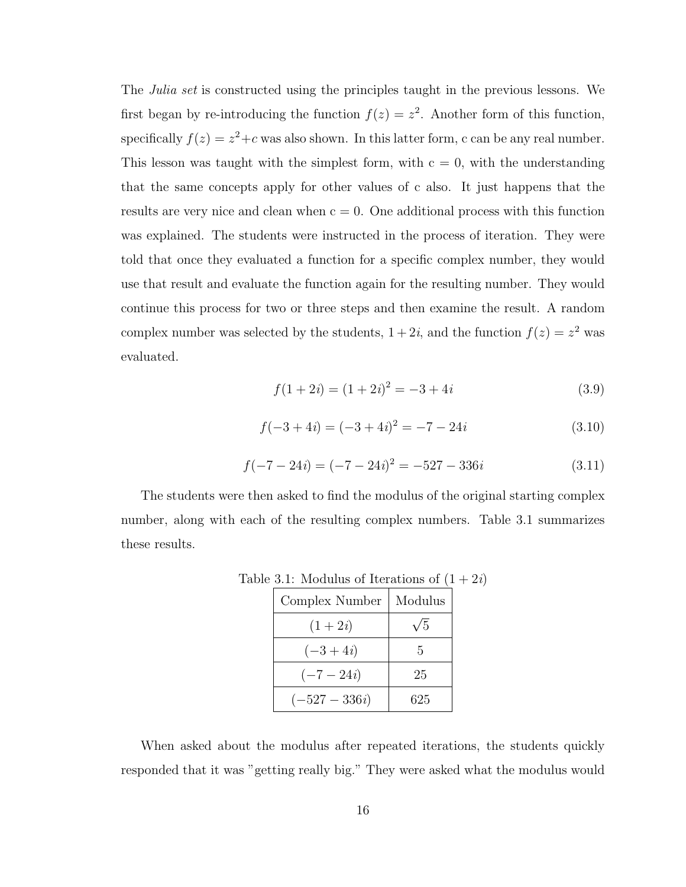The *Julia set* is constructed using the principles taught in the previous lessons. We first began by re-introducing the function  $f(z) = z^2$ . Another form of this function, specifically  $f(z) = z^2 + c$  was also shown. In this latter form, c can be any real number. This lesson was taught with the simplest form, with  $c = 0$ , with the understanding that the same concepts apply for other values of c also. It just happens that the results are very nice and clean when  $c = 0$ . One additional process with this function was explained. The students were instructed in the process of iteration. They were told that once they evaluated a function for a specific complex number, they would use that result and evaluate the function again for the resulting number. They would continue this process for two or three steps and then examine the result. A random complex number was selected by the students,  $1+2i$ , and the function  $f(z) = z<sup>2</sup>$  was evaluated.

$$
f(1+2i) = (1+2i)^2 = -3 + 4i
$$
 (3.9)

$$
f(-3+4i) = (-3+4i)^2 = -7 - 24i
$$
 (3.10)

$$
f(-7 - 24i) = (-7 - 24i)^2 = -527 - 336i \tag{3.11}
$$

The students were then asked to find the modulus of the original starting complex number, along with each of the resulting complex numbers. Table 3.1 summarizes these results.

| Complex Number  | Modulus    |
|-----------------|------------|
| $(1+2i)$        | $\sqrt{5}$ |
| $(-3+4i)$       | 5          |
| $(-7 - 24i)$    | 25         |
| $(-527 - 336i)$ | 625        |

Table 3.1: Modulus of Iterations of  $(1 + 2i)$ 

When asked about the modulus after repeated iterations, the students quickly responded that it was "getting really big." They were asked what the modulus would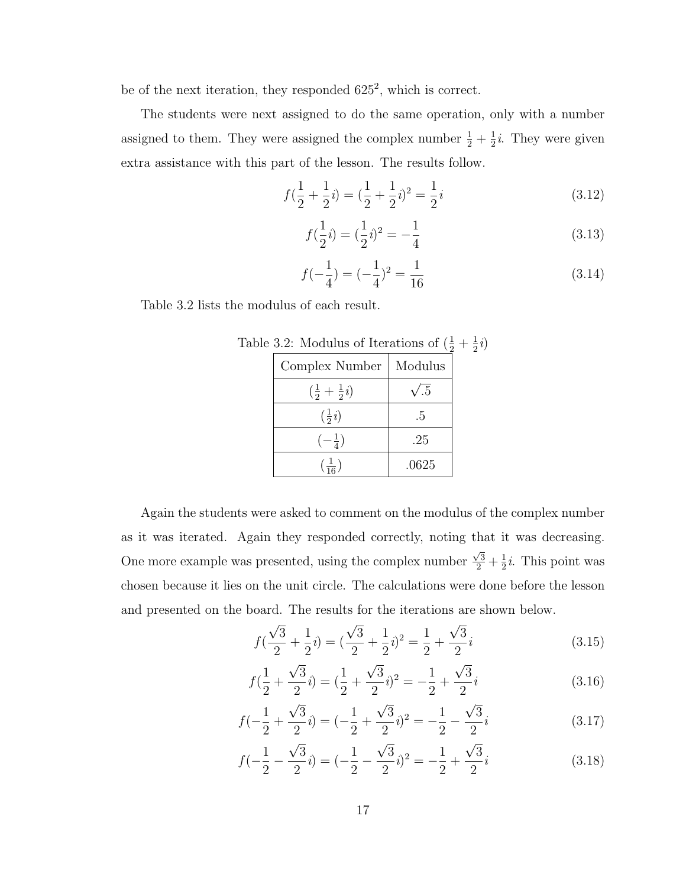be of the next iteration, they responded  $625^2$ , which is correct.

The students were next assigned to do the same operation, only with a number assigned to them. They were assigned the complex number  $\frac{1}{2} + \frac{1}{2}$  $\frac{1}{2}i$ . They were given extra assistance with this part of the lesson. The results follow.

$$
f(\frac{1}{2} + \frac{1}{2}i) = (\frac{1}{2} + \frac{1}{2}i)^2 = \frac{1}{2}i
$$
 (3.12)

$$
f(\frac{1}{2}i) = (\frac{1}{2}i)^2 = -\frac{1}{4}
$$
\n(3.13)

$$
f(-\frac{1}{4}) = (-\frac{1}{4})^2 = \frac{1}{16}
$$
 (3.14)

Table 3.2 lists the modulus of each result.

| Complex Number                 | Modulus     |
|--------------------------------|-------------|
| $(\frac{1}{2} + \frac{1}{2}i)$ | $\sqrt{.5}$ |
| $\left(\frac{1}{2}i\right)$    | .5          |
| $\left(-\frac{1}{4}\right)$    | .25         |
| $\left(\frac{1}{16}\right)$    | .0625       |

Table 3.2: Modulus of Iterations of  $(\frac{1}{2} + \frac{1}{2})$  $rac{1}{2}i)$ 

Again the students were asked to comment on the modulus of the complex number as it was iterated. Again they responded correctly, noting that it was decreasing. One more example was presented, using the complex number  $\frac{\sqrt{3}}{2} + \frac{1}{2}$  $\frac{1}{2}i$ . This point was chosen because it lies on the unit circle. The calculations were done before the lesson and presented on the board. The results for the iterations are shown below.

$$
f(\frac{\sqrt{3}}{2} + \frac{1}{2}i) = (\frac{\sqrt{3}}{2} + \frac{1}{2}i)^2 = \frac{1}{2} + \frac{\sqrt{3}}{2}i
$$
 (3.15)

$$
f(\frac{1}{2} + \frac{\sqrt{3}}{2}i) = (\frac{1}{2} + \frac{\sqrt{3}}{2}i)^2 = -\frac{1}{2} + \frac{\sqrt{3}}{2}i
$$
 (3.16)

$$
f(-\frac{1}{2} + \frac{\sqrt{3}}{2}i) = (-\frac{1}{2} + \frac{\sqrt{3}}{2}i)^2 = -\frac{1}{2} - \frac{\sqrt{3}}{2}i
$$
 (3.17)

$$
f(-\frac{1}{2} - \frac{\sqrt{3}}{2}i) = (-\frac{1}{2} - \frac{\sqrt{3}}{2}i)^2 = -\frac{1}{2} + \frac{\sqrt{3}}{2}i
$$
 (3.18)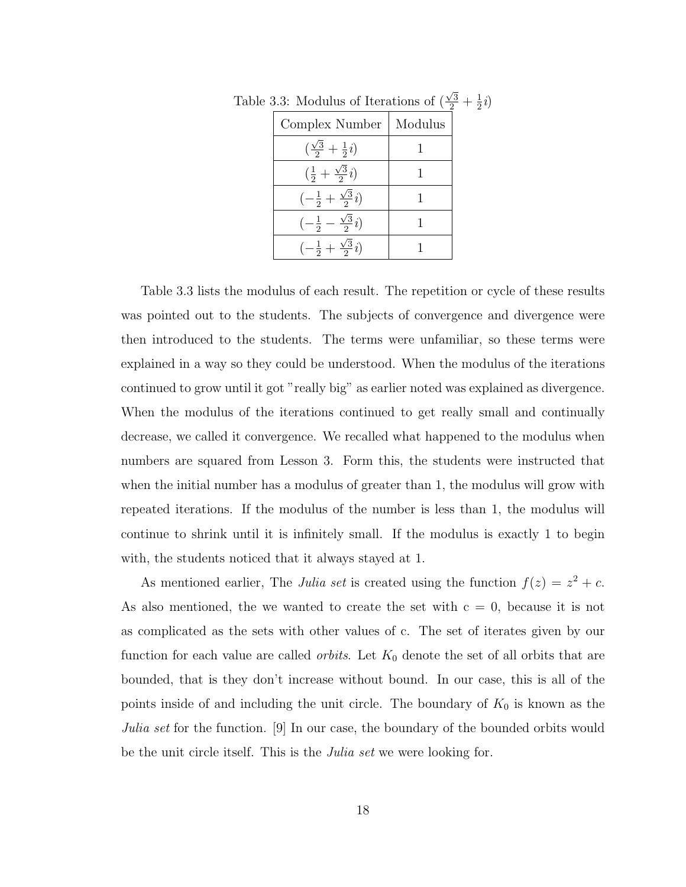| Complex Number                                    | Modulus |
|---------------------------------------------------|---------|
| $(\frac{\sqrt{3}}{2} + \frac{1}{2}i)$             |         |
| $(\frac{1}{2} + \frac{\sqrt{3}}{2}i)$             |         |
| $\left(-\frac{1}{2} + \frac{\sqrt{3}}{2}i\right)$ |         |
| $\left(-\frac{1}{2}-\frac{\sqrt{3}}{2}i\right)$   |         |
| $\left(-\frac{1}{2} + \frac{\sqrt{3}}{2}i\right)$ |         |

Table 3.3: Modulus of Iterations of  $\left(\frac{\sqrt{3}}{2} + \frac{1}{2}\right)$  $rac{1}{2}i)$ 

Table 3.3 lists the modulus of each result. The repetition or cycle of these results was pointed out to the students. The subjects of convergence and divergence were then introduced to the students. The terms were unfamiliar, so these terms were explained in a way so they could be understood. When the modulus of the iterations continued to grow until it got "really big" as earlier noted was explained as divergence. When the modulus of the iterations continued to get really small and continually decrease, we called it convergence. We recalled what happened to the modulus when numbers are squared from Lesson 3. Form this, the students were instructed that when the initial number has a modulus of greater than 1, the modulus will grow with repeated iterations. If the modulus of the number is less than 1, the modulus will continue to shrink until it is infinitely small. If the modulus is exactly 1 to begin with, the students noticed that it always stayed at 1.

As mentioned earlier, The Julia set is created using the function  $f(z) = z^2 + c$ . As also mentioned, the we wanted to create the set with  $c = 0$ , because it is not as complicated as the sets with other values of c. The set of iterates given by our function for each value are called *orbits*. Let  $K_0$  denote the set of all orbits that are bounded, that is they don't increase without bound. In our case, this is all of the points inside of and including the unit circle. The boundary of  $K_0$  is known as the Julia set for the function. [9] In our case, the boundary of the bounded orbits would be the unit circle itself. This is the *Julia set* we were looking for.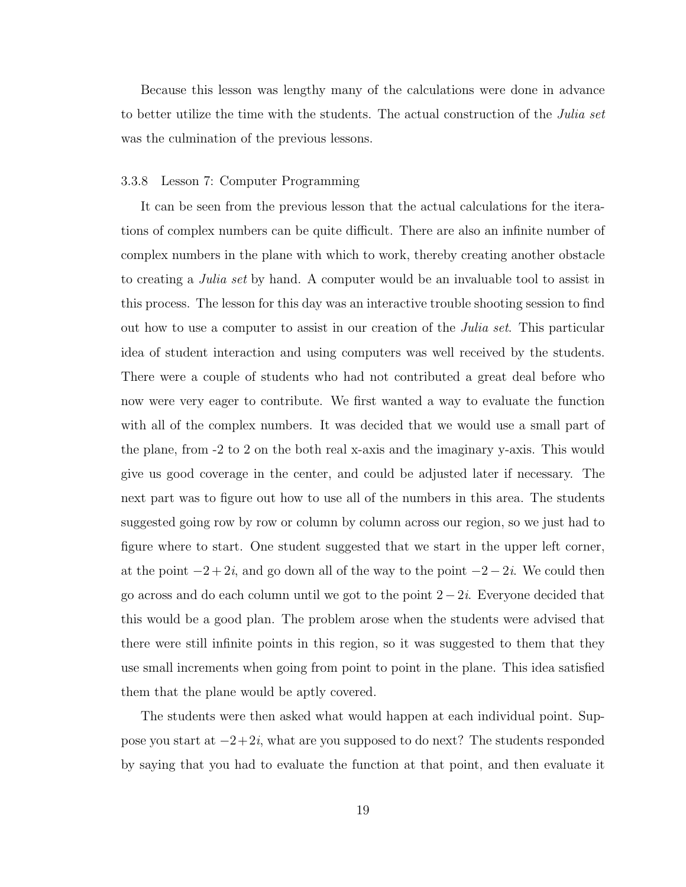Because this lesson was lengthy many of the calculations were done in advance to better utilize the time with the students. The actual construction of the *Julia set* was the culmination of the previous lessons.

#### 3.3.8 Lesson 7: Computer Programming

It can be seen from the previous lesson that the actual calculations for the iterations of complex numbers can be quite difficult. There are also an infinite number of complex numbers in the plane with which to work, thereby creating another obstacle to creating a Julia set by hand. A computer would be an invaluable tool to assist in this process. The lesson for this day was an interactive trouble shooting session to find out how to use a computer to assist in our creation of the Julia set. This particular idea of student interaction and using computers was well received by the students. There were a couple of students who had not contributed a great deal before who now were very eager to contribute. We first wanted a way to evaluate the function with all of the complex numbers. It was decided that we would use a small part of the plane, from -2 to 2 on the both real x-axis and the imaginary y-axis. This would give us good coverage in the center, and could be adjusted later if necessary. The next part was to figure out how to use all of the numbers in this area. The students suggested going row by row or column by column across our region, so we just had to figure where to start. One student suggested that we start in the upper left corner, at the point  $-2+2i$ , and go down all of the way to the point  $-2-2i$ . We could then go across and do each column until we got to the point  $2-2i$ . Everyone decided that this would be a good plan. The problem arose when the students were advised that there were still infinite points in this region, so it was suggested to them that they use small increments when going from point to point in the plane. This idea satisfied them that the plane would be aptly covered.

The students were then asked what would happen at each individual point. Suppose you start at −2+2i, what are you supposed to do next? The students responded by saying that you had to evaluate the function at that point, and then evaluate it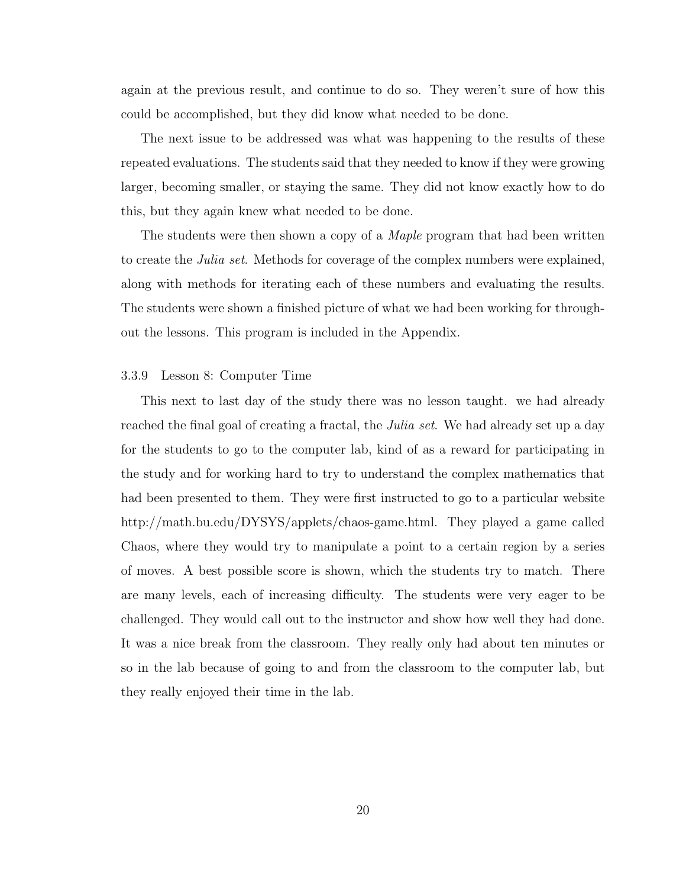again at the previous result, and continue to do so. They weren't sure of how this could be accomplished, but they did know what needed to be done.

The next issue to be addressed was what was happening to the results of these repeated evaluations. The students said that they needed to know if they were growing larger, becoming smaller, or staying the same. They did not know exactly how to do this, but they again knew what needed to be done.

The students were then shown a copy of a *Maple* program that had been written to create the Julia set. Methods for coverage of the complex numbers were explained, along with methods for iterating each of these numbers and evaluating the results. The students were shown a finished picture of what we had been working for throughout the lessons. This program is included in the Appendix.

## 3.3.9 Lesson 8: Computer Time

This next to last day of the study there was no lesson taught. we had already reached the final goal of creating a fractal, the *Julia set*. We had already set up a day for the students to go to the computer lab, kind of as a reward for participating in the study and for working hard to try to understand the complex mathematics that had been presented to them. They were first instructed to go to a particular website http://math.bu.edu/DYSYS/applets/chaos-game.html. They played a game called Chaos, where they would try to manipulate a point to a certain region by a series of moves. A best possible score is shown, which the students try to match. There are many levels, each of increasing difficulty. The students were very eager to be challenged. They would call out to the instructor and show how well they had done. It was a nice break from the classroom. They really only had about ten minutes or so in the lab because of going to and from the classroom to the computer lab, but they really enjoyed their time in the lab.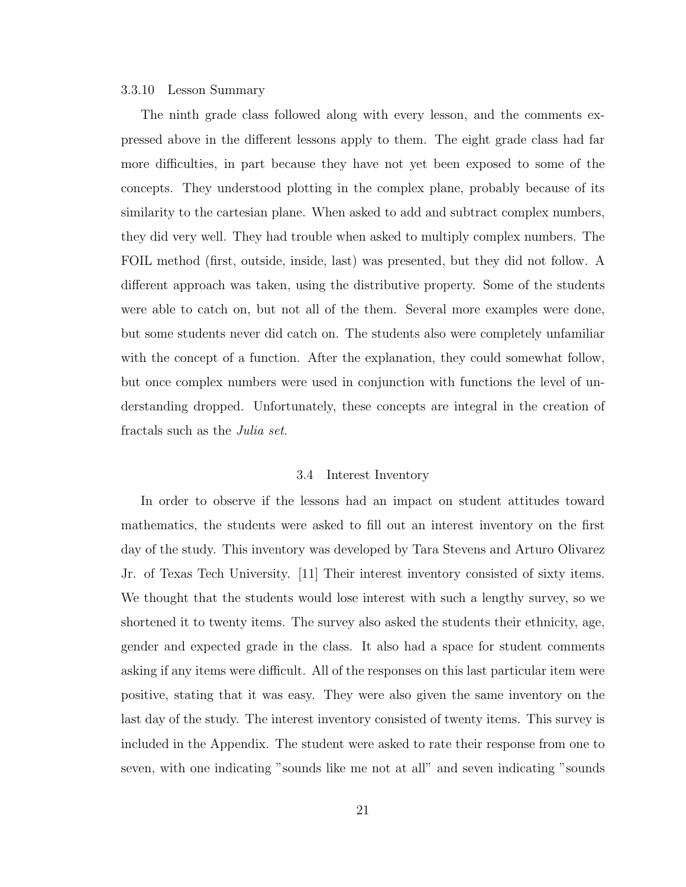### 3.3.10 Lesson Summary

The ninth grade class followed along with every lesson, and the comments expressed above in the different lessons apply to them. The eight grade class had far more difficulties, in part because they have not yet been exposed to some of the concepts. They understood plotting in the complex plane, probably because of its similarity to the cartesian plane. When asked to add and subtract complex numbers, they did very well. They had trouble when asked to multiply complex numbers. The FOIL method (first, outside, inside, last) was presented, but they did not follow. A different approach was taken, using the distributive property. Some of the students were able to catch on, but not all of the them. Several more examples were done, but some students never did catch on. The students also were completely unfamiliar with the concept of a function. After the explanation, they could somewhat follow, but once complex numbers were used in conjunction with functions the level of understanding dropped. Unfortunately, these concepts are integral in the creation of fractals such as the Julia set.

#### 3.4 Interest Inventory

In order to observe if the lessons had an impact on student attitudes toward mathematics, the students were asked to fill out an interest inventory on the first day of the study. This inventory was developed by Tara Stevens and Arturo Olivarez Jr. of Texas Tech University. [11] Their interest inventory consisted of sixty items. We thought that the students would lose interest with such a lengthy survey, so we shortened it to twenty items. The survey also asked the students their ethnicity, age, gender and expected grade in the class. It also had a space for student comments asking if any items were difficult. All of the responses on this last particular item were positive, stating that it was easy. They were also given the same inventory on the last day of the study. The interest inventory consisted of twenty items. This survey is included in the Appendix. The student were asked to rate their response from one to seven, with one indicating "sounds like me not at all" and seven indicating "sounds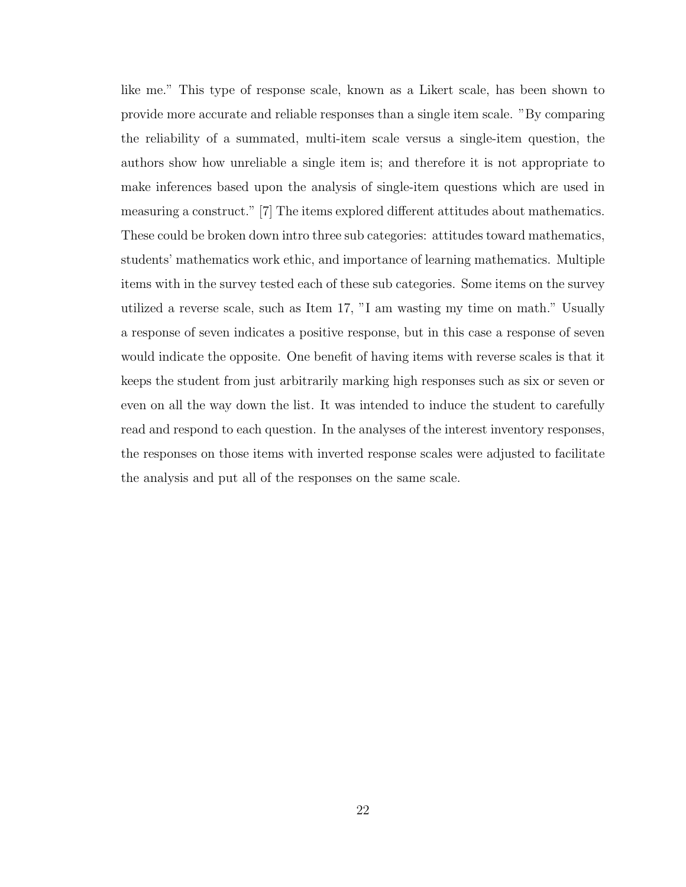like me." This type of response scale, known as a Likert scale, has been shown to provide more accurate and reliable responses than a single item scale. "By comparing the reliability of a summated, multi-item scale versus a single-item question, the authors show how unreliable a single item is; and therefore it is not appropriate to make inferences based upon the analysis of single-item questions which are used in measuring a construct." [7] The items explored different attitudes about mathematics. These could be broken down intro three sub categories: attitudes toward mathematics, students' mathematics work ethic, and importance of learning mathematics. Multiple items with in the survey tested each of these sub categories. Some items on the survey utilized a reverse scale, such as Item 17, "I am wasting my time on math." Usually a response of seven indicates a positive response, but in this case a response of seven would indicate the opposite. One benefit of having items with reverse scales is that it keeps the student from just arbitrarily marking high responses such as six or seven or even on all the way down the list. It was intended to induce the student to carefully read and respond to each question. In the analyses of the interest inventory responses, the responses on those items with inverted response scales were adjusted to facilitate the analysis and put all of the responses on the same scale.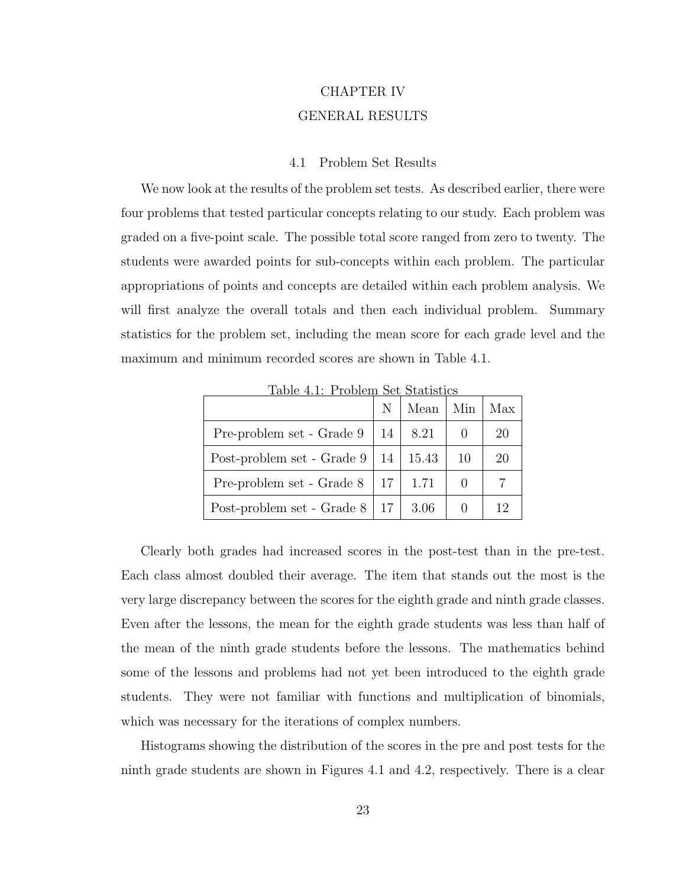# CHAPTER IV GENERAL RESULTS

#### 4.1 Problem Set Results

We now look at the results of the problem set tests. As described earlier, there were four problems that tested particular concepts relating to our study. Each problem was graded on a five-point scale. The possible total score ranged from zero to twenty. The students were awarded points for sub-concepts within each problem. The particular appropriations of points and concepts are detailed within each problem analysis. We will first analyze the overall totals and then each individual problem. Summary statistics for the problem set, including the mean score for each grade level and the maximum and minimum recorded scores are shown in Table 4.1.

|                                      | N                | Mean  | Min | Max |
|--------------------------------------|------------------|-------|-----|-----|
| Pre-problem set - Grade 9            | 14               | 8.21  |     | 20  |
| Post-problem set - Grade 9           | 14               | 15.43 | 10  | 20  |
| Pre-problem set - Grade 8            | $\vert 17 \vert$ | 1.71  |     |     |
| Post-problem set - Grade $8 \mid 17$ |                  | 3.06  |     | 12  |

Table 4.1: Problem Set Statistics

Clearly both grades had increased scores in the post-test than in the pre-test. Each class almost doubled their average. The item that stands out the most is the very large discrepancy between the scores for the eighth grade and ninth grade classes. Even after the lessons, the mean for the eighth grade students was less than half of the mean of the ninth grade students before the lessons. The mathematics behind some of the lessons and problems had not yet been introduced to the eighth grade students. They were not familiar with functions and multiplication of binomials, which was necessary for the iterations of complex numbers.

Histograms showing the distribution of the scores in the pre and post tests for the ninth grade students are shown in Figures 4.1 and 4.2, respectively. There is a clear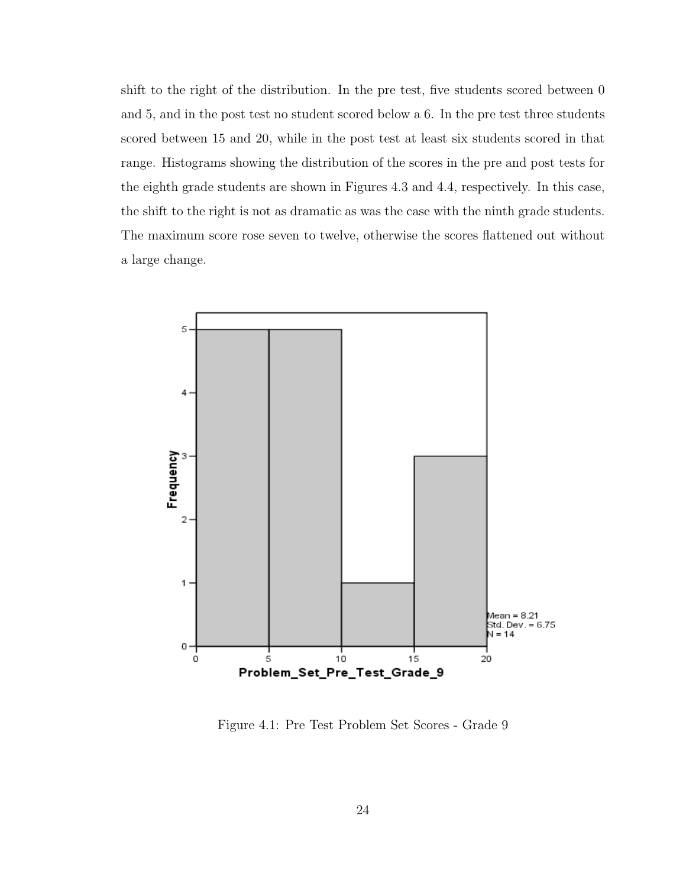shift to the right of the distribution. In the pre test, five students scored between 0 and 5, and in the post test no student scored below a 6. In the pre test three students scored between 15 and 20, while in the post test at least six students scored in that range. Histograms showing the distribution of the scores in the pre and post tests for the eighth grade students are shown in Figures 4.3 and 4.4, respectively. In this case, the shift to the right is not as dramatic as was the case with the ninth grade students. The maximum score rose seven to twelve, otherwise the scores flattened out without a large change.



Figure 4.1: Pre Test Problem Set Scores - Grade 9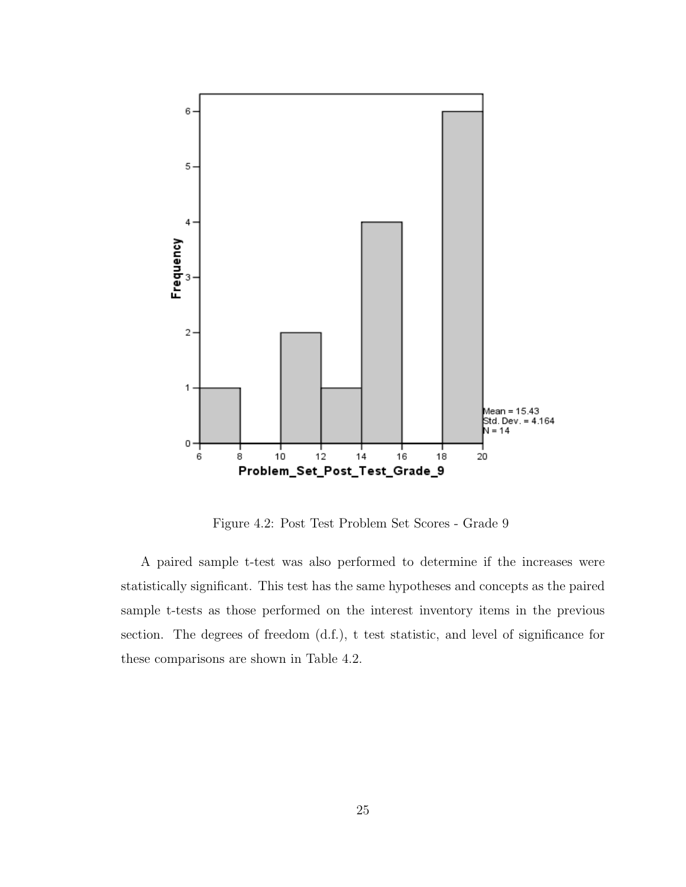

Figure 4.2: Post Test Problem Set Scores - Grade 9

A paired sample t-test was also performed to determine if the increases were statistically significant. This test has the same hypotheses and concepts as the paired sample t-tests as those performed on the interest inventory items in the previous section. The degrees of freedom (d.f.), t test statistic, and level of significance for these comparisons are shown in Table 4.2.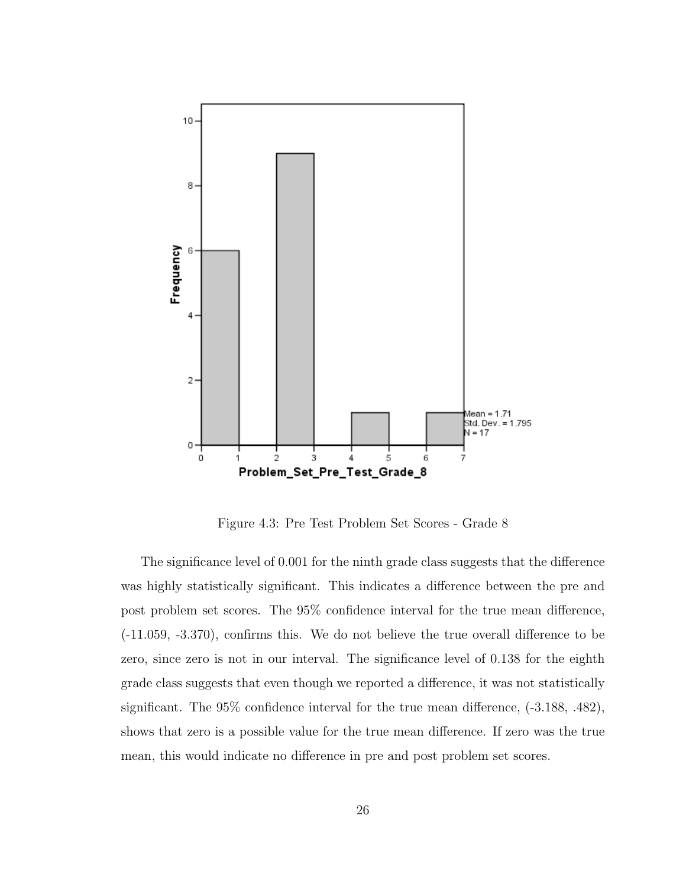

Figure 4.3: Pre Test Problem Set Scores - Grade 8

The significance level of 0.001 for the ninth grade class suggests that the difference was highly statistically significant. This indicates a difference between the pre and post problem set scores. The 95% confidence interval for the true mean difference, (-11.059, -3.370), confirms this. We do not believe the true overall difference to be zero, since zero is not in our interval. The significance level of 0.138 for the eighth grade class suggests that even though we reported a difference, it was not statistically significant. The 95% confidence interval for the true mean difference, (-3.188, .482), shows that zero is a possible value for the true mean difference. If zero was the true mean, this would indicate no difference in pre and post problem set scores.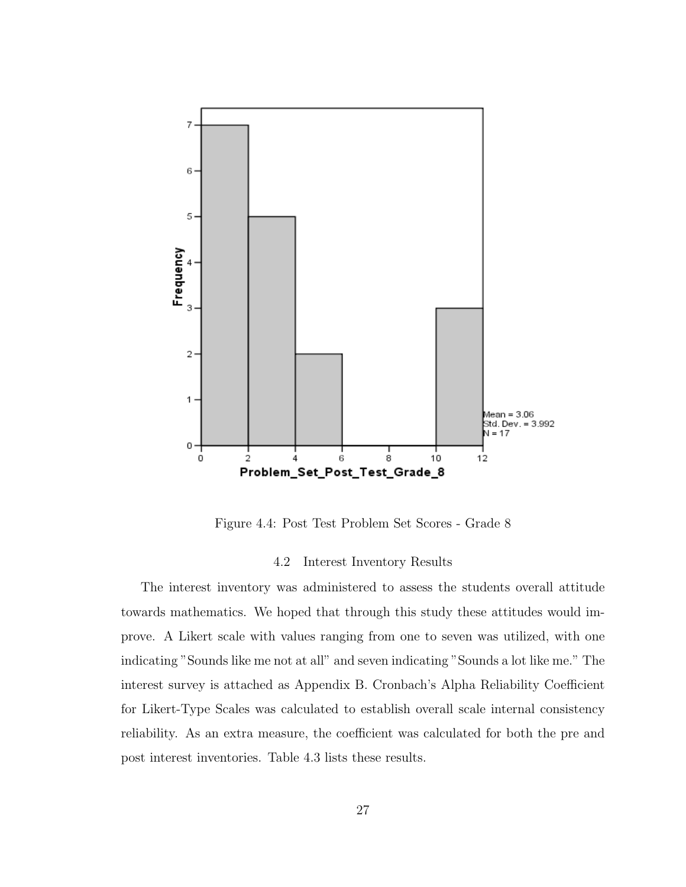

Figure 4.4: Post Test Problem Set Scores - Grade 8

#### 4.2 Interest Inventory Results

The interest inventory was administered to assess the students overall attitude towards mathematics. We hoped that through this study these attitudes would improve. A Likert scale with values ranging from one to seven was utilized, with one indicating "Sounds like me not at all" and seven indicating "Sounds a lot like me." The interest survey is attached as Appendix B. Cronbach's Alpha Reliability Coefficient for Likert-Type Scales was calculated to establish overall scale internal consistency reliability. As an extra measure, the coefficient was calculated for both the pre and post interest inventories. Table 4.3 lists these results.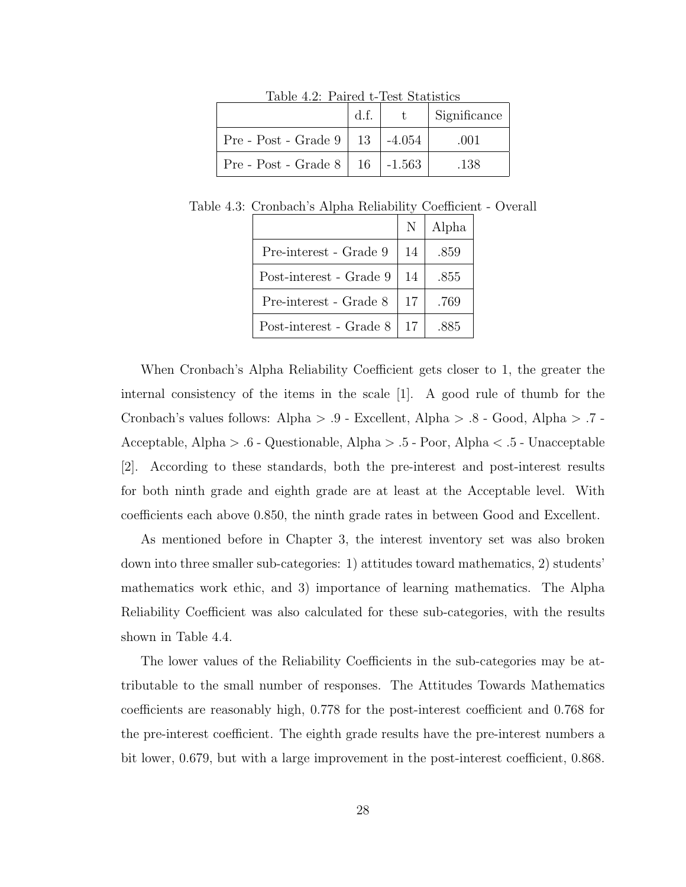|                                            | d.f. | - T.   | Significance |
|--------------------------------------------|------|--------|--------------|
| Pre - Post - Grade $9 \mid 13 \mid$        |      | -4.054 | .001         |
| Pre - Post - Grade $8 \mid 16 \mid -1.563$ |      |        | .138         |

Table 4.2: Paired t-Test Statistics

| к то. Стопрасн в тирна тепаршту соспісісня |                         |    |       |  |  |
|--------------------------------------------|-------------------------|----|-------|--|--|
|                                            |                         |    | Alpha |  |  |
|                                            | Pre-interest - Grade 9  | 14 | .859  |  |  |
|                                            | Post-interest - Grade 9 | 14 | .855  |  |  |
|                                            | Pre-interest - Grade 8  | 17 | .769  |  |  |
|                                            |                         |    |       |  |  |

Post-interest - Grade  $8 \mid 17 \mid .885$ 

Table 4.3: Cronbach's Alpha Reliability Coefficient - Overall

When Cronbach's Alpha Reliability Coefficient gets closer to 1, the greater the internal consistency of the items in the scale [1]. A good rule of thumb for the Cronbach's values follows: Alpha > .9 - Excellent, Alpha > .8 - Good, Alpha > .7 - Acceptable, Alpha > .6 - Questionable, Alpha > .5 - Poor, Alpha < .5 - Unacceptable [2]. According to these standards, both the pre-interest and post-interest results for both ninth grade and eighth grade are at least at the Acceptable level. With coefficients each above 0.850, the ninth grade rates in between Good and Excellent.

As mentioned before in Chapter 3, the interest inventory set was also broken down into three smaller sub-categories: 1) attitudes toward mathematics, 2) students' mathematics work ethic, and 3) importance of learning mathematics. The Alpha Reliability Coefficient was also calculated for these sub-categories, with the results shown in Table 4.4.

The lower values of the Reliability Coefficients in the sub-categories may be attributable to the small number of responses. The Attitudes Towards Mathematics coefficients are reasonably high, 0.778 for the post-interest coefficient and 0.768 for the pre-interest coefficient. The eighth grade results have the pre-interest numbers a bit lower, 0.679, but with a large improvement in the post-interest coefficient, 0.868.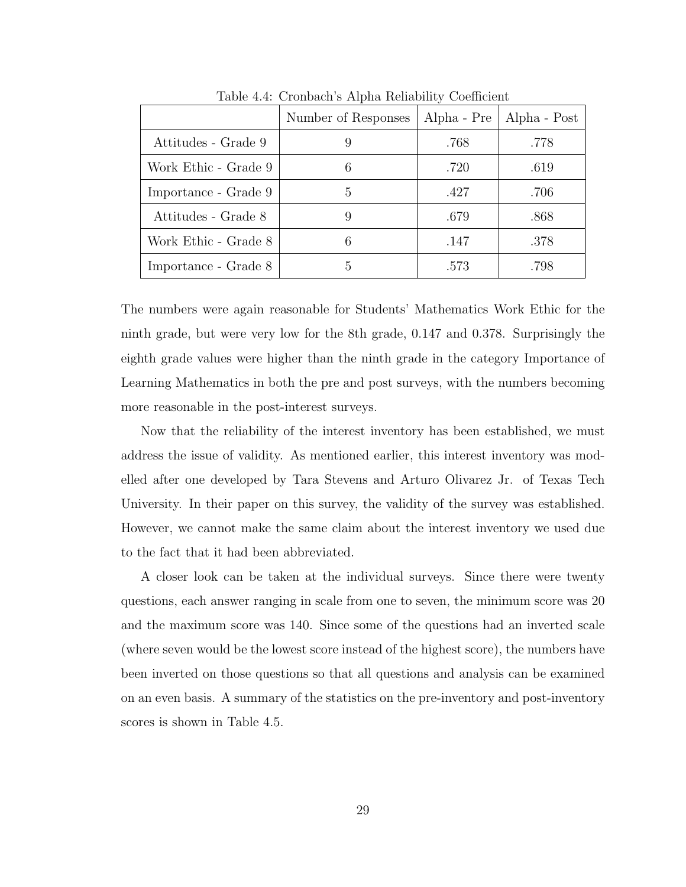|                      | Number of Responses | Alpha - Pre | Alpha - Post |
|----------------------|---------------------|-------------|--------------|
| Attitudes - Grade 9  | 9                   | .768        | .778         |
| Work Ethic - Grade 9 | 6                   | .720        | .619         |
| Importance - Grade 9 | 5                   | .427        | .706         |
| Attitudes - Grade 8  | 9                   | .679        | .868         |
| Work Ethic - Grade 8 | 6                   | .147        | .378         |
| Importance - Grade 8 | 5                   | .573        | .798         |

Table 4.4: Cronbach's Alpha Reliability Coefficient

The numbers were again reasonable for Students' Mathematics Work Ethic for the ninth grade, but were very low for the 8th grade, 0.147 and 0.378. Surprisingly the eighth grade values were higher than the ninth grade in the category Importance of Learning Mathematics in both the pre and post surveys, with the numbers becoming more reasonable in the post-interest surveys.

Now that the reliability of the interest inventory has been established, we must address the issue of validity. As mentioned earlier, this interest inventory was modelled after one developed by Tara Stevens and Arturo Olivarez Jr. of Texas Tech University. In their paper on this survey, the validity of the survey was established. However, we cannot make the same claim about the interest inventory we used due to the fact that it had been abbreviated.

A closer look can be taken at the individual surveys. Since there were twenty questions, each answer ranging in scale from one to seven, the minimum score was 20 and the maximum score was 140. Since some of the questions had an inverted scale (where seven would be the lowest score instead of the highest score), the numbers have been inverted on those questions so that all questions and analysis can be examined on an even basis. A summary of the statistics on the pre-inventory and post-inventory scores is shown in Table 4.5.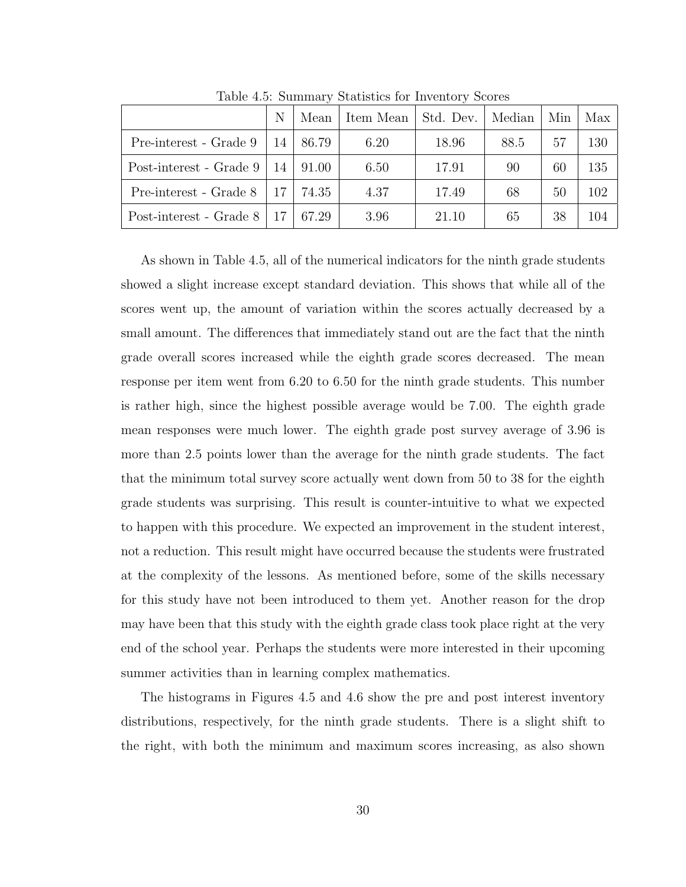|                         | N     | Mean  | Item Mean | Std. Dev. | Median | Min | Max |
|-------------------------|-------|-------|-----------|-----------|--------|-----|-----|
| Pre-interest - Grade 9  | 14    | 86.79 | 6.20      | 18.96     | 88.5   | 57  | 130 |
| Post-interest - Grade 9 | 14    | 91.00 | 6.50      | 17.91     | 90     | 60  | 135 |
| Pre-interest - Grade 8  | $-17$ | 74.35 | 4.37      | 17.49     | 68     | 50  | 102 |
| Post-interest - Grade 8 |       | 67.29 | 3.96      | 21.10     | 65     | 38  | 104 |

Table 4.5: Summary Statistics for Inventory Scores

As shown in Table 4.5, all of the numerical indicators for the ninth grade students showed a slight increase except standard deviation. This shows that while all of the scores went up, the amount of variation within the scores actually decreased by a small amount. The differences that immediately stand out are the fact that the ninth grade overall scores increased while the eighth grade scores decreased. The mean response per item went from 6.20 to 6.50 for the ninth grade students. This number is rather high, since the highest possible average would be 7.00. The eighth grade mean responses were much lower. The eighth grade post survey average of 3.96 is more than 2.5 points lower than the average for the ninth grade students. The fact that the minimum total survey score actually went down from 50 to 38 for the eighth grade students was surprising. This result is counter-intuitive to what we expected to happen with this procedure. We expected an improvement in the student interest, not a reduction. This result might have occurred because the students were frustrated at the complexity of the lessons. As mentioned before, some of the skills necessary for this study have not been introduced to them yet. Another reason for the drop may have been that this study with the eighth grade class took place right at the very end of the school year. Perhaps the students were more interested in their upcoming summer activities than in learning complex mathematics.

The histograms in Figures 4.5 and 4.6 show the pre and post interest inventory distributions, respectively, for the ninth grade students. There is a slight shift to the right, with both the minimum and maximum scores increasing, as also shown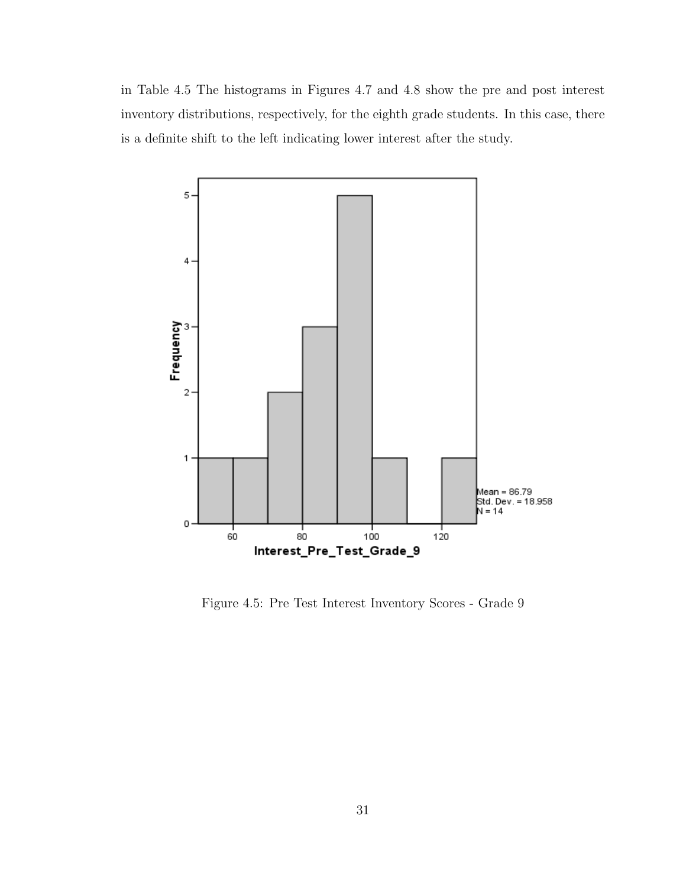in Table 4.5 The histograms in Figures 4.7 and 4.8 show the pre and post interest inventory distributions, respectively, for the eighth grade students. In this case, there is a definite shift to the left indicating lower interest after the study.



Figure 4.5: Pre Test Interest Inventory Scores - Grade 9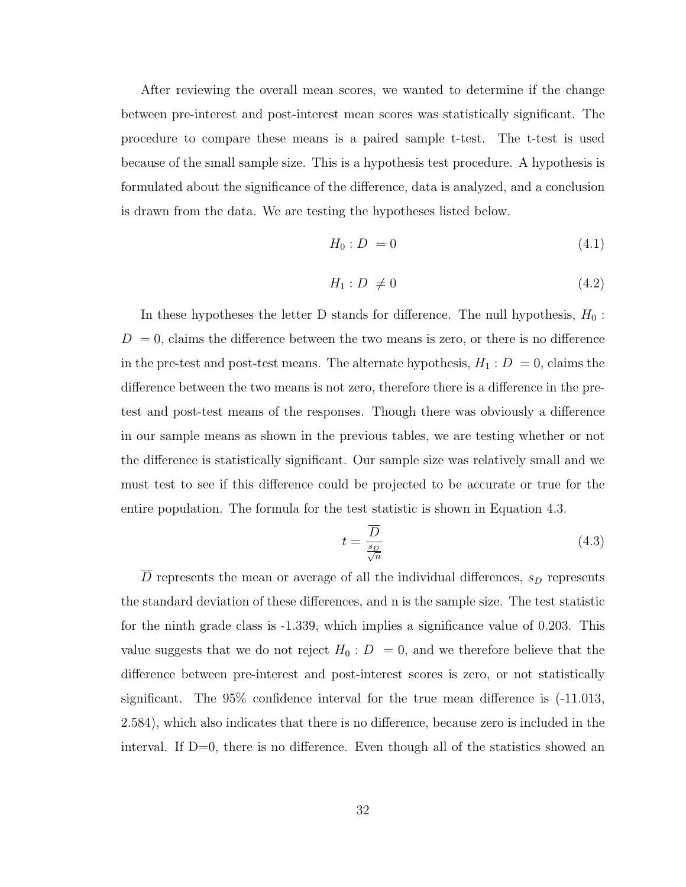After reviewing the overall mean scores, we wanted to determine if the change between pre-interest and post-interest mean scores was statistically significant. The procedure to compare these means is a paired sample t-test. The t-test is used because of the small sample size. This is a hypothesis test procedure. A hypothesis is formulated about the significance of the difference, data is analyzed, and a conclusion is drawn from the data. We are testing the hypotheses listed below.

$$
H_0: D = 0 \tag{4.1}
$$

$$
H_1: D \neq 0 \tag{4.2}
$$

In these hypotheses the letter D stands for difference. The null hypothesis,  $H_0$ :  $D = 0$ , claims the difference between the two means is zero, or there is no difference in the pre-test and post-test means. The alternate hypothesis,  $H_1 : D = 0$ , claims the difference between the two means is not zero, therefore there is a difference in the pretest and post-test means of the responses. Though there was obviously a difference in our sample means as shown in the previous tables, we are testing whether or not the difference is statistically significant. Our sample size was relatively small and we must test to see if this difference could be projected to be accurate or true for the entire population. The formula for the test statistic is shown in Equation 4.3.

$$
t = \frac{\overline{D}}{\frac{s_D}{\sqrt{n}}}
$$
\n
$$
(4.3)
$$

 $\overline{D}$  represents the mean or average of all the individual differences,  $s_D$  represents the standard deviation of these differences, and n is the sample size. The test statistic for the ninth grade class is -1.339, which implies a significance value of 0.203. This value suggests that we do not reject  $H_0: D = 0$ , and we therefore believe that the difference between pre-interest and post-interest scores is zero, or not statistically significant. The 95% confidence interval for the true mean difference is (-11.013, 2.584), which also indicates that there is no difference, because zero is included in the interval. If  $D=0$ , there is no difference. Even though all of the statistics showed an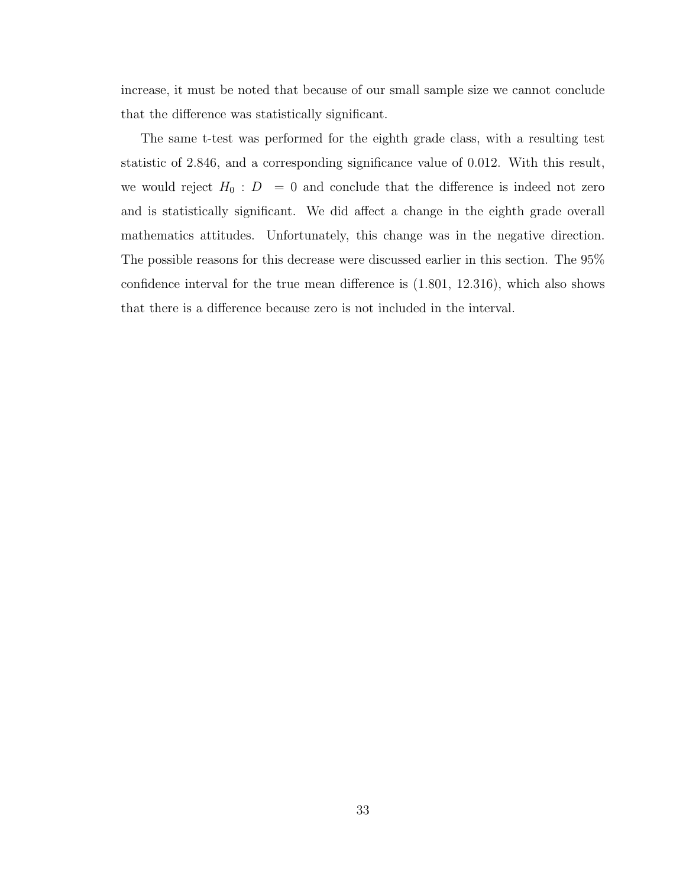increase, it must be noted that because of our small sample size we cannot conclude that the difference was statistically significant.

The same t-test was performed for the eighth grade class, with a resulting test statistic of 2.846, and a corresponding significance value of 0.012. With this result, we would reject  $H_0$ :  $D = 0$  and conclude that the difference is indeed not zero and is statistically significant. We did affect a change in the eighth grade overall mathematics attitudes. Unfortunately, this change was in the negative direction. The possible reasons for this decrease were discussed earlier in this section. The 95% confidence interval for the true mean difference is (1.801, 12.316), which also shows that there is a difference because zero is not included in the interval.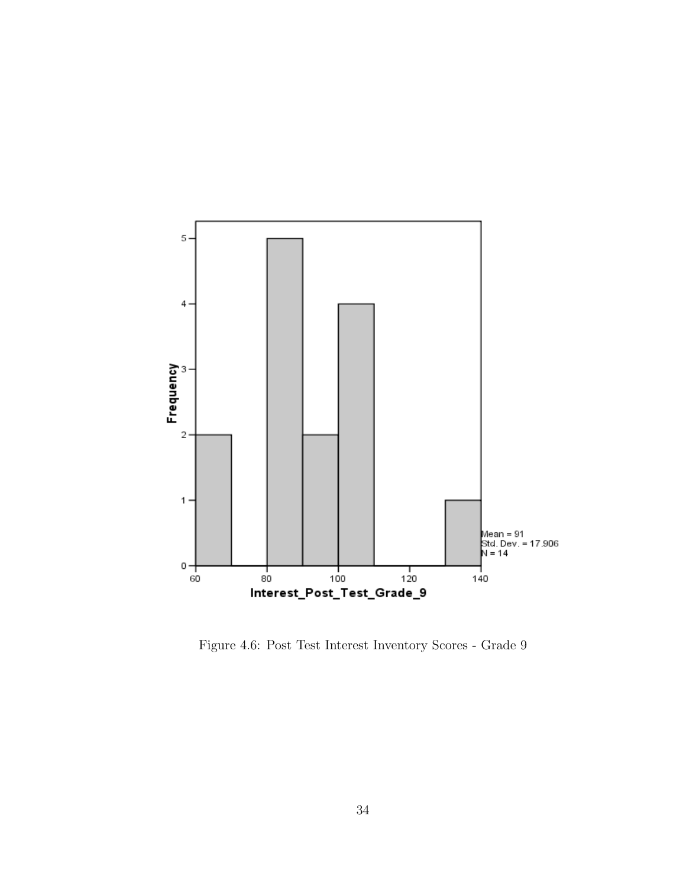

Figure 4.6: Post Test Interest Inventory Scores - Grade 9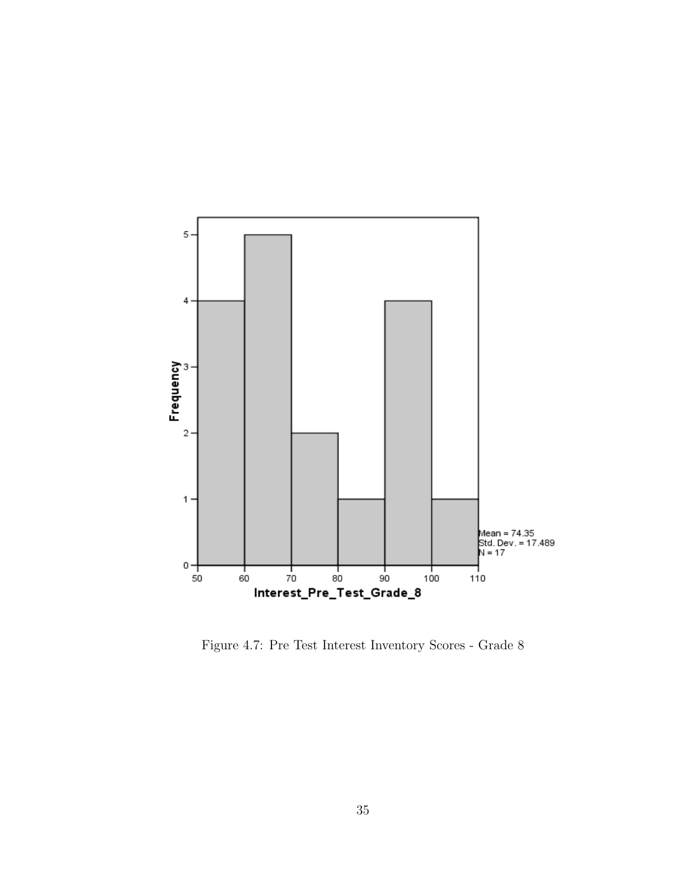

Figure 4.7: Pre Test Interest Inventory Scores - Grade 8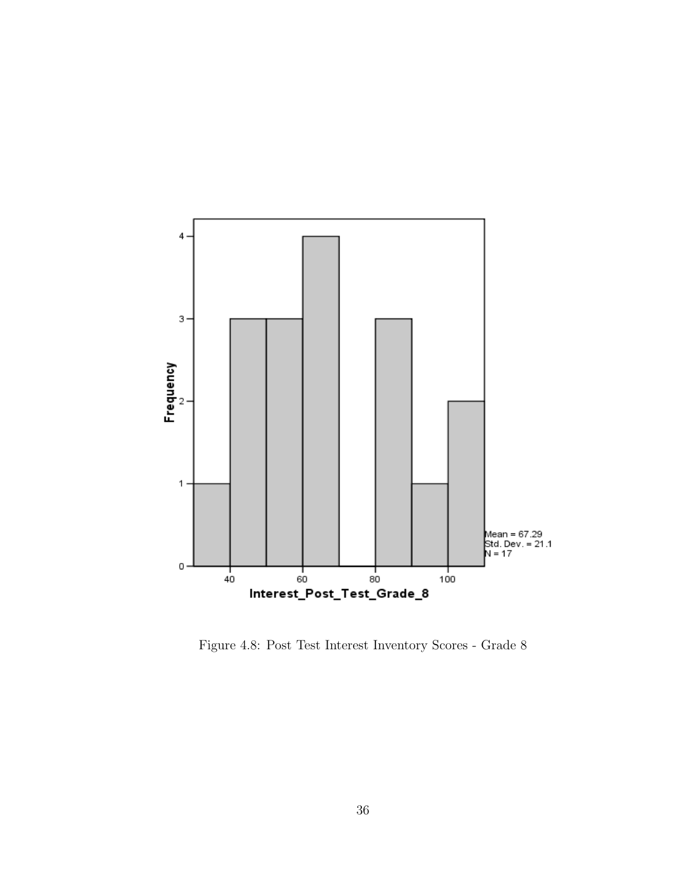

Figure 4.8: Post Test Interest Inventory Scores - Grade 8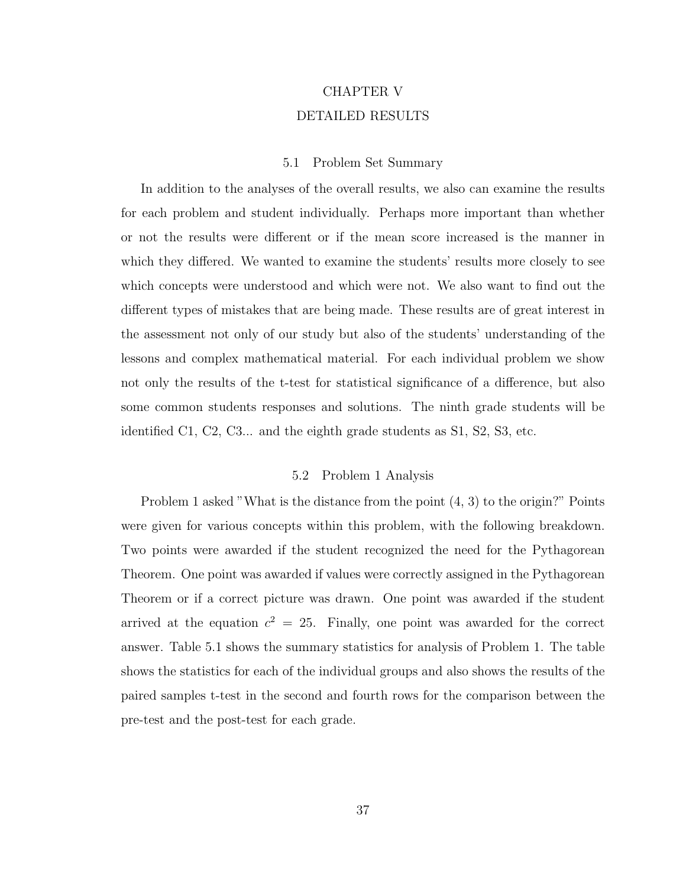## CHAPTER V DETAILED RESULTS

#### 5.1 Problem Set Summary

In addition to the analyses of the overall results, we also can examine the results for each problem and student individually. Perhaps more important than whether or not the results were different or if the mean score increased is the manner in which they differed. We wanted to examine the students' results more closely to see which concepts were understood and which were not. We also want to find out the different types of mistakes that are being made. These results are of great interest in the assessment not only of our study but also of the students' understanding of the lessons and complex mathematical material. For each individual problem we show not only the results of the t-test for statistical significance of a difference, but also some common students responses and solutions. The ninth grade students will be identified C1, C2, C3... and the eighth grade students as S1, S2, S3, etc.

#### 5.2 Problem 1 Analysis

Problem 1 asked "What is the distance from the point (4, 3) to the origin?" Points were given for various concepts within this problem, with the following breakdown. Two points were awarded if the student recognized the need for the Pythagorean Theorem. One point was awarded if values were correctly assigned in the Pythagorean Theorem or if a correct picture was drawn. One point was awarded if the student arrived at the equation  $c^2 = 25$ . Finally, one point was awarded for the correct answer. Table 5.1 shows the summary statistics for analysis of Problem 1. The table shows the statistics for each of the individual groups and also shows the results of the paired samples t-test in the second and fourth rows for the comparison between the pre-test and the post-test for each grade.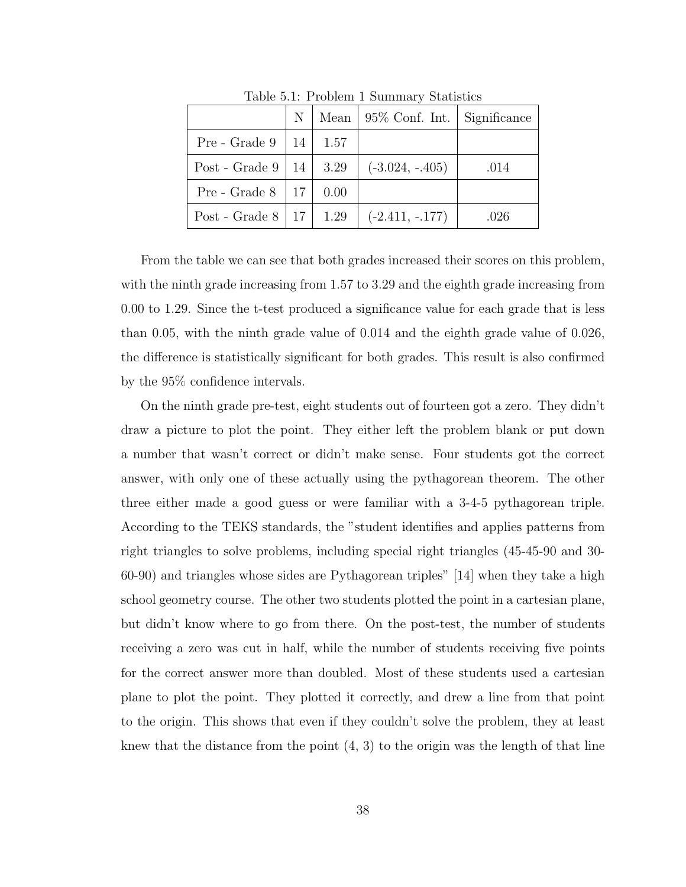|                                    | $\mathbb{N}$ |      | Mean $\vert$ 95\% Conf. Int. $\vert$ Significance |      |
|------------------------------------|--------------|------|---------------------------------------------------|------|
| Pre - Grade $9 \mid 14 \mid$       |              | 1.57 |                                                   |      |
| Post - Grade $9 \mid 14 \mid 3.29$ |              |      | $(-3.024, -.405)$                                 | .014 |
| Pre - Grade $8 \mid 17 \mid$       |              | 0.00 |                                                   |      |
| Post - Grade $8   17   1.29$       |              |      | $(-2.411, -177)$                                  | .026 |

Table 5.1: Problem 1 Summary Statistics

From the table we can see that both grades increased their scores on this problem, with the ninth grade increasing from 1.57 to 3.29 and the eighth grade increasing from 0.00 to 1.29. Since the t-test produced a significance value for each grade that is less than 0.05, with the ninth grade value of 0.014 and the eighth grade value of 0.026, the difference is statistically significant for both grades. This result is also confirmed by the 95% confidence intervals.

On the ninth grade pre-test, eight students out of fourteen got a zero. They didn't draw a picture to plot the point. They either left the problem blank or put down a number that wasn't correct or didn't make sense. Four students got the correct answer, with only one of these actually using the pythagorean theorem. The other three either made a good guess or were familiar with a 3-4-5 pythagorean triple. According to the TEKS standards, the "student identifies and applies patterns from right triangles to solve problems, including special right triangles (45-45-90 and 30- 60-90) and triangles whose sides are Pythagorean triples" [14] when they take a high school geometry course. The other two students plotted the point in a cartesian plane, but didn't know where to go from there. On the post-test, the number of students receiving a zero was cut in half, while the number of students receiving five points for the correct answer more than doubled. Most of these students used a cartesian plane to plot the point. They plotted it correctly, and drew a line from that point to the origin. This shows that even if they couldn't solve the problem, they at least knew that the distance from the point  $(4, 3)$  to the origin was the length of that line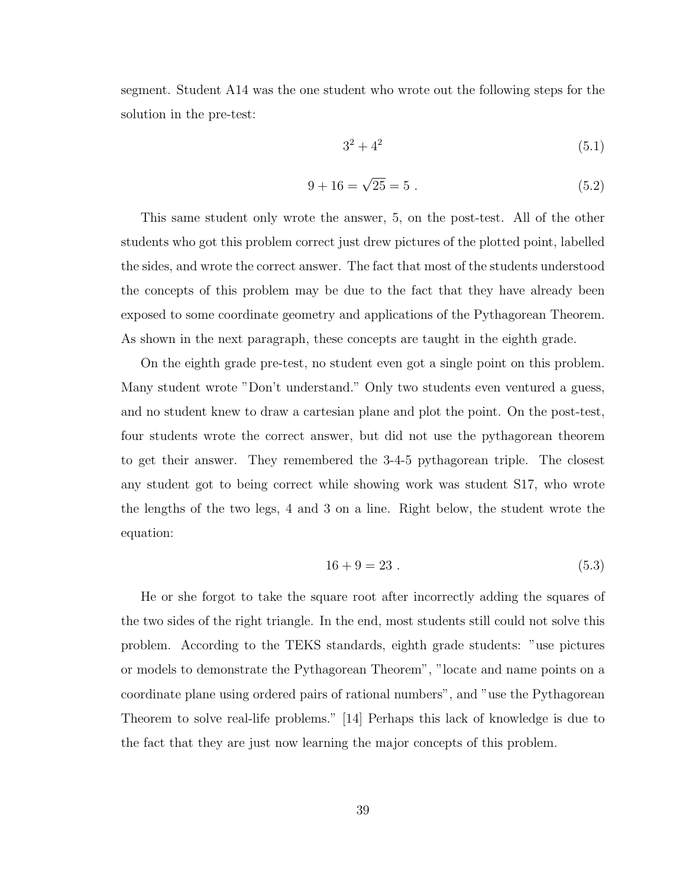segment. Student A14 was the one student who wrote out the following steps for the solution in the pre-test:

$$
3^2 + 4^2 \tag{5.1}
$$

$$
9 + 16 = \sqrt{25} = 5 \tag{5.2}
$$

This same student only wrote the answer, 5, on the post-test. All of the other students who got this problem correct just drew pictures of the plotted point, labelled the sides, and wrote the correct answer. The fact that most of the students understood the concepts of this problem may be due to the fact that they have already been exposed to some coordinate geometry and applications of the Pythagorean Theorem. As shown in the next paragraph, these concepts are taught in the eighth grade.

On the eighth grade pre-test, no student even got a single point on this problem. Many student wrote "Don't understand." Only two students even ventured a guess, and no student knew to draw a cartesian plane and plot the point. On the post-test, four students wrote the correct answer, but did not use the pythagorean theorem to get their answer. They remembered the 3-4-5 pythagorean triple. The closest any student got to being correct while showing work was student S17, who wrote the lengths of the two legs, 4 and 3 on a line. Right below, the student wrote the equation:

$$
16 + 9 = 23 \tag{5.3}
$$

He or she forgot to take the square root after incorrectly adding the squares of the two sides of the right triangle. In the end, most students still could not solve this problem. According to the TEKS standards, eighth grade students: "use pictures or models to demonstrate the Pythagorean Theorem", "locate and name points on a coordinate plane using ordered pairs of rational numbers", and "use the Pythagorean Theorem to solve real-life problems." [14] Perhaps this lack of knowledge is due to the fact that they are just now learning the major concepts of this problem.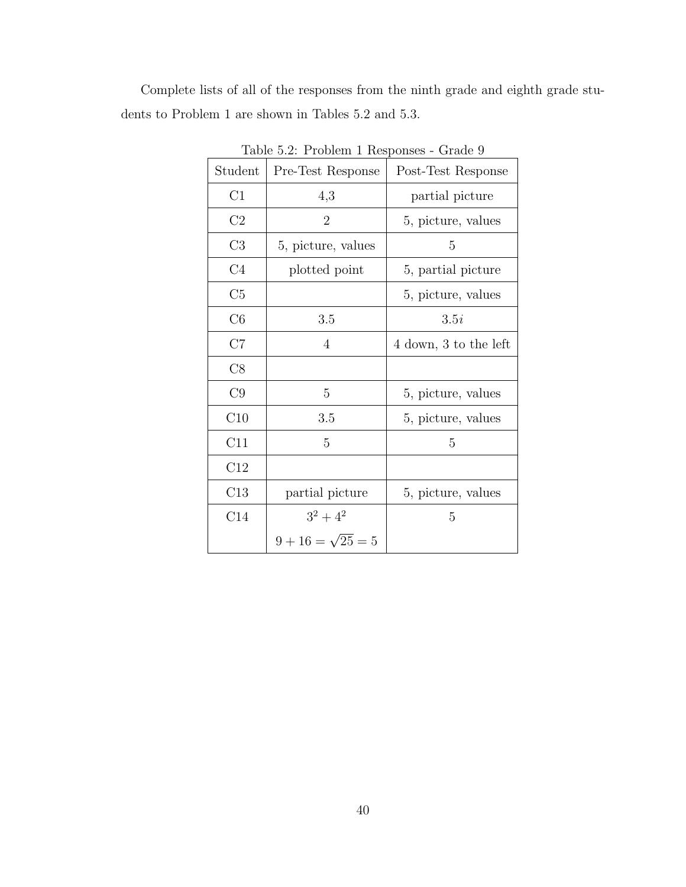Complete lists of all of the responses from the ninth grade and eighth grade students to Problem 1 are shown in Tables 5.2 and 5.3.

| Student        | Pre-Test Response        | Post-Test Response    |
|----------------|--------------------------|-----------------------|
| C1             | 4,3                      | partial picture       |
| C2             | 2                        | 5, picture, values    |
| C3             | 5, picture, values       | 5                     |
| C <sub>4</sub> | plotted point            | 5, partial picture    |
| C <sub>5</sub> |                          | 5, picture, values    |
| C6             | 3.5                      | 3.5i                  |
| C7             | 4                        | 4 down, 3 to the left |
| C8             |                          |                       |
| C9             | 5                        | 5, picture, values    |
| C10            | 3.5                      | 5, picture, values    |
| C11            | 5                        | 5                     |
| C12            |                          |                       |
| C13            | partial picture          | 5, picture, values    |
| C14            | $3^2 + 4^2$              | 5                     |
|                | $9 + 16 = \sqrt{25} = 5$ |                       |

Table 5.2: Problem 1 Responses - Grade 9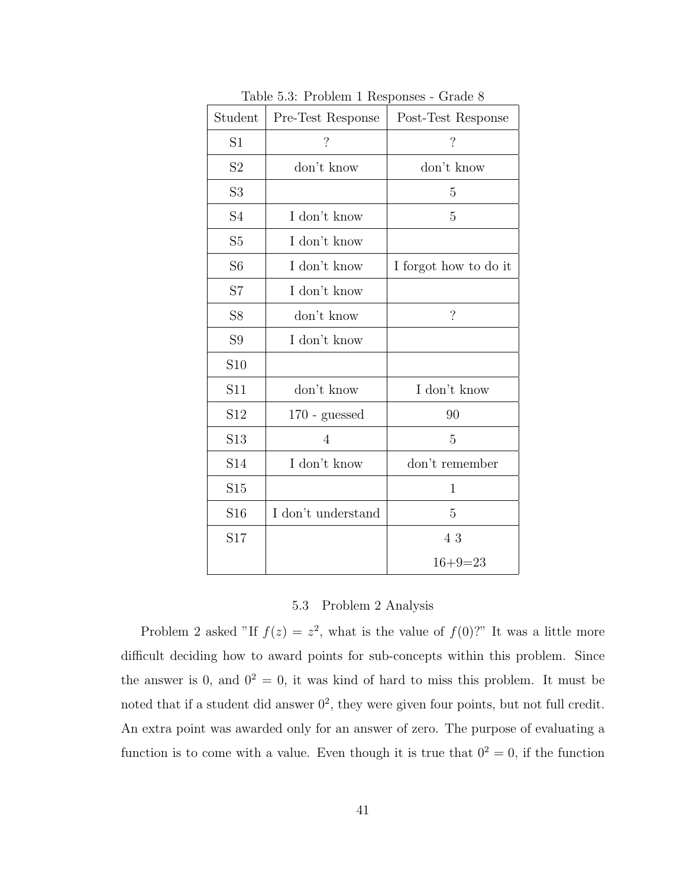| Student         | $\frac{1}{2}$<br>Pre-Test Response | Post-Test Response       |
|-----------------|------------------------------------|--------------------------|
| S1              | $\overline{\mathcal{L}}$           | $\overline{\mathcal{L}}$ |
| S <sub>2</sub>  | don't know                         | don't know               |
| S <sub>3</sub>  |                                    | 5                        |
| S4              | I don't know                       | 5                        |
| S <sub>5</sub>  | I don't know                       |                          |
| S <sub>6</sub>  | I don't know                       | I forgot how to do it    |
| S7              | I don't know                       |                          |
| S <sub>8</sub>  | don't know                         | $\overline{\mathcal{L}}$ |
| S <sub>9</sub>  | I don't know                       |                          |
| S <sub>10</sub> |                                    |                          |
| S11             | don't know                         | I don't know             |
| S12             | $170$ - guessed                    | 90                       |
| S13             | 4                                  | 5                        |
| S14             | I don't know                       | don't remember           |
| S15             |                                    | 1                        |
| S <sub>16</sub> | I don't understand                 | 5                        |
| S17             |                                    | 43                       |
|                 |                                    | $16 + 9 = 23$            |

Table 5.3: Problem 1 Responses - Grade 8

### 5.3 Problem 2 Analysis

Problem 2 asked "If  $f(z) = z^2$ , what is the value of  $f(0)$ ?" It was a little more difficult deciding how to award points for sub-concepts within this problem. Since the answer is 0, and  $0^2 = 0$ , it was kind of hard to miss this problem. It must be noted that if a student did answer  $0^2$ , they were given four points, but not full credit. An extra point was awarded only for an answer of zero. The purpose of evaluating a function is to come with a value. Even though it is true that  $0^2 = 0$ , if the function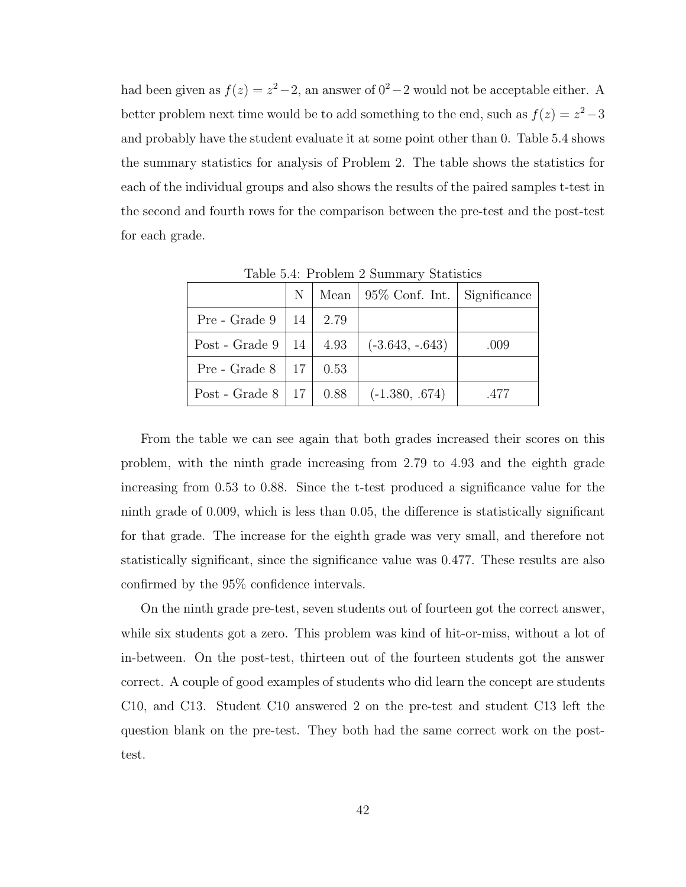had been given as  $f(z) = z^2 - 2$ , an answer of  $0^2 - 2$  would not be acceptable either. A better problem next time would be to add something to the end, such as  $f(z) = z^2 - 3$ and probably have the student evaluate it at some point other than 0. Table 5.4 shows the summary statistics for analysis of Problem 2. The table shows the statistics for each of the individual groups and also shows the results of the paired samples t-test in the second and fourth rows for the comparison between the pre-test and the post-test for each grade.

|                              |  | $N \mid$ Mean $\mid 95\%$ Conf. Int. $\mid$ Significance |      |
|------------------------------|--|----------------------------------------------------------|------|
| Pre - Grade 9   14   $2.79$  |  |                                                          |      |
| Post - Grade 9   14   $4.93$ |  | $(-3.643, -.643)$                                        | .009 |
| Pre - Grade $8   17   0.53$  |  |                                                          |      |
| Post - Grade 8   17   $0.88$ |  | $(-1.380, .674)$                                         | .477 |

Table 5.4: Problem 2 Summary Statistics

From the table we can see again that both grades increased their scores on this problem, with the ninth grade increasing from 2.79 to 4.93 and the eighth grade increasing from 0.53 to 0.88. Since the t-test produced a significance value for the ninth grade of 0.009, which is less than 0.05, the difference is statistically significant for that grade. The increase for the eighth grade was very small, and therefore not statistically significant, since the significance value was 0.477. These results are also confirmed by the 95% confidence intervals.

On the ninth grade pre-test, seven students out of fourteen got the correct answer, while six students got a zero. This problem was kind of hit-or-miss, without a lot of in-between. On the post-test, thirteen out of the fourteen students got the answer correct. A couple of good examples of students who did learn the concept are students C10, and C13. Student C10 answered 2 on the pre-test and student C13 left the question blank on the pre-test. They both had the same correct work on the posttest.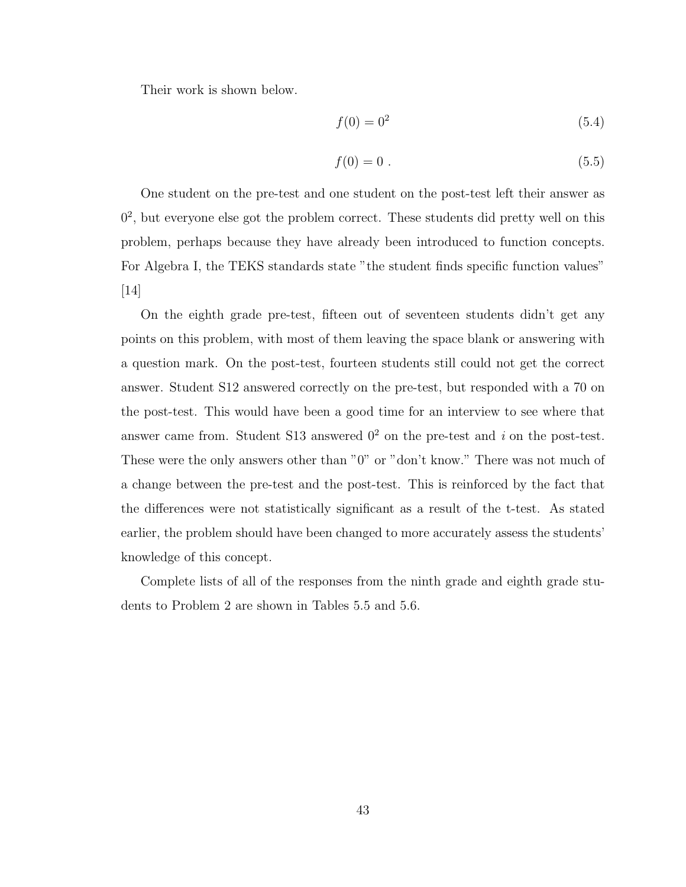Their work is shown below.

$$
f(0) = 02
$$
\n
$$
(5.4)
$$

$$
f(0) = 0.
$$
\n(5.5)

One student on the pre-test and one student on the post-test left their answer as 0 2 , but everyone else got the problem correct. These students did pretty well on this problem, perhaps because they have already been introduced to function concepts. For Algebra I, the TEKS standards state "the student finds specific function values" [14]

On the eighth grade pre-test, fifteen out of seventeen students didn't get any points on this problem, with most of them leaving the space blank or answering with a question mark. On the post-test, fourteen students still could not get the correct answer. Student S12 answered correctly on the pre-test, but responded with a 70 on the post-test. This would have been a good time for an interview to see where that answer came from. Student S13 answered  $0^2$  on the pre-test and i on the post-test. These were the only answers other than "0" or "don't know." There was not much of a change between the pre-test and the post-test. This is reinforced by the fact that the differences were not statistically significant as a result of the t-test. As stated earlier, the problem should have been changed to more accurately assess the students' knowledge of this concept.

Complete lists of all of the responses from the ninth grade and eighth grade students to Problem 2 are shown in Tables 5.5 and 5.6.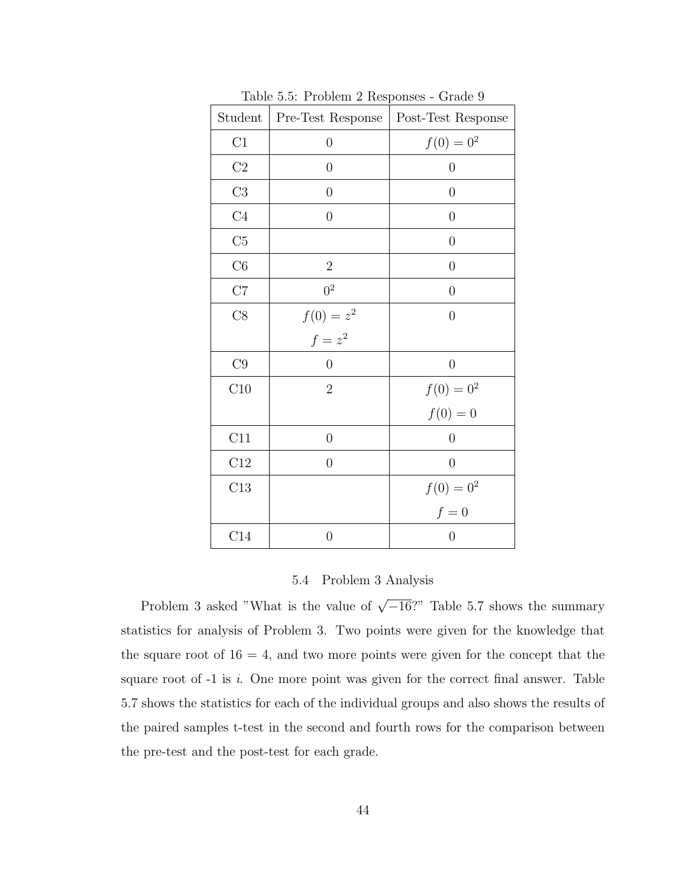| Student        | $\frac{1}{2}$<br>Pre-Test Response | $\alpha$ and $\beta$<br>Post-Test Response |
|----------------|------------------------------------|--------------------------------------------|
| C1             | $\overline{0}$                     | $f(0) = 0^2$                               |
| $\rm{C2}$      | $\overline{0}$                     | $\overline{0}$                             |
| C3             | $\overline{0}$                     | $\overline{0}$                             |
| C <sub>4</sub> | $\overline{0}$                     | $\overline{0}$                             |
| C5             |                                    | $\boldsymbol{0}$                           |
| C6             | $\overline{2}$                     | $\boldsymbol{0}$                           |
| C7             | 0 <sup>2</sup>                     | $\overline{0}$                             |
| C8             |                                    | $\overline{0}$                             |
|                | $f(0) = z^2$<br>$f = z^2$          |                                            |
| $\rm{C}9$      | $\overline{0}$                     | $\overline{0}$                             |
| C10            | $\overline{2}$                     | $f(0) = 0^2$                               |
|                |                                    | $f(0) = 0$                                 |
| C11            | $\boldsymbol{0}$                   | $\overline{0}$                             |
| C12            | $\boldsymbol{0}$                   | $\overline{0}$                             |
| C13            |                                    | $f(0) = 0^2$                               |
|                |                                    | $f=0$                                      |
| C14            | $\overline{0}$                     | $\overline{0}$                             |

Table 5.5: Problem 2 Responses - Grade 9

#### 5.4 Problem 3 Analysis

Problem 3 asked "What is the value of  $\sqrt{-16}$ ?" Table 5.7 shows the summary statistics for analysis of Problem 3. Two points were given for the knowledge that the square root of  $16 = 4$ , and two more points were given for the concept that the square root of  $-1$  is i. One more point was given for the correct final answer. Table 5.7 shows the statistics for each of the individual groups and also shows the results of the paired samples t-test in the second and fourth rows for the comparison between the pre-test and the post-test for each grade.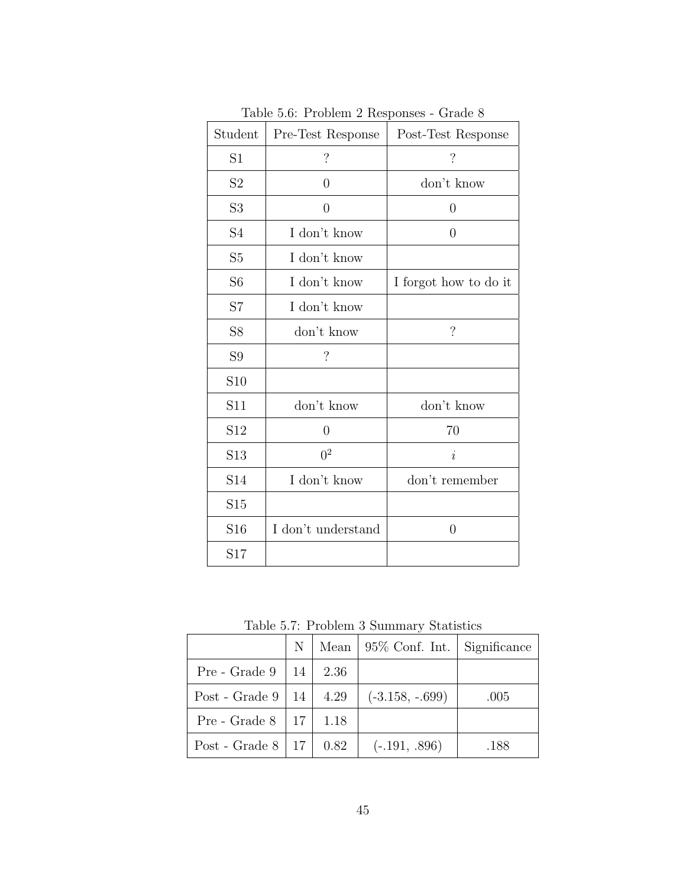| Student         | Pre-Test Response        | Post-Test Response       |
|-----------------|--------------------------|--------------------------|
| S <sub>1</sub>  | $\overline{\mathcal{C}}$ | $\overline{\mathcal{C}}$ |
| S2              | $\theta$                 | don't know               |
| S <sub>3</sub>  | $\overline{0}$           | $\overline{0}$           |
| S <sub>4</sub>  | I don't know             | $\theta$                 |
| S <sub>5</sub>  | I don't know             |                          |
| S <sub>6</sub>  | I don't know             | I forgot how to do it    |
| S7              | I don't know             |                          |
| S <sub>8</sub>  | don't know               | $\overline{\mathcal{C}}$ |
| S <sub>9</sub>  | $\overline{\cdot}$       |                          |
| S <sub>10</sub> |                          |                          |
| S11             | don't know               | don't know               |
| S12             | $\theta$                 | 70                       |
| S <sub>13</sub> | 0 <sup>2</sup>           | i                        |
| S14             | I don't know             | don't remember           |
| S15             |                          |                          |
| S <sub>16</sub> | I don't understand       | $\overline{0}$           |
| S17             |                          |                          |

Table 5.6: Problem 2 Responses - Grade 8

Table 5.7: Problem 3 Summary Statistics

|                                   |  | N   Mean   95% Conf. Int.   Significance |      |
|-----------------------------------|--|------------------------------------------|------|
| Pre - Grade $9 \mid 14 \mid 2.36$ |  |                                          |      |
| Post - Grade 9   14   $4.29$      |  | $(-3.158, -.699)$                        | .005 |
| Pre - Grade $8   17   1.18$       |  |                                          |      |
| Post - Grade 8   17   $0.82$      |  | $(-.191, .896)$                          | .188 |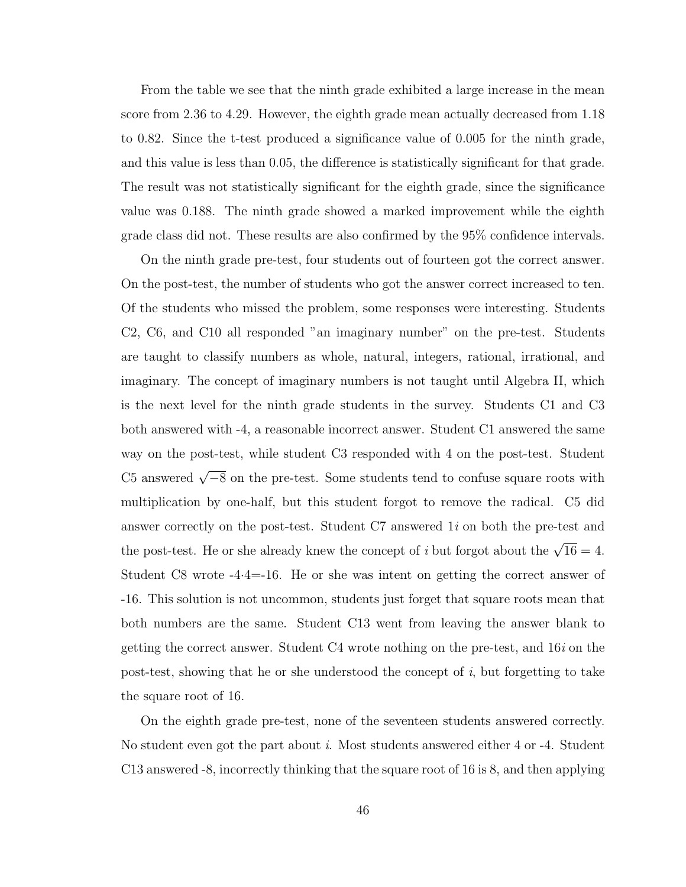From the table we see that the ninth grade exhibited a large increase in the mean score from 2.36 to 4.29. However, the eighth grade mean actually decreased from 1.18 to 0.82. Since the t-test produced a significance value of 0.005 for the ninth grade, and this value is less than 0.05, the difference is statistically significant for that grade. The result was not statistically significant for the eighth grade, since the significance value was 0.188. The ninth grade showed a marked improvement while the eighth grade class did not. These results are also confirmed by the 95% confidence intervals.

On the ninth grade pre-test, four students out of fourteen got the correct answer. On the post-test, the number of students who got the answer correct increased to ten. Of the students who missed the problem, some responses were interesting. Students C2, C6, and C10 all responded "an imaginary number" on the pre-test. Students are taught to classify numbers as whole, natural, integers, rational, irrational, and imaginary. The concept of imaginary numbers is not taught until Algebra II, which is the next level for the ninth grade students in the survey. Students C1 and C3 both answered with -4, a reasonable incorrect answer. Student C1 answered the same way on the post-test, while student C3 responded with 4 on the post-test. Student C5 answered  $\sqrt{-8}$  on the pre-test. Some students tend to confuse square roots with multiplication by one-half, but this student forgot to remove the radical. C5 did answer correctly on the post-test. Student  $C7$  answered  $1i$  on both the pre-test and the post-test. He or she already knew the concept of *i* but forgot about the  $\sqrt{16} = 4$ . Student C8 wrote -4·4=-16. He or she was intent on getting the correct answer of -16. This solution is not uncommon, students just forget that square roots mean that both numbers are the same. Student C13 went from leaving the answer blank to getting the correct answer. Student  $C4$  wrote nothing on the pre-test, and  $16i$  on the post-test, showing that he or she understood the concept of  $i$ , but forgetting to take the square root of 16.

On the eighth grade pre-test, none of the seventeen students answered correctly. No student even got the part about i. Most students answered either 4 or -4. Student C13 answered -8, incorrectly thinking that the square root of 16 is 8, and then applying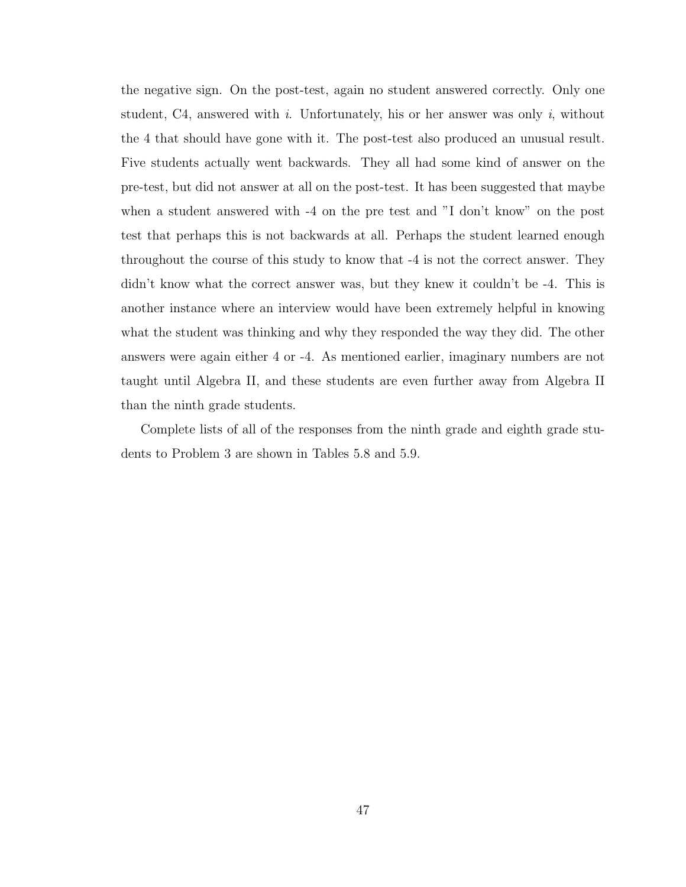the negative sign. On the post-test, again no student answered correctly. Only one student, C4, answered with i. Unfortunately, his or her answer was only i, without the 4 that should have gone with it. The post-test also produced an unusual result. Five students actually went backwards. They all had some kind of answer on the pre-test, but did not answer at all on the post-test. It has been suggested that maybe when a student answered with -4 on the pre test and "I don't know" on the post test that perhaps this is not backwards at all. Perhaps the student learned enough throughout the course of this study to know that -4 is not the correct answer. They didn't know what the correct answer was, but they knew it couldn't be -4. This is another instance where an interview would have been extremely helpful in knowing what the student was thinking and why they responded the way they did. The other answers were again either 4 or -4. As mentioned earlier, imaginary numbers are not taught until Algebra II, and these students are even further away from Algebra II than the ninth grade students.

Complete lists of all of the responses from the ninth grade and eighth grade students to Problem 3 are shown in Tables 5.8 and 5.9.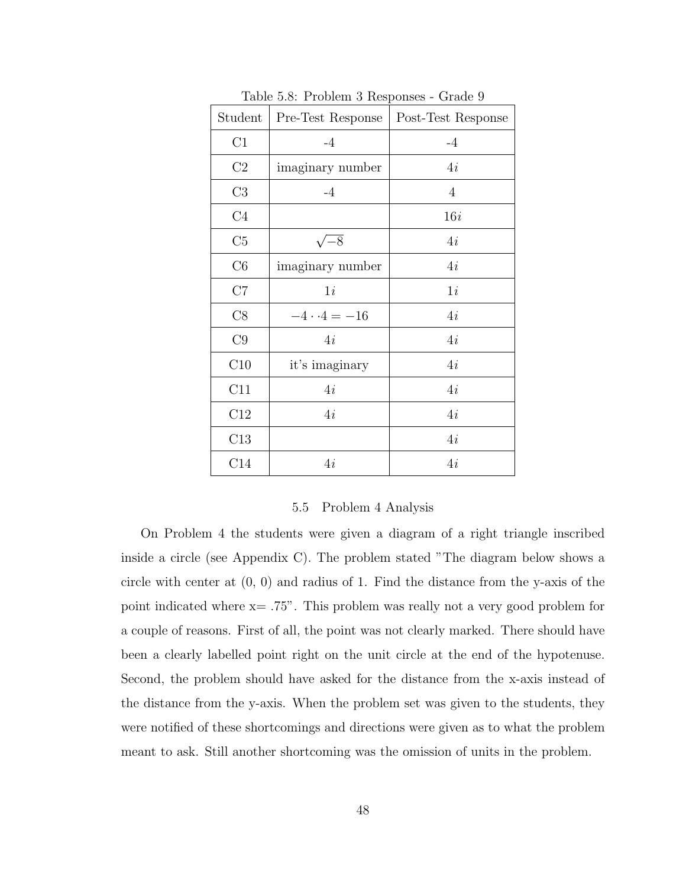| Student        | Pre-Test Response  | Post-Test Response |
|----------------|--------------------|--------------------|
| $\rm C1$       | $-4$               | $-4$               |
| C2             | imaginary number   | 4i                 |
| C3             | $-4$               | $\overline{4}$     |
| C <sub>4</sub> |                    | 16i                |
| C5             | $-\overline{8}$    | 4i                 |
| C6             | imaginary number   | 4i                 |
| C7             | 1i                 | 1i                 |
| C8             | $-4 \cdot 4 = -16$ | 4i                 |
| C9             | 4i                 | 4i                 |
| C10            | it's imaginary     | 4i                 |
| C11            | 4i                 | 4i                 |
| C12            | 4i                 | 4i                 |
| C13            |                    | 4i                 |
| C14            | 4i                 | 4i                 |

Table 5.8: Problem 3 Responses - Grade 9

#### 5.5 Problem 4 Analysis

On Problem 4 the students were given a diagram of a right triangle inscribed inside a circle (see Appendix C). The problem stated "The diagram below shows a circle with center at (0, 0) and radius of 1. Find the distance from the y-axis of the point indicated where x= .75". This problem was really not a very good problem for a couple of reasons. First of all, the point was not clearly marked. There should have been a clearly labelled point right on the unit circle at the end of the hypotenuse. Second, the problem should have asked for the distance from the x-axis instead of the distance from the y-axis. When the problem set was given to the students, they were notified of these shortcomings and directions were given as to what the problem meant to ask. Still another shortcoming was the omission of units in the problem.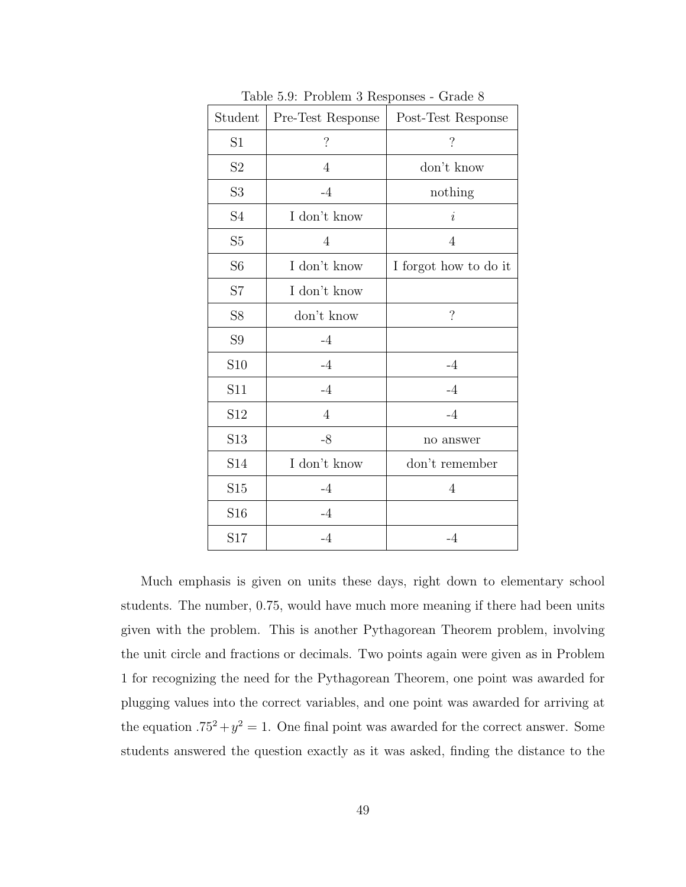| Student                    | $\frac{1}{2}$ and $\frac{1}{2}$ . The state of $\frac{1}{2}$ responses $\frac{1}{2}$ and $\frac{1}{2}$<br>Pre-Test Response | Post-Test Response    |
|----------------------------|-----------------------------------------------------------------------------------------------------------------------------|-----------------------|
| S1                         | $\ddot{?}$                                                                                                                  | $\overline{\cdot}$    |
| S2                         | $\overline{4}$                                                                                                              | don't know            |
| S <sub>3</sub>             | $-4$                                                                                                                        | nothing               |
| $\ensuremath{\mathrm{S4}}$ | I don't know                                                                                                                | $\it i$               |
| S5                         | $\overline{4}$                                                                                                              | $\overline{4}$        |
| S <sub>6</sub>             | I don't know                                                                                                                | I forgot how to do it |
| S7                         | I don't know                                                                                                                |                       |
| S8                         | don't know                                                                                                                  | $\gamma$              |
| S9                         | $-4$                                                                                                                        |                       |
| S <sub>10</sub>            | $-4$                                                                                                                        | $-4$                  |
| S11                        | $-4$                                                                                                                        | $-4$                  |
| S <sub>12</sub>            | $\overline{4}$                                                                                                              | $-4$                  |
| S13                        | $-8$                                                                                                                        | no answer             |
| S14                        | I don't know                                                                                                                | don't remember        |
| S <sub>15</sub>            | $-4$                                                                                                                        | 4                     |
| S16                        | $-4$                                                                                                                        |                       |
| S17                        | $-4$                                                                                                                        | $-4$                  |

Table 5.9: Problem 3 Responses - Grade 8

Much emphasis is given on units these days, right down to elementary school students. The number, 0.75, would have much more meaning if there had been units given with the problem. This is another Pythagorean Theorem problem, involving the unit circle and fractions or decimals. Two points again were given as in Problem 1 for recognizing the need for the Pythagorean Theorem, one point was awarded for plugging values into the correct variables, and one point was awarded for arriving at the equation  $.75^2 + y^2 = 1$ . One final point was awarded for the correct answer. Some students answered the question exactly as it was asked, finding the distance to the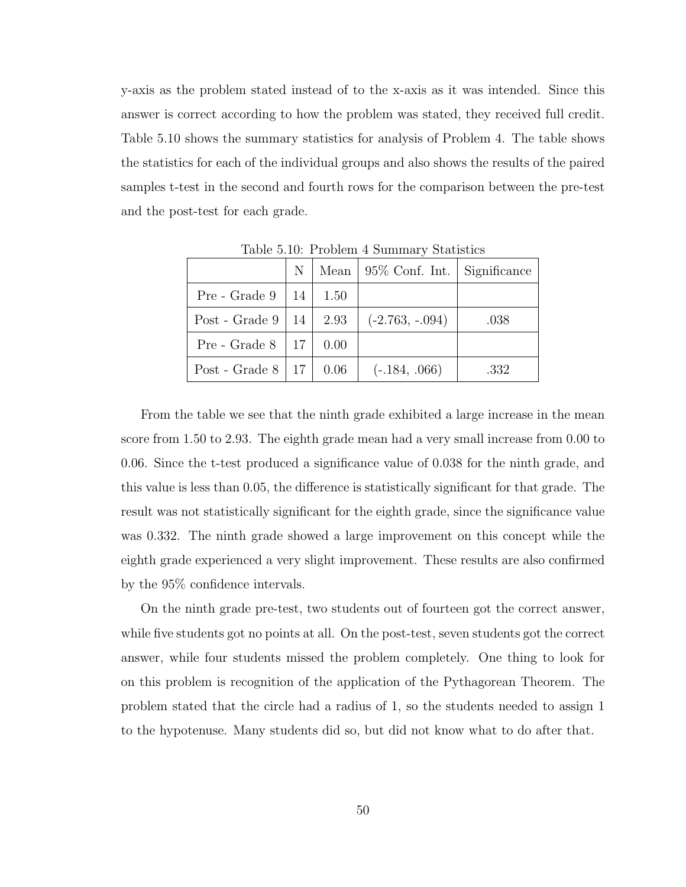y-axis as the problem stated instead of to the x-axis as it was intended. Since this answer is correct according to how the problem was stated, they received full credit. Table 5.10 shows the summary statistics for analysis of Problem 4. The table shows the statistics for each of the individual groups and also shows the results of the paired samples t-test in the second and fourth rows for the comparison between the pre-test and the post-test for each grade.

|                                    | N <sub>1</sub> |      | Mean $\vert$ 95\% Conf. Int. $\vert$ Significance |      |
|------------------------------------|----------------|------|---------------------------------------------------|------|
| $Pre$ - Grade 9                    | 14 l           | 1.50 |                                                   |      |
| Post - Grade $9 \mid 14 \mid 2.93$ |                |      | $(-2.763, -.094)$                                 | .038 |
| Pre - Grade $8 \mid 17$            |                | 0.00 |                                                   |      |
| Post - Grade $8   17   0.06$       |                |      | $(-.184, .066)$                                   | .332 |

Table 5.10: Problem 4 Summary Statistics

From the table we see that the ninth grade exhibited a large increase in the mean score from 1.50 to 2.93. The eighth grade mean had a very small increase from 0.00 to 0.06. Since the t-test produced a significance value of 0.038 for the ninth grade, and this value is less than 0.05, the difference is statistically significant for that grade. The result was not statistically significant for the eighth grade, since the significance value was 0.332. The ninth grade showed a large improvement on this concept while the eighth grade experienced a very slight improvement. These results are also confirmed by the 95% confidence intervals.

On the ninth grade pre-test, two students out of fourteen got the correct answer, while five students got no points at all. On the post-test, seven students got the correct answer, while four students missed the problem completely. One thing to look for on this problem is recognition of the application of the Pythagorean Theorem. The problem stated that the circle had a radius of 1, so the students needed to assign 1 to the hypotenuse. Many students did so, but did not know what to do after that.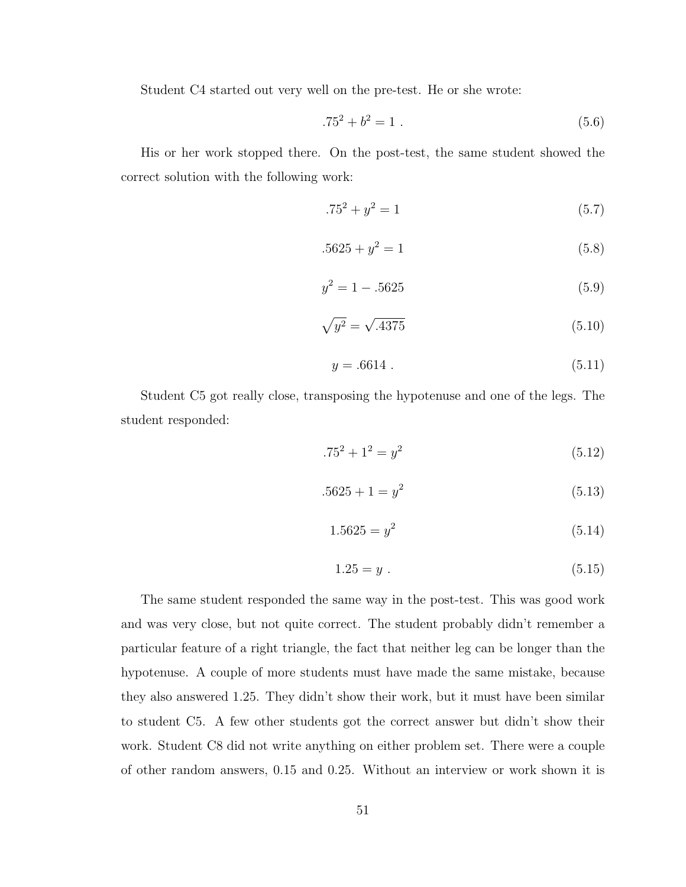Student C4 started out very well on the pre-test. He or she wrote:

$$
.75^2 + b^2 = 1 \tag{5.6}
$$

His or her work stopped there. On the post-test, the same student showed the correct solution with the following work:

$$
.75^2 + y^2 = 1 \tag{5.7}
$$

$$
.5625 + y^2 = 1 \tag{5.8}
$$

$$
y^2 = 1 - .5625\tag{5.9}
$$

$$
\sqrt{y^2} = \sqrt{.4375} \tag{5.10}
$$

$$
y = .6614 . \t(5.11)
$$

Student C5 got really close, transposing the hypotenuse and one of the legs. The student responded:

$$
.75^2 + 1^2 = y^2 \tag{5.12}
$$

$$
.5625 + 1 = y^2 \tag{5.13}
$$

$$
1.5625 = y^2 \tag{5.14}
$$

$$
1.25 = y \tag{5.15}
$$

The same student responded the same way in the post-test. This was good work and was very close, but not quite correct. The student probably didn't remember a particular feature of a right triangle, the fact that neither leg can be longer than the hypotenuse. A couple of more students must have made the same mistake, because they also answered 1.25. They didn't show their work, but it must have been similar to student C5. A few other students got the correct answer but didn't show their work. Student C8 did not write anything on either problem set. There were a couple of other random answers, 0.15 and 0.25. Without an interview or work shown it is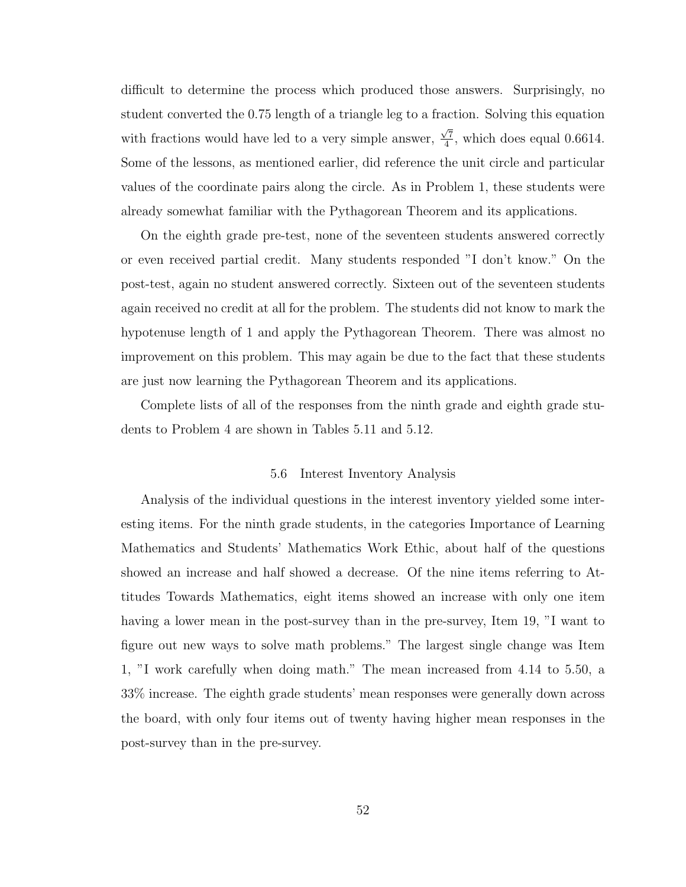difficult to determine the process which produced those answers. Surprisingly, no student converted the 0.75 length of a triangle leg to a fraction. Solving this equation with fractions would have led to a very simple answer,  $\frac{\sqrt{7}}{4}$  $\frac{\pi}{4}$ , which does equal 0.6614. Some of the lessons, as mentioned earlier, did reference the unit circle and particular values of the coordinate pairs along the circle. As in Problem 1, these students were already somewhat familiar with the Pythagorean Theorem and its applications.

On the eighth grade pre-test, none of the seventeen students answered correctly or even received partial credit. Many students responded "I don't know." On the post-test, again no student answered correctly. Sixteen out of the seventeen students again received no credit at all for the problem. The students did not know to mark the hypotenuse length of 1 and apply the Pythagorean Theorem. There was almost no improvement on this problem. This may again be due to the fact that these students are just now learning the Pythagorean Theorem and its applications.

Complete lists of all of the responses from the ninth grade and eighth grade students to Problem 4 are shown in Tables 5.11 and 5.12.

#### 5.6 Interest Inventory Analysis

Analysis of the individual questions in the interest inventory yielded some interesting items. For the ninth grade students, in the categories Importance of Learning Mathematics and Students' Mathematics Work Ethic, about half of the questions showed an increase and half showed a decrease. Of the nine items referring to Attitudes Towards Mathematics, eight items showed an increase with only one item having a lower mean in the post-survey than in the pre-survey, Item 19, "I want to figure out new ways to solve math problems." The largest single change was Item 1, "I work carefully when doing math." The mean increased from 4.14 to 5.50, a 33% increase. The eighth grade students' mean responses were generally down across the board, with only four items out of twenty having higher mean responses in the post-survey than in the pre-survey.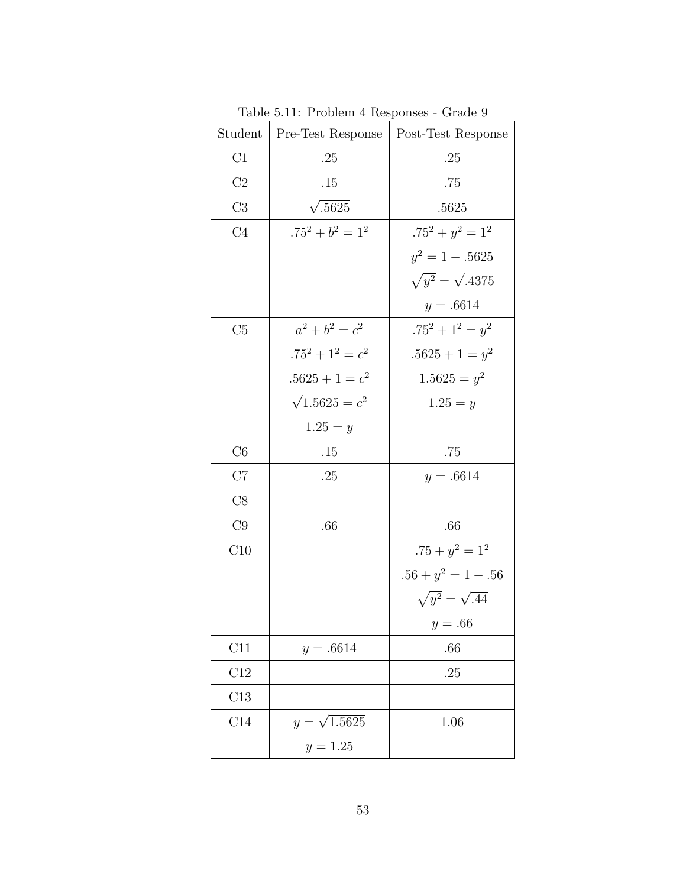| Student        | Pre-Test Response     | Post-Test Response          |
|----------------|-----------------------|-----------------------------|
| C1             | .25                   | .25                         |
| C2             | .15                   | .75                         |
| C3             | $\sqrt{.5625}$        | .5625                       |
| C <sub>4</sub> | $.75^2 + b^2 = 1^2$   | $.75^2 + y^2 = 1^2$         |
|                |                       | $y^2 = 1 - .5625$           |
|                |                       | $\sqrt{y^2} = \sqrt{.4375}$ |
|                |                       | $y = .6614$                 |
| C5             | $a^2 + b^2 = c^2$     | $.75^2 + 1^2 = y^2$         |
|                | $.75^2 + 1^2 = c^2$   | $.5625 + 1 = y^2$           |
|                | $.5625 + 1 = c^2$     | $1.5625 = y^2$              |
|                | $\sqrt{1.5625} = c^2$ | $1.25 = y$                  |
|                | $1.25 = y$            |                             |
| C6             | .15                   | .75                         |
| C7             | .25                   | $y = .6614$                 |
| C8             |                       |                             |
| C9             | .66                   | .66                         |
| C10            |                       | $.75 + y^2 = 1^2$           |
|                |                       | $.56 + y^2 = 1 - .56$       |
|                |                       | $\sqrt{y^2} = \sqrt{.44}$   |
|                |                       | $y = .66$                   |
| C11            | $y = .6614$           | $.66\,$                     |
| C12            |                       | .25                         |
| $\rm C13$      |                       |                             |
| $\rm C14$      | $y = \sqrt{1.5625}$   | 1.06                        |
|                | $y = 1.25$            |                             |

Table 5.11: Problem 4 Responses - Grade 9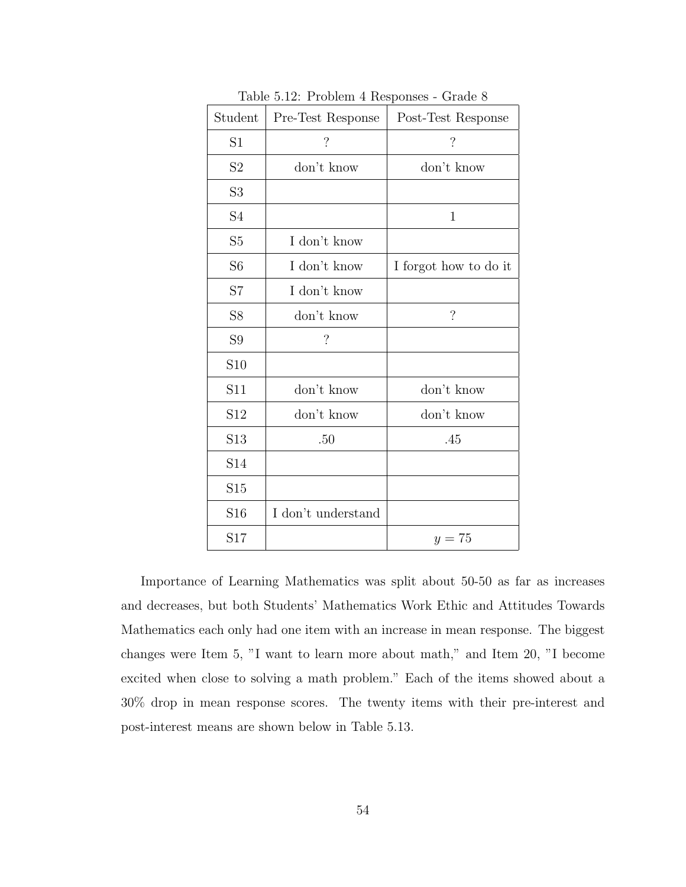| Student                    | Pre-Test Response        | Post-Test Response       |
|----------------------------|--------------------------|--------------------------|
| S1                         | $\overline{\mathcal{L}}$ | $\overline{\mathcal{L}}$ |
| $\ensuremath{\mathrm{S2}}$ | don't know               | don't know               |
| S <sub>3</sub>             |                          |                          |
| S4                         |                          | 1                        |
| S5                         | I don't know             |                          |
| S <sub>6</sub>             | I don't know             | I forgot how to do it    |
| S7                         | I don't know             |                          |
| S8                         | don't know               | $\overline{\mathcal{C}}$ |
| S <sub>9</sub>             | $\overline{\mathcal{L}}$ |                          |
| S <sub>10</sub>            |                          |                          |
| S11                        | don't know               | don't know               |
| S <sub>12</sub>            | don't know               | don't know               |
| S <sub>13</sub>            | .50                      | .45                      |
| S14                        |                          |                          |
| S15                        |                          |                          |
| S <sub>16</sub>            | I don't understand       |                          |
| S17                        |                          | $y=75$                   |

Table 5.12: Problem 4 Responses - Grade 8

Importance of Learning Mathematics was split about 50-50 as far as increases and decreases, but both Students' Mathematics Work Ethic and Attitudes Towards Mathematics each only had one item with an increase in mean response. The biggest changes were Item 5, "I want to learn more about math," and Item 20, "I become excited when close to solving a math problem." Each of the items showed about a 30% drop in mean response scores. The twenty items with their pre-interest and post-interest means are shown below in Table 5.13.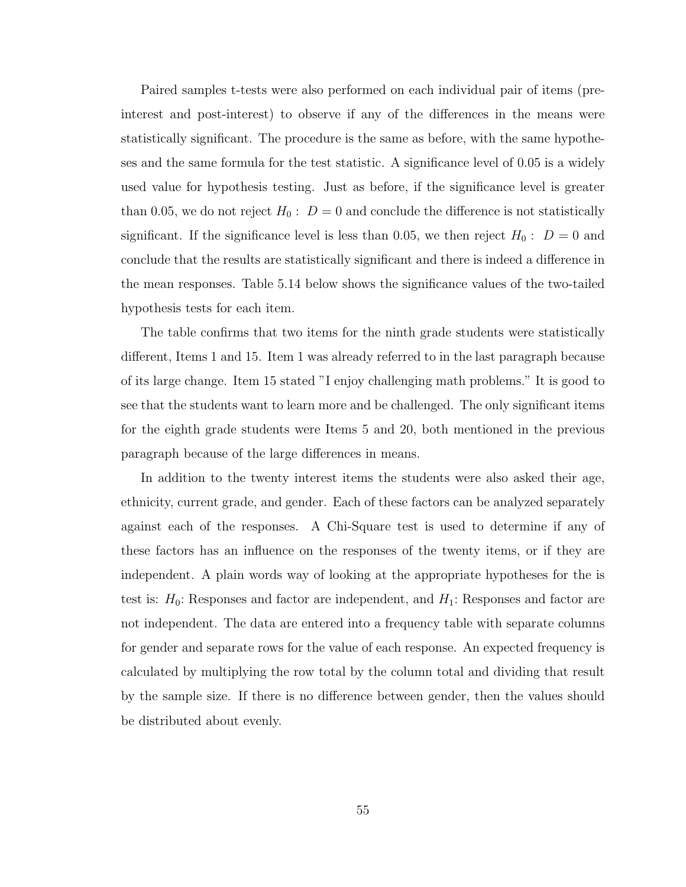Paired samples t-tests were also performed on each individual pair of items (preinterest and post-interest) to observe if any of the differences in the means were statistically significant. The procedure is the same as before, with the same hypotheses and the same formula for the test statistic. A significance level of 0.05 is a widely used value for hypothesis testing. Just as before, if the significance level is greater than 0.05, we do not reject  $H_0: D = 0$  and conclude the difference is not statistically significant. If the significance level is less than 0.05, we then reject  $H_0: D = 0$  and conclude that the results are statistically significant and there is indeed a difference in the mean responses. Table 5.14 below shows the significance values of the two-tailed hypothesis tests for each item.

The table confirms that two items for the ninth grade students were statistically different, Items 1 and 15. Item 1 was already referred to in the last paragraph because of its large change. Item 15 stated "I enjoy challenging math problems." It is good to see that the students want to learn more and be challenged. The only significant items for the eighth grade students were Items 5 and 20, both mentioned in the previous paragraph because of the large differences in means.

In addition to the twenty interest items the students were also asked their age, ethnicity, current grade, and gender. Each of these factors can be analyzed separately against each of the responses. A Chi-Square test is used to determine if any of these factors has an influence on the responses of the twenty items, or if they are independent. A plain words way of looking at the appropriate hypotheses for the is test is:  $H_0$ : Responses and factor are independent, and  $H_1$ : Responses and factor are not independent. The data are entered into a frequency table with separate columns for gender and separate rows for the value of each response. An expected frequency is calculated by multiplying the row total by the column total and dividing that result by the sample size. If there is no difference between gender, then the values should be distributed about evenly.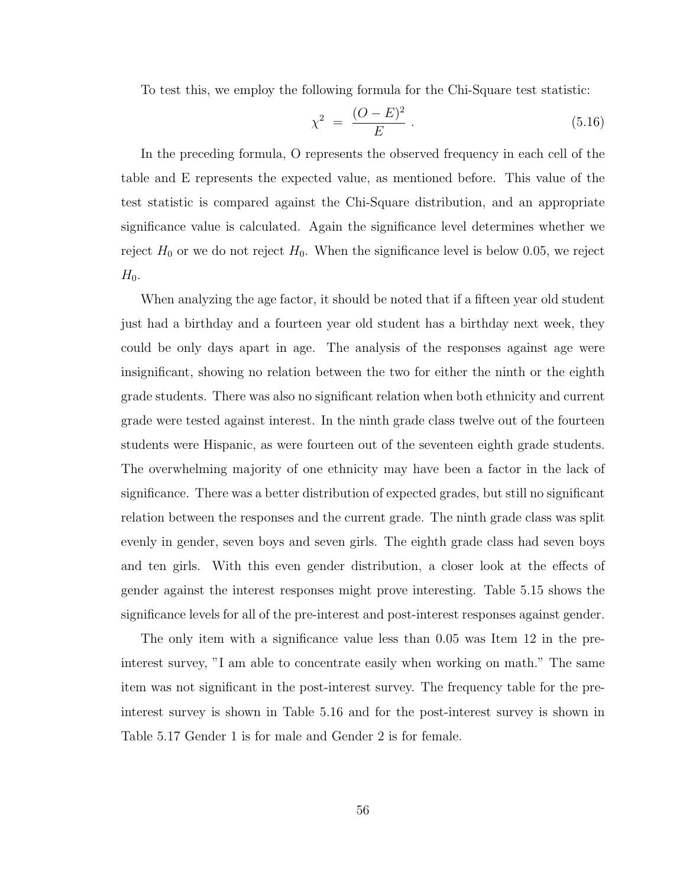To test this, we employ the following formula for the Chi-Square test statistic:

$$
\chi^2 = \frac{(O - E)^2}{E} \,. \tag{5.16}
$$

In the preceding formula, O represents the observed frequency in each cell of the table and E represents the expected value, as mentioned before. This value of the test statistic is compared against the Chi-Square distribution, and an appropriate significance value is calculated. Again the significance level determines whether we reject  $H_0$  or we do not reject  $H_0$ . When the significance level is below 0.05, we reject  $H_0$ .

When analyzing the age factor, it should be noted that if a fifteen year old student just had a birthday and a fourteen year old student has a birthday next week, they could be only days apart in age. The analysis of the responses against age were insignificant, showing no relation between the two for either the ninth or the eighth grade students. There was also no significant relation when both ethnicity and current grade were tested against interest. In the ninth grade class twelve out of the fourteen students were Hispanic, as were fourteen out of the seventeen eighth grade students. The overwhelming majority of one ethnicity may have been a factor in the lack of significance. There was a better distribution of expected grades, but still no significant relation between the responses and the current grade. The ninth grade class was split evenly in gender, seven boys and seven girls. The eighth grade class had seven boys and ten girls. With this even gender distribution, a closer look at the effects of gender against the interest responses might prove interesting. Table 5.15 shows the significance levels for all of the pre-interest and post-interest responses against gender.

The only item with a significance value less than 0.05 was Item 12 in the preinterest survey, "I am able to concentrate easily when working on math." The same item was not significant in the post-interest survey. The frequency table for the preinterest survey is shown in Table 5.16 and for the post-interest survey is shown in Table 5.17 Gender 1 is for male and Gender 2 is for female.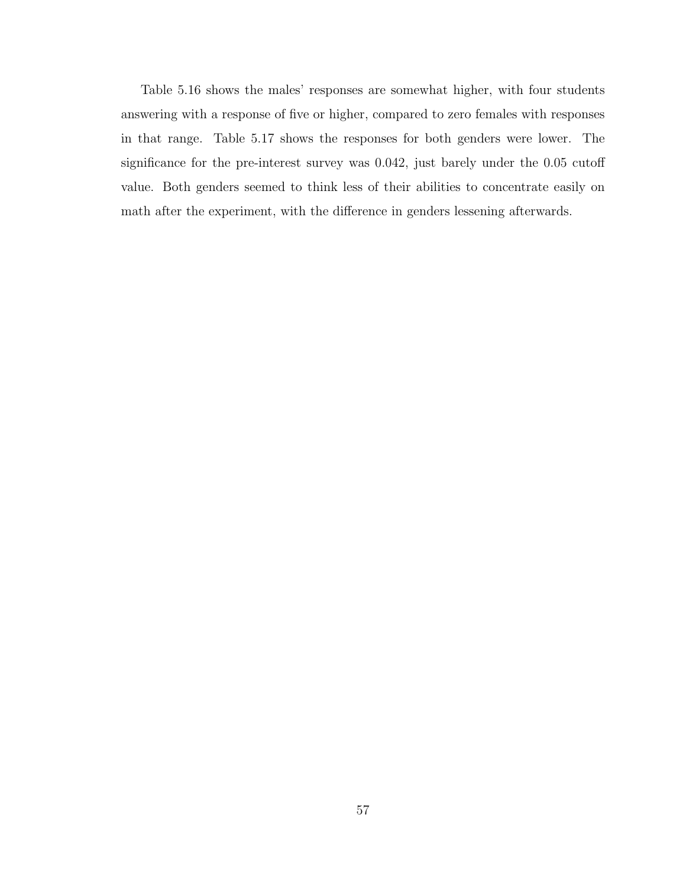Table 5.16 shows the males' responses are somewhat higher, with four students answering with a response of five or higher, compared to zero females with responses in that range. Table 5.17 shows the responses for both genders were lower. The significance for the pre-interest survey was 0.042, just barely under the 0.05 cutoff value. Both genders seemed to think less of their abilities to concentrate easily on math after the experiment, with the difference in genders lessening afterwards.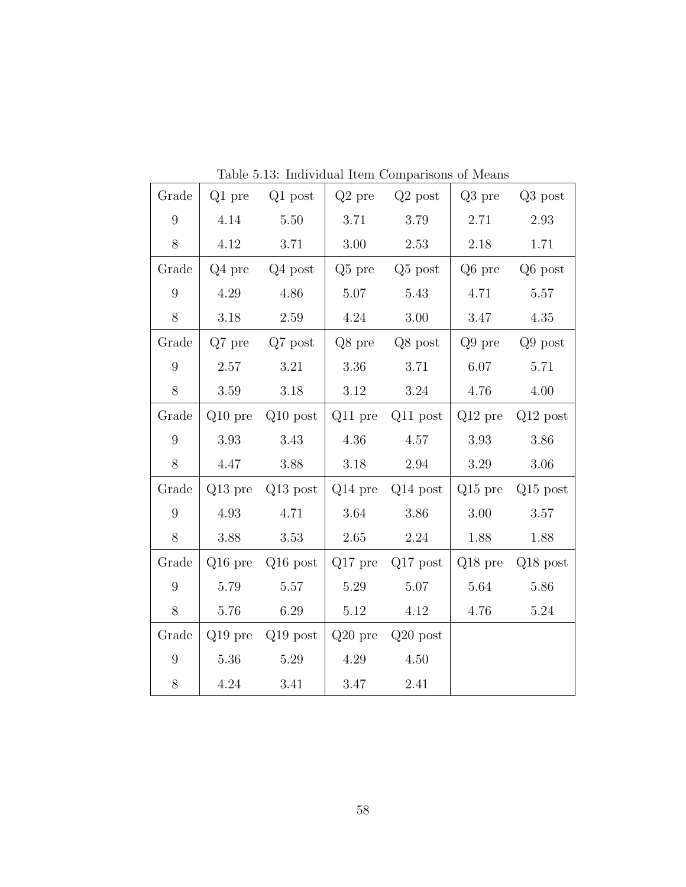| Grade            | Q1 pre    | $Q1$ post            | $Q2$ pre  | $Q2$ post            | $Q3$ pre  | $Q3$ post            |
|------------------|-----------|----------------------|-----------|----------------------|-----------|----------------------|
| $\overline{9}$   | 4.14      | 5.50                 | 3.71      | $3.79\,$             | 2.71      | 2.93                 |
| 8                | 4.12      | 3.71                 | 3.00      | 2.53                 | 2.18      | 1.71                 |
| Grade            | $Q4$ pre  | Q4 post              | $Q5$ pre  | Q <sub>5</sub> post  | Q6 pre    | Q6 post              |
| 9                | 4.29      | 4.86                 | 5.07      | 5.43                 | 4.71      | 5.57                 |
| $8\,$            | $3.18\,$  | 2.59                 | 4.24      | $3.00\,$             | 3.47      | 4.35                 |
| Grade            | $Q7$ pre  | $Q7$ post            | Q8 pre    | $Q8$ post            | $Q9$ pre  | $Q9$ post            |
| 9                | 2.57      | 3.21                 | 3.36      | 3.71                 | 6.07      | 5.71                 |
| 8                | 3.59      | 3.18                 | $3.12\,$  | 3.24                 | 4.76      | 4.00                 |
| Grade            |           | $Q10$ pre $Q10$ post |           | $Q11$ pre $Q11$ post |           | $Q12$ pre $Q12$ post |
| $\boldsymbol{9}$ | 3.93      | 3.43                 | 4.36      | 4.57                 | 3.93      | 3.86                 |
| 8                | 4.47      | 3.88                 | 3.18      | 2.94                 | 3.29      | 3.06                 |
| Grade            |           | $Q13$ pre $Q13$ post |           | $Q14$ pre $Q14$ post | $Q15$ pre | $Q15$ post           |
| 9                | 4.93      | 4.71                 | 3.64      | 3.86                 | 3.00      | 3.57                 |
| $8\,$            | 3.88      | 3.53                 | 2.65      | 2.24                 | 1.88      | 1.88                 |
| Grade            | $Q16$ pre | $Q16$ post           | $Q17$ pre | $Q17$ post           | $Q18$ pre | $Q18$ post           |
| 9                | 5.79      | 5.57                 | 5.29      | 5.07                 | 5.64      | 5.86                 |
| 8                | 5.76      | 6.29                 | 5.12      | 4.12                 | 4.76      | 5.24                 |
| Grade            |           | $Q19$ pre $Q19$ post |           | $Q20$ pre $Q20$ post |           |                      |
| $9\phantom{.0}$  | 5.36      | 5.29                 | 4.29      | 4.50                 |           |                      |
| $8\,$            | 4.24      | 3.41                 | 3.47      | 2.41                 |           |                      |

Table 5.13: Individual Item Comparisons of Means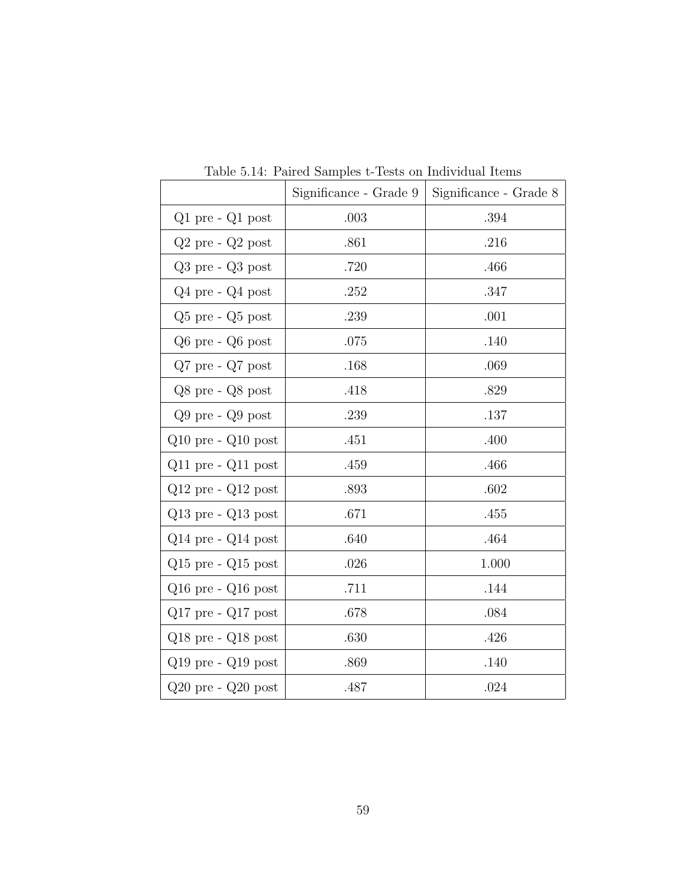|                        | Significance - Grade 9 | Significance - Grade 8 |
|------------------------|------------------------|------------------------|
| $Q1$ pre - $Q1$ post   | .003                   | .394                   |
| $Q2$ pre - $Q2$ post   | .861                   | .216                   |
| $Q3$ pre - $Q3$ post   | .720                   | .466                   |
| $Q4$ pre - $Q4$ post   | .252                   | .347                   |
| $Q5$ pre - $Q5$ post   | .239                   | .001                   |
| $Q6$ pre - $Q6$ post   | .075                   | .140                   |
| $Q7$ pre - $Q7$ post   | .168                   | .069                   |
| $Q8$ pre - $Q8$ post   | .418                   | .829                   |
| $Q9$ pre - $Q9$ post   | .239                   | .137                   |
| $Q10$ pre - $Q10$ post | .451                   | .400                   |
| $Q11$ pre - $Q11$ post | .459                   | .466                   |
| $Q12$ pre - $Q12$ post | .893                   | .602                   |
| $Q13$ pre - $Q13$ post | .671                   | .455                   |
| $Q14$ pre - $Q14$ post | .640                   | .464                   |
| $Q15$ pre - $Q15$ post | .026                   | 1.000                  |
| $Q16$ pre - $Q16$ post | .711                   | .144                   |
| $Q17$ pre - $Q17$ post | .678                   | .084                   |
| $Q18$ pre - $Q18$ post | .630                   | .426                   |
| $Q19$ pre - $Q19$ post | .869                   | .140                   |
| $Q20$ pre - $Q20$ post | .487                   | .024                   |

Table 5.14: Paired Samples t-Tests on Individual Items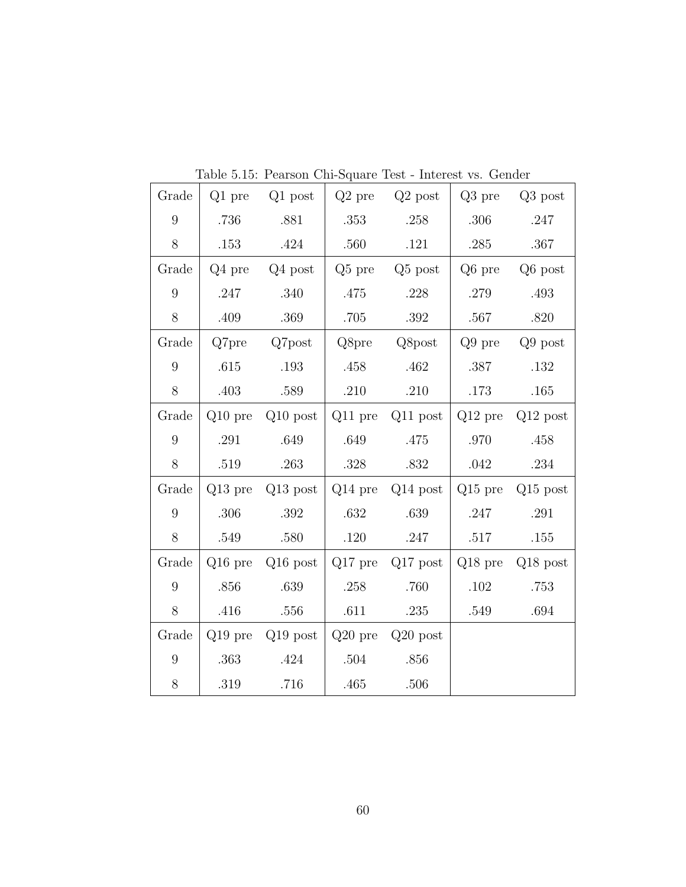| Grade            | $Q1$ pre  | $Q1$ post            | $Q2$ pre  | $Q2$ post            | Q3 pre    | Q3 post    |
|------------------|-----------|----------------------|-----------|----------------------|-----------|------------|
| 9                | .736      | .881                 | .353      | .258                 | .306      | .247       |
| 8                | .153      | .424                 | .560      | .121                 | .285      | .367       |
| Grade            | $Q4$ pre  | $Q4$ post            | $Q5$ pre  | $Q5$ post            | Q6 pre    | Q6 post    |
| $\overline{9}$   | .247      | .340                 | .475      | .228                 | .279      | .493       |
| 8                | .409      | .369                 | .705      | .392                 | .567      | .820       |
| Grade            | Q7pre     | Q7post               | Q8pre     | Q8post               | $Q9$ pre  | $Q9$ post  |
| $9\phantom{.}$   | .615      | .193                 | .458      | .462                 | .387      | .132       |
| 8                | .403      | .589                 | .210      | .210                 | .173      | .165       |
| Grade            |           | $Q10$ pre $Q10$ post |           | $Q11$ pre $Q11$ post | $Q12$ pre | $Q12$ post |
| 9                | .291      | .649                 | .649      | .475                 | .970      | .458       |
| 8                | .519      | .263                 | $.328\,$  | .832                 | .042      | $.234\,$   |
| Grade            | $Q13$ pre | $Q13$ post           |           | $Q14$ pre $Q14$ post | $Q15$ pre | $Q15$ post |
| 9                | $.306\,$  | .392                 | .632      | .639                 | .247      | .291       |
| $8\,$            | .549      | .580                 | $.120\,$  | .247                 | $.517\,$  | $.155\,$   |
| Grade            | $Q16$ pre | $Q16$ post           | $Q17$ pre | $Q17$ post           | $Q18$ pre | $Q18$ post |
| $\boldsymbol{9}$ | .856      | .639                 | .258      | .760                 | $.102\,$  | .753       |
| $8\,$            | .416      | .556                 | .611      | .235                 | .549      | .694       |
| Grade            |           | $Q19$ pre $Q19$ post |           | $Q20$ pre $Q20$ post |           |            |
| 9                | .363      | .424                 | .504      | .856                 |           |            |
| $8\,$            | .319      | .716                 | .465      | .506                 |           |            |

Table 5.15: Pearson Chi-Square Test - Interest vs. Gender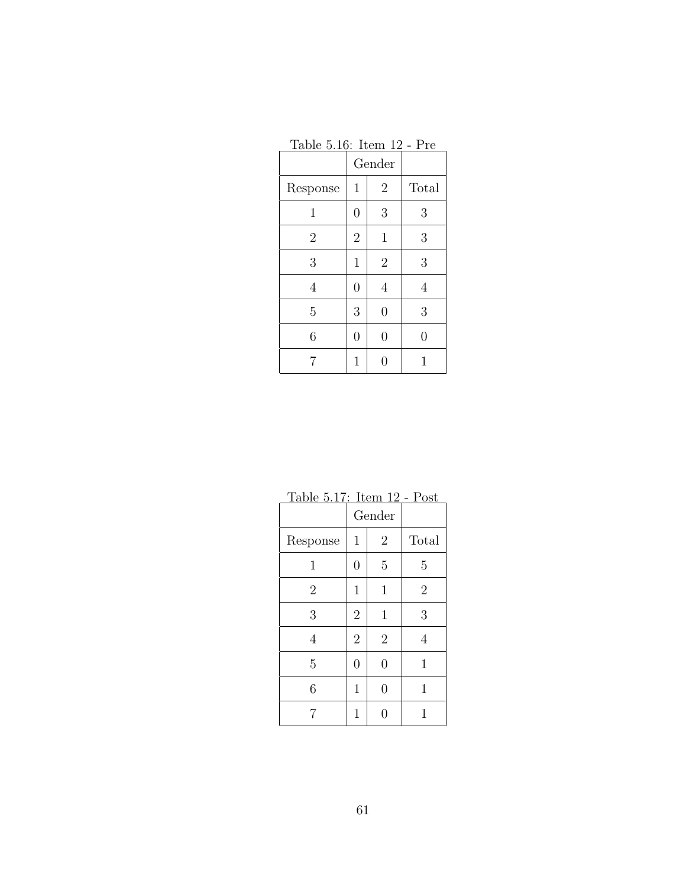| <u> 1801e J.10. Item 12 - FIe</u> |                |                |       |  |  |  |
|-----------------------------------|----------------|----------------|-------|--|--|--|
|                                   |                | Gender         |       |  |  |  |
| Response                          | $\mathbf{1}$   | $\overline{2}$ | Total |  |  |  |
| 1                                 | $\overline{0}$ | 3              | 3     |  |  |  |
| $\overline{2}$                    | $\overline{2}$ | $\mathbf 1$    | 3     |  |  |  |
| 3                                 | $\mathbf{1}$   | $\overline{2}$ | 3     |  |  |  |
| 4                                 | $\overline{0}$ | 4              | 4     |  |  |  |
| 5                                 | 3              | $\overline{0}$ | 3     |  |  |  |
| 6                                 | $\overline{0}$ | $\overline{0}$ | 0     |  |  |  |
| 7                                 | 1              | N              |       |  |  |  |

Table 5.16: Item 12 - Pre

Table 5.17: Item 12 - Post

|                | Gender         |                |                |
|----------------|----------------|----------------|----------------|
| Response       | $\mathbf 1$    | $\overline{2}$ | Total          |
| 1              | $\overline{0}$ | $\overline{5}$ | 5              |
| $\overline{2}$ | $\mathbf 1$    | $\mathbf{1}$   | $\overline{2}$ |
| 3              | $\overline{2}$ | $\mathbf{1}$   | 3              |
| 4              | $\overline{2}$ | $\overline{2}$ | 4              |
| $\overline{5}$ | $\overline{0}$ | $\overline{0}$ | $\mathbf 1$    |
| 6              | $\mathbf{1}$   | $\overline{0}$ | 1              |
|                | 1              | ⋂              |                |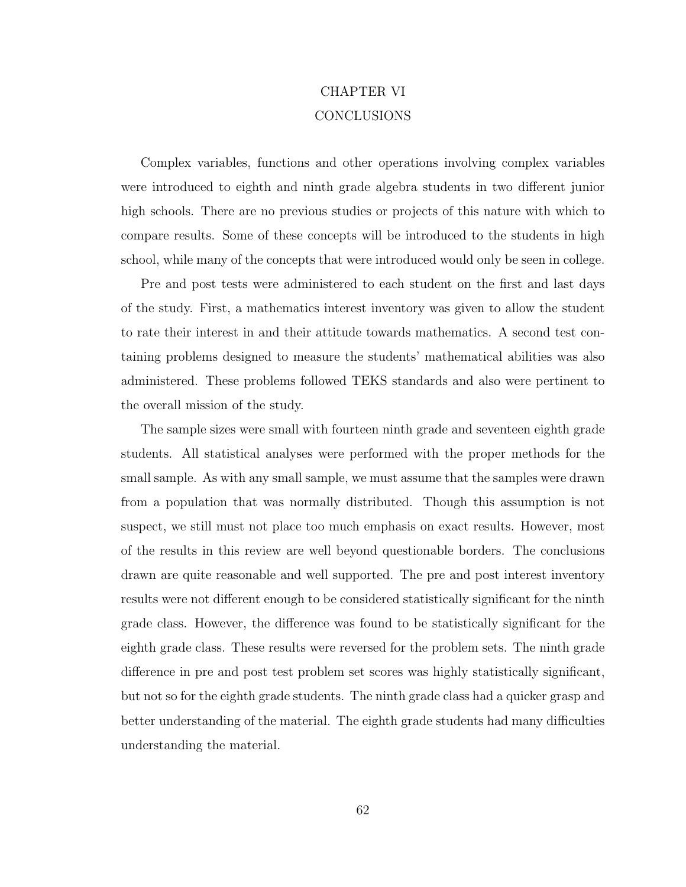# CHAPTER VI CONCLUSIONS

Complex variables, functions and other operations involving complex variables were introduced to eighth and ninth grade algebra students in two different junior high schools. There are no previous studies or projects of this nature with which to compare results. Some of these concepts will be introduced to the students in high school, while many of the concepts that were introduced would only be seen in college.

Pre and post tests were administered to each student on the first and last days of the study. First, a mathematics interest inventory was given to allow the student to rate their interest in and their attitude towards mathematics. A second test containing problems designed to measure the students' mathematical abilities was also administered. These problems followed TEKS standards and also were pertinent to the overall mission of the study.

The sample sizes were small with fourteen ninth grade and seventeen eighth grade students. All statistical analyses were performed with the proper methods for the small sample. As with any small sample, we must assume that the samples were drawn from a population that was normally distributed. Though this assumption is not suspect, we still must not place too much emphasis on exact results. However, most of the results in this review are well beyond questionable borders. The conclusions drawn are quite reasonable and well supported. The pre and post interest inventory results were not different enough to be considered statistically significant for the ninth grade class. However, the difference was found to be statistically significant for the eighth grade class. These results were reversed for the problem sets. The ninth grade difference in pre and post test problem set scores was highly statistically significant, but not so for the eighth grade students. The ninth grade class had a quicker grasp and better understanding of the material. The eighth grade students had many difficulties understanding the material.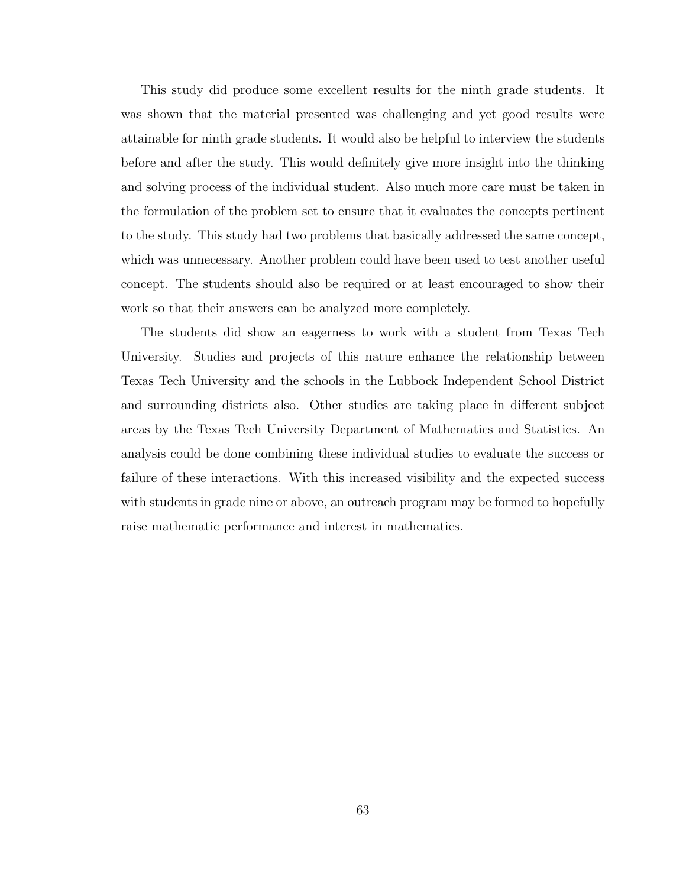This study did produce some excellent results for the ninth grade students. It was shown that the material presented was challenging and yet good results were attainable for ninth grade students. It would also be helpful to interview the students before and after the study. This would definitely give more insight into the thinking and solving process of the individual student. Also much more care must be taken in the formulation of the problem set to ensure that it evaluates the concepts pertinent to the study. This study had two problems that basically addressed the same concept, which was unnecessary. Another problem could have been used to test another useful concept. The students should also be required or at least encouraged to show their work so that their answers can be analyzed more completely.

The students did show an eagerness to work with a student from Texas Tech University. Studies and projects of this nature enhance the relationship between Texas Tech University and the schools in the Lubbock Independent School District and surrounding districts also. Other studies are taking place in different subject areas by the Texas Tech University Department of Mathematics and Statistics. An analysis could be done combining these individual studies to evaluate the success or failure of these interactions. With this increased visibility and the expected success with students in grade nine or above, an outreach program may be formed to hopefully raise mathematic performance and interest in mathematics.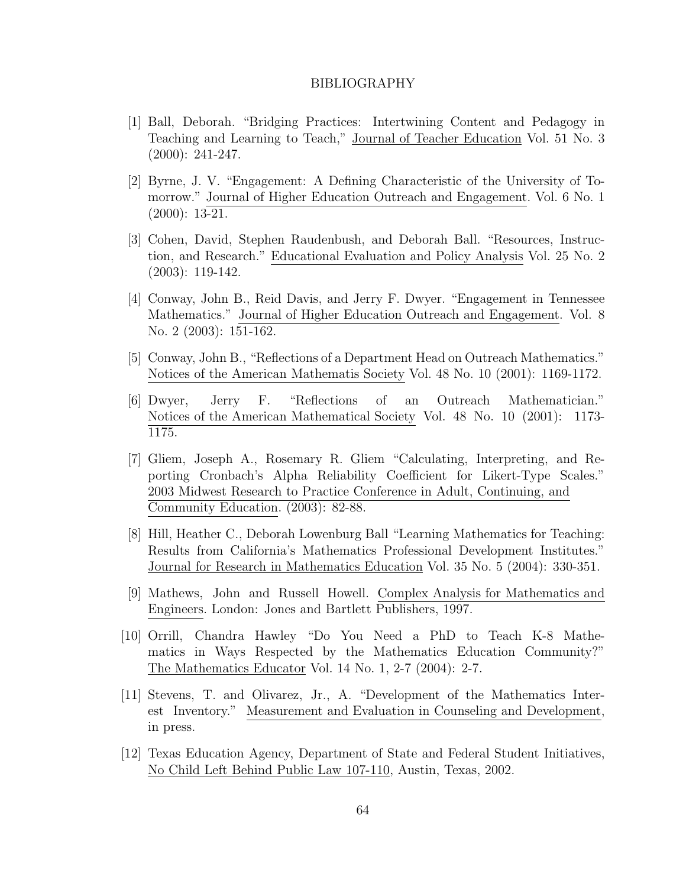#### BIBLIOGRAPHY

- [1] Ball, Deborah. "Bridging Practices: Intertwining Content and Pedagogy in Teaching and Learning to Teach," Journal of Teacher Education Vol. 51 No. 3 (2000): 241-247.
- [2] Byrne, J. V. "Engagement: A Defining Characteristic of the University of Tomorrow." Journal of Higher Education Outreach and Engagement. Vol. 6 No. 1 (2000): 13-21.
- [3] Cohen, David, Stephen Raudenbush, and Deborah Ball. "Resources, Instruction, and Research." Educational Evaluation and Policy Analysis Vol. 25 No. 2 (2003): 119-142.
- [4] Conway, John B., Reid Davis, and Jerry F. Dwyer. "Engagement in Tennessee Mathematics." Journal of Higher Education Outreach and Engagement. Vol. 8 No. 2 (2003): 151-162.
- [5] Conway, John B., "Reflections of a Department Head on Outreach Mathematics." Notices of the American Mathematis Society Vol. 48 No. 10 (2001): 1169-1172.
- [6] Dwyer, Jerry F. "Reflections of an Outreach Mathematician." Notices of the American Mathematical Society Vol. 48 No. 10 (2001): 1173- 1175.
- [7] Gliem, Joseph A., Rosemary R. Gliem "Calculating, Interpreting, and Reporting Cronbach's Alpha Reliability Coefficient for Likert-Type Scales." 2003 Midwest Research to Practice Conference in Adult, Continuing, and Community Education. (2003): 82-88.
- [8] Hill, Heather C., Deborah Lowenburg Ball "Learning Mathematics for Teaching: Results from California's Mathematics Professional Development Institutes." Journal for Research in Mathematics Education Vol. 35 No. 5 (2004): 330-351.
- [9] Mathews, John and Russell Howell. Complex Analysis for Mathematics and Engineers. London: Jones and Bartlett Publishers, 1997.
- [10] Orrill, Chandra Hawley "Do You Need a PhD to Teach K-8 Mathematics in Ways Respected by the Mathematics Education Community?" The Mathematics Educator Vol. 14 No. 1, 2-7 (2004): 2-7.
- [11] Stevens, T. and Olivarez, Jr., A. "Development of the Mathematics Interest Inventory." Measurement and Evaluation in Counseling and Development, in press.
- [12] Texas Education Agency, Department of State and Federal Student Initiatives, No Child Left Behind Public Law 107-110, Austin, Texas, 2002.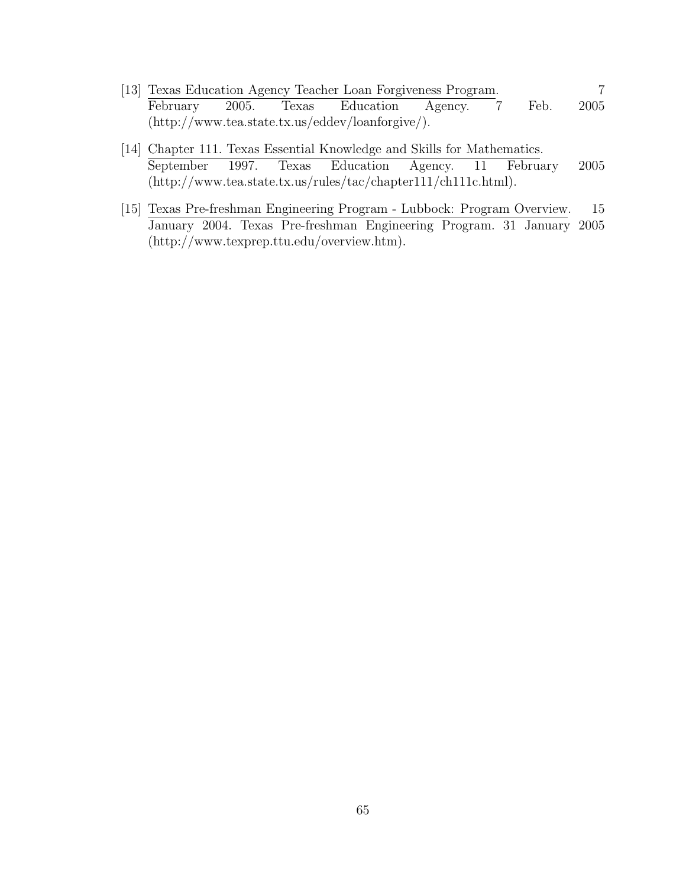- [13] Texas Education Agency Teacher Loan Forgiveness Program. 7 February 2005. Texas Education Agency. 7 Feb. 2005 (http://www.tea.state.tx.us/eddev/loanforgive/).
- [14] Chapter 111. Texas Essential Knowledge and Skills for Mathematics. September 1997. Texas Education Agency. 11 February 2005 (http://www.tea.state.tx.us/rules/tac/chapter111/ch111c.html).
- [15] Texas Pre-freshman Engineering Program Lubbock: Program Overview. 15 January 2004. Texas Pre-freshman Engineering Program. 31 January 2005 (http://www.texprep.ttu.edu/overview.htm).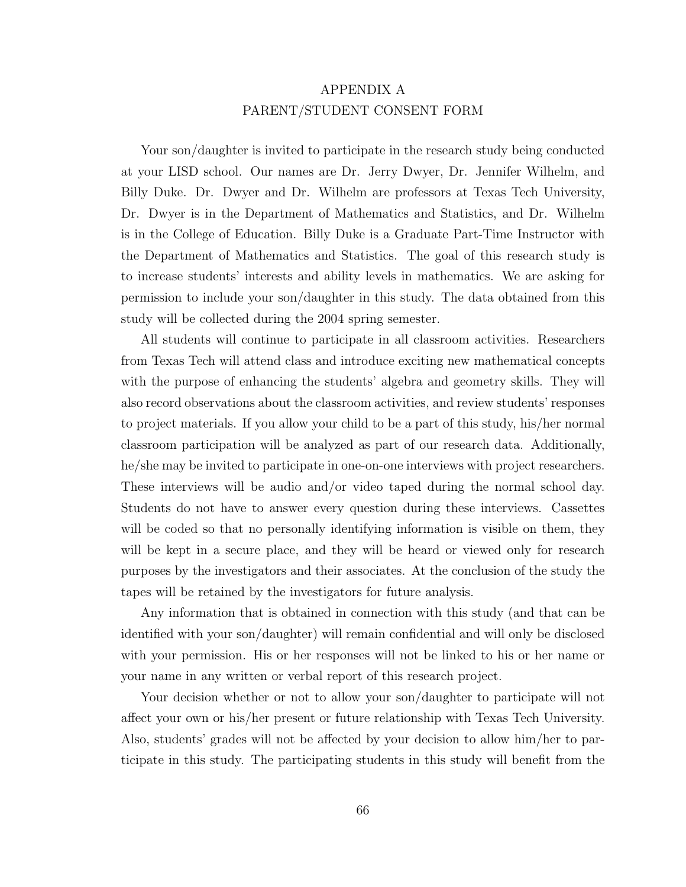## APPENDIX A PARENT/STUDENT CONSENT FORM

Your son/daughter is invited to participate in the research study being conducted at your LISD school. Our names are Dr. Jerry Dwyer, Dr. Jennifer Wilhelm, and Billy Duke. Dr. Dwyer and Dr. Wilhelm are professors at Texas Tech University, Dr. Dwyer is in the Department of Mathematics and Statistics, and Dr. Wilhelm is in the College of Education. Billy Duke is a Graduate Part-Time Instructor with the Department of Mathematics and Statistics. The goal of this research study is to increase students' interests and ability levels in mathematics. We are asking for permission to include your son/daughter in this study. The data obtained from this study will be collected during the 2004 spring semester.

All students will continue to participate in all classroom activities. Researchers from Texas Tech will attend class and introduce exciting new mathematical concepts with the purpose of enhancing the students' algebra and geometry skills. They will also record observations about the classroom activities, and review students' responses to project materials. If you allow your child to be a part of this study, his/her normal classroom participation will be analyzed as part of our research data. Additionally, he/she may be invited to participate in one-on-one interviews with project researchers. These interviews will be audio and/or video taped during the normal school day. Students do not have to answer every question during these interviews. Cassettes will be coded so that no personally identifying information is visible on them, they will be kept in a secure place, and they will be heard or viewed only for research purposes by the investigators and their associates. At the conclusion of the study the tapes will be retained by the investigators for future analysis.

Any information that is obtained in connection with this study (and that can be identified with your son/daughter) will remain confidential and will only be disclosed with your permission. His or her responses will not be linked to his or her name or your name in any written or verbal report of this research project.

Your decision whether or not to allow your son/daughter to participate will not affect your own or his/her present or future relationship with Texas Tech University. Also, students' grades will not be affected by your decision to allow him/her to participate in this study. The participating students in this study will benefit from the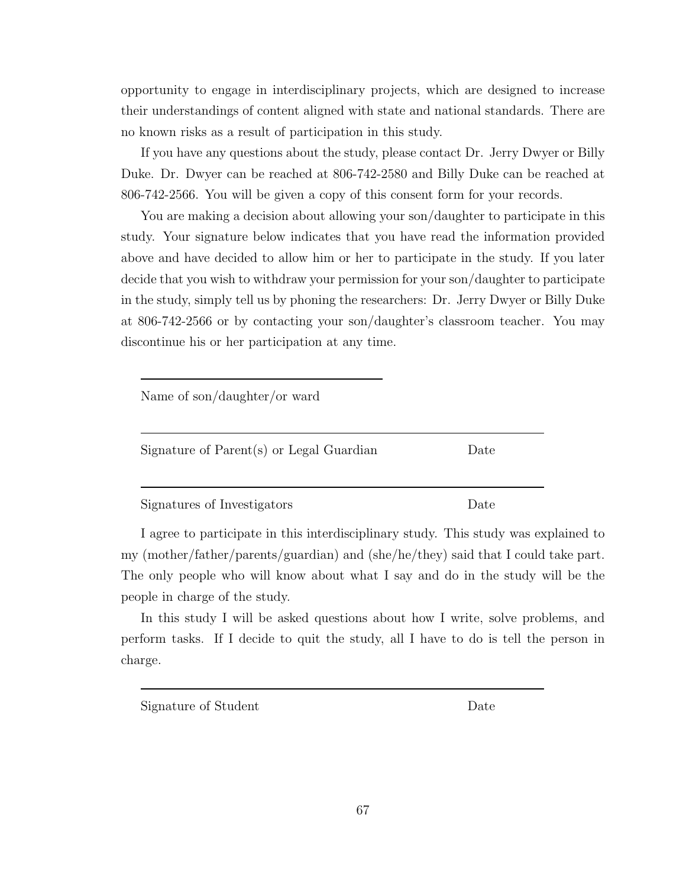opportunity to engage in interdisciplinary projects, which are designed to increase their understandings of content aligned with state and national standards. There are no known risks as a result of participation in this study.

If you have any questions about the study, please contact Dr. Jerry Dwyer or Billy Duke. Dr. Dwyer can be reached at 806-742-2580 and Billy Duke can be reached at 806-742-2566. You will be given a copy of this consent form for your records.

You are making a decision about allowing your son/daughter to participate in this study. Your signature below indicates that you have read the information provided above and have decided to allow him or her to participate in the study. If you later decide that you wish to withdraw your permission for your son/daughter to participate in the study, simply tell us by phoning the researchers: Dr. Jerry Dwyer or Billy Duke at 806-742-2566 or by contacting your son/daughter's classroom teacher. You may discontinue his or her participation at any time.

| Name of $\text{son}/\text{day}$ her/or ward |      |
|---------------------------------------------|------|
| Signature of Parent(s) or Legal Guardian    | Date |
| Signatures of Investigators                 | Date |

I agree to participate in this interdisciplinary study. This study was explained to my (mother/father/parents/guardian) and (she/he/they) said that I could take part. The only people who will know about what I say and do in the study will be the people in charge of the study.

In this study I will be asked questions about how I write, solve problems, and perform tasks. If I decide to quit the study, all I have to do is tell the person in charge.

Signature of Student Date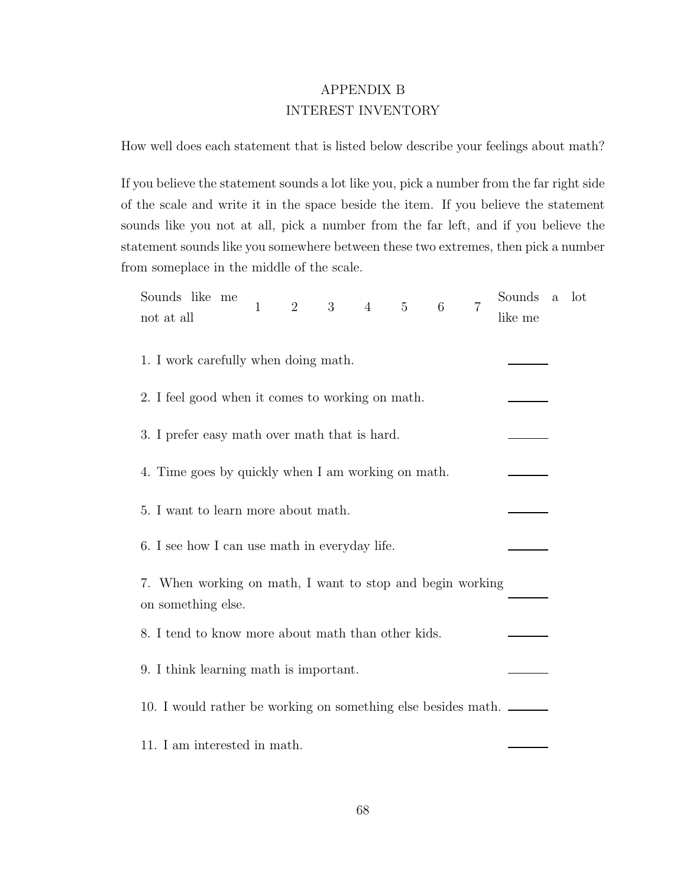### APPENDIX B INTEREST INVENTORY

How well does each statement that is listed below describe your feelings about math?

If you believe the statement sounds a lot like you, pick a number from the far right side of the scale and write it in the space beside the item. If you believe the statement sounds like you not at all, pick a number from the far left, and if you believe the statement sounds like you somewhere between these two extremes, then pick a number from someplace in the middle of the scale.

| Sounds like me<br>not at all                                                    |  | $\mathbf{1}$ | $\overline{2}$ | $3\quad 4$ | $5\qquad 6$ | $\overline{7}$ | Sounds<br>like me                                             | $\rm{a}$ | lot |
|---------------------------------------------------------------------------------|--|--------------|----------------|------------|-------------|----------------|---------------------------------------------------------------|----------|-----|
| 1. I work carefully when doing math.                                            |  |              |                |            |             |                |                                                               |          |     |
| 2. I feel good when it comes to working on math.                                |  |              |                |            |             |                |                                                               |          |     |
| 3. I prefer easy math over math that is hard.                                   |  |              |                |            |             |                |                                                               |          |     |
| 4. Time goes by quickly when I am working on math.                              |  |              |                |            |             |                |                                                               |          |     |
| 5. I want to learn more about math.                                             |  |              |                |            |             |                |                                                               |          |     |
| 6. I see how I can use math in everyday life.                                   |  |              |                |            |             |                |                                                               |          |     |
| 7. When working on math, I want to stop and begin working<br>on something else. |  |              |                |            |             |                |                                                               |          |     |
| 8. I tend to know more about math than other kids.                              |  |              |                |            |             |                |                                                               |          |     |
| 9. I think learning math is important.                                          |  |              |                |            |             |                |                                                               |          |     |
|                                                                                 |  |              |                |            |             |                | 10. I would rather be working on something else besides math. |          |     |
| 11. I am interested in math.                                                    |  |              |                |            |             |                |                                                               |          |     |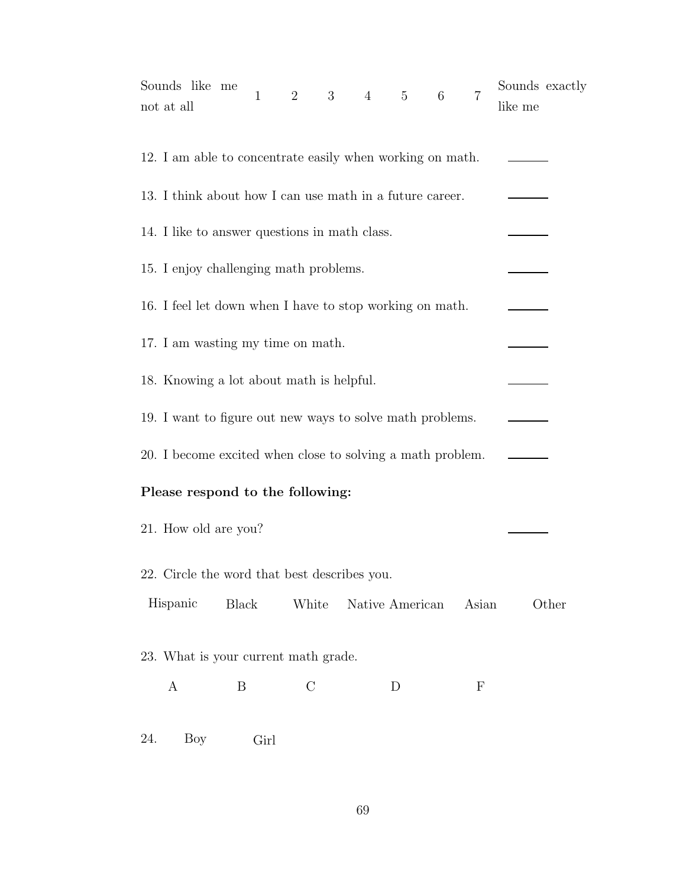| Sounds like me<br>not at all                               |                                                          | 1    | 2             | $3 \t 4 \t 5 \t 6$ |                 |  | $\overline{7}$ | Sounds exactly<br>like me |
|------------------------------------------------------------|----------------------------------------------------------|------|---------------|--------------------|-----------------|--|----------------|---------------------------|
| 12. I am able to concentrate easily when working on math.  |                                                          |      |               |                    |                 |  |                |                           |
| 13. I think about how I can use math in a future career.   |                                                          |      |               |                    |                 |  |                |                           |
|                                                            | 14. I like to answer questions in math class.            |      |               |                    |                 |  |                |                           |
|                                                            | 15. I enjoy challenging math problems.                   |      |               |                    |                 |  |                |                           |
|                                                            | 16. I feel let down when I have to stop working on math. |      |               |                    |                 |  |                |                           |
| 17. I am wasting my time on math.                          |                                                          |      |               |                    |                 |  |                |                           |
| 18. Knowing a lot about math is helpful.                   |                                                          |      |               |                    |                 |  |                |                           |
| 19. I want to figure out new ways to solve math problems.  |                                                          |      |               |                    |                 |  |                |                           |
| 20. I become excited when close to solving a math problem. |                                                          |      |               |                    |                 |  |                |                           |
| Please respond to the following:                           |                                                          |      |               |                    |                 |  |                |                           |
| 21. How old are you?                                       |                                                          |      |               |                    |                 |  |                |                           |
| 22. Circle the word that best describes you.               |                                                          |      |               |                    |                 |  |                |                           |
| Hispanic                                                   | Black                                                    |      | White         |                    | Native American |  | Asian          | Other                     |
| 23. What is your current math grade.                       |                                                          |      |               |                    |                 |  |                |                           |
| A                                                          | B                                                        |      | $\mathcal{C}$ |                    | D               |  | $\mathbf F$    |                           |
| 24.<br>Boy                                                 |                                                          | Girl |               |                    |                 |  |                |                           |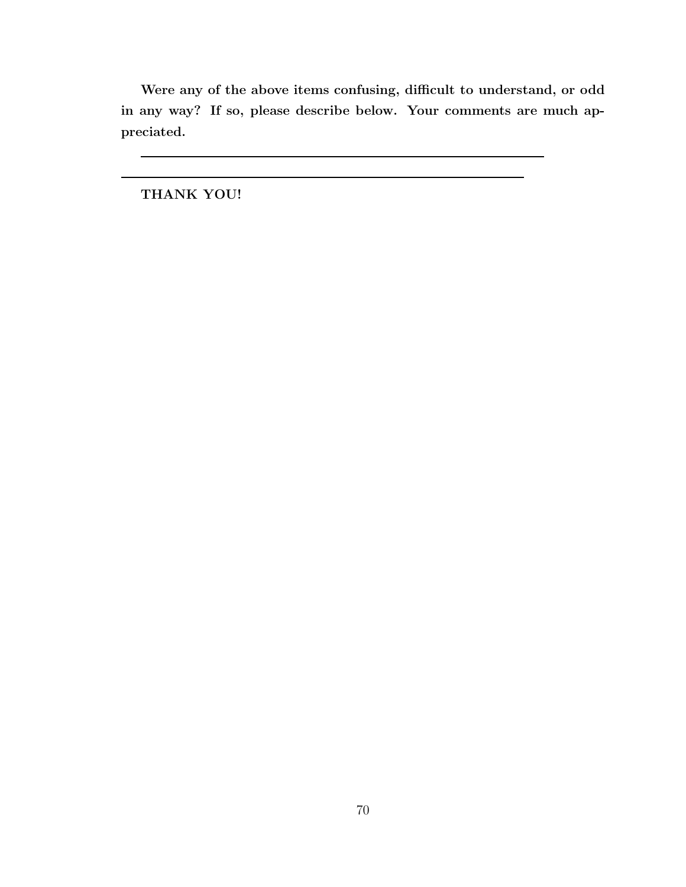Were any of the above items confusing, difficult to understand, or odd in any way? If so, please describe below. Your comments are much appreciated.

THANK YOU!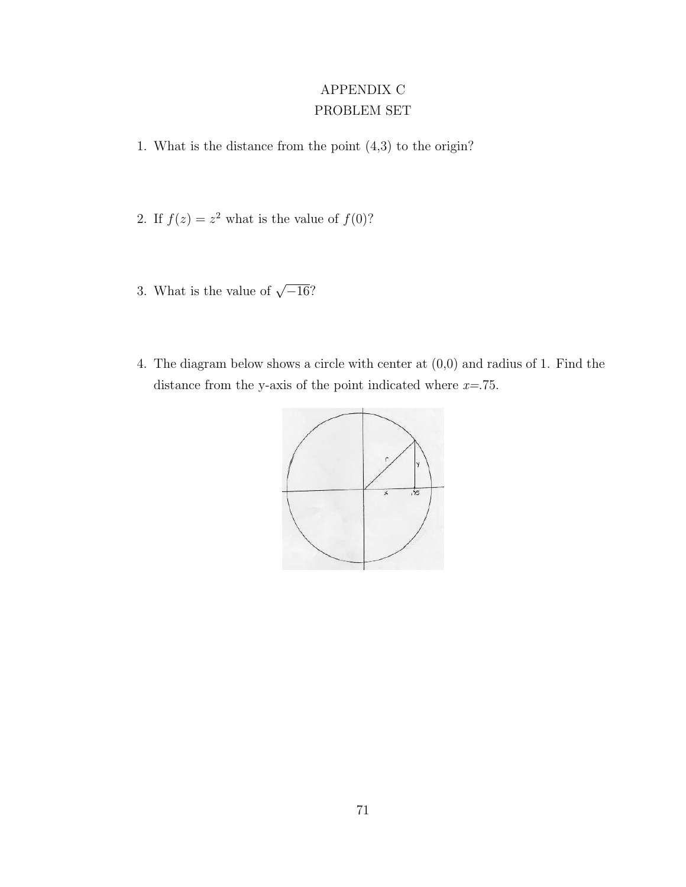## APPENDIX C PROBLEM SET

- 1. What is the distance from the point (4,3) to the origin?
- 2. If  $f(z) = z^2$  what is the value of  $f(0)$ ?
- 3. What is the value of  $\sqrt{-16}$ ?
- 4. The diagram below shows a circle with center at (0,0) and radius of 1. Find the distance from the y-axis of the point indicated where  $x=$ .75.

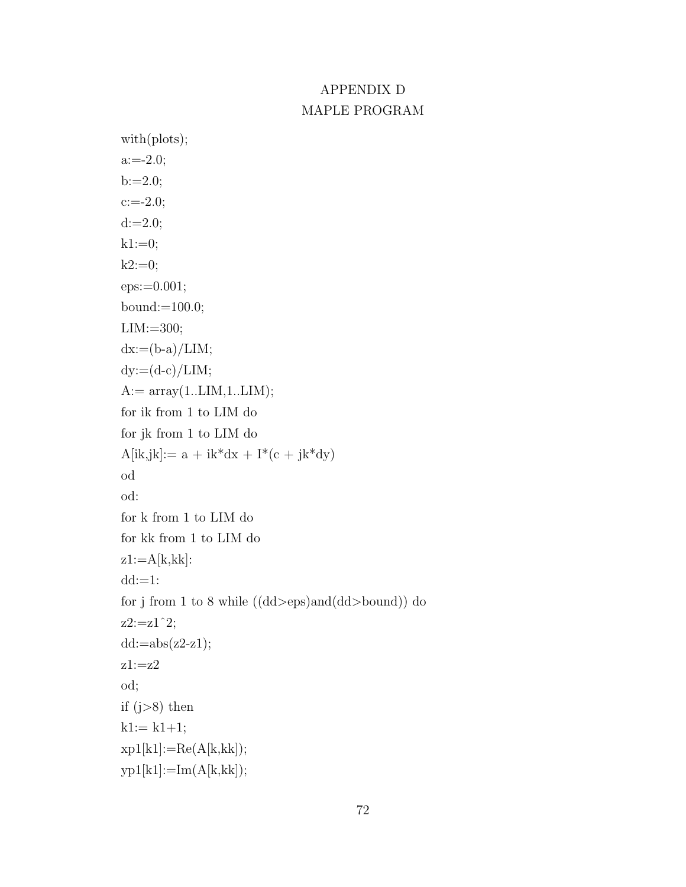# APPENDIX D MAPLE PROGRAM

```
with(plots);
a:=-2.0;b:=2.0;c:=-2.0;d:=2.0;k1:=0;k2:=0;eps:=0.001;
bound:=100.0;
LIM:=300;
dx:=(b-a)/LIM;dy:=(d-c)/LIM;A:= \text{array}(1..LIM,1..LIM);for ik from 1 to LIM do
for jk from 1 to LIM do
A[ik, jk] := a + ik * dx + I * (c + jk * dy)od
od:
for k from 1 to LIM do
for kk from 1 to LIM do
z1:=A[k,kk]:
dd:=1:
for j from 1 to 8 while ((dd>eps)and(dd>bound)) do
z2:=z1^2;
dd:=abs(z2-z1);z1:=z2od;
if (j>8) then
k1:= k1+1;xp1[k1]:=Re(A[k,kk]);yp1[k1]:=Im(A[k,kk]);
```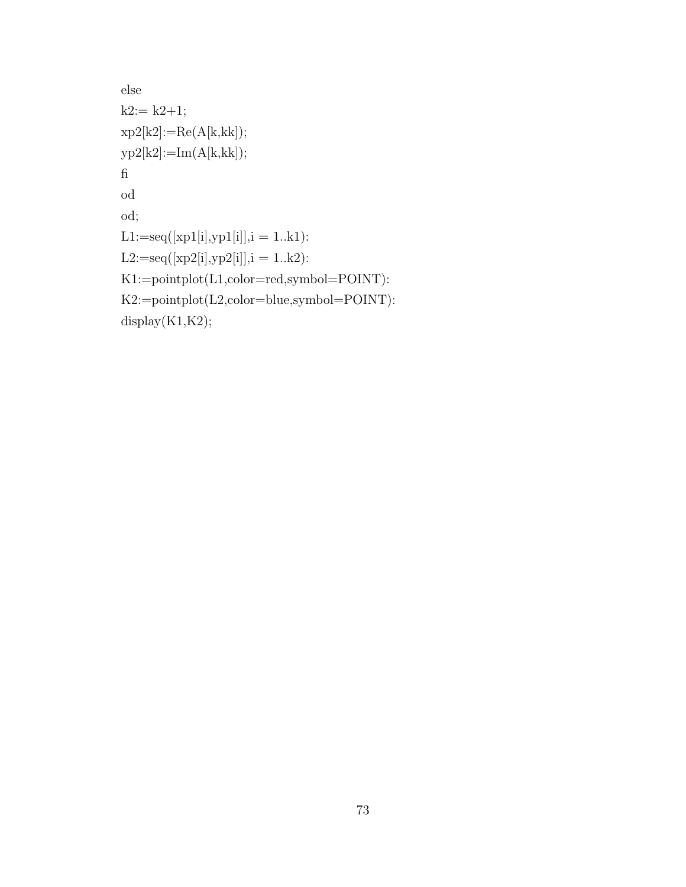```
else
k2:= k2+1;xp2[k2]:=Re(A[k, kk]);yp2[k2]:=Im(A[k,kk]);fi
od
od;
\text{L1:}=\text{seq}([\text{xp1}[i],\text{yp1}[i]], i=1..k1).L2:=seq([xp2[i], yp2[i]], i = 1..k2):K1:=pointplot(L1,color=red,symbol=POINT):
K2:=pointplot(L2,color=blue,symbol=POINT):
display(K1,K2);
```